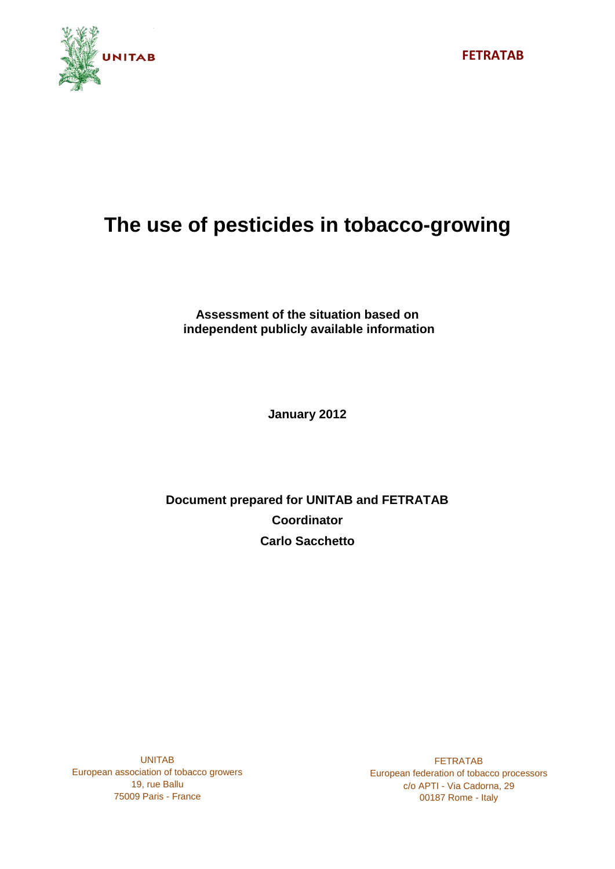

# **The use of pesticides in tobacco-growing**

**Assessment of the situation based on independent publicly available information**

**January 2012**

**Document prepared for UNITAB and FETRATAB Coordinator Carlo Sacchetto**

UNITAB European association of tobacco growers 19, rue Ballu 75009 Paris - France

FETRATAB European federation of tobacco processors c/o APTI - Via Cadorna, 29 00187 Rome - Italy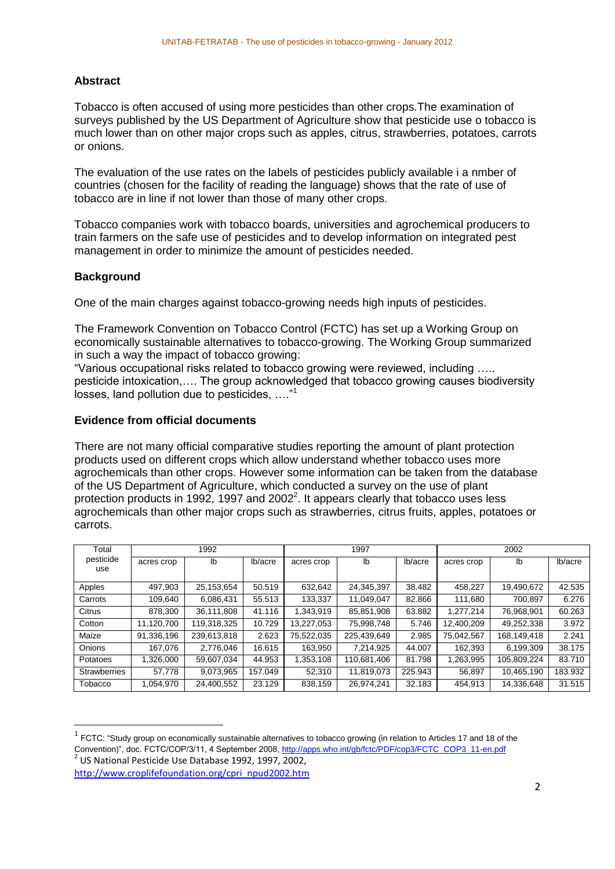#### **Abstract**

Tobacco is often accused of using more pesticides than other crops.The examination of surveys published by the US Department of Agriculture show that pesticide use o tobacco is much lower than on other major crops such as apples, citrus, strawberries, potatoes, carrots or onions.

The evaluation of the use rates on the labels of pesticides publicly available i a nmber of countries (chosen for the facility of reading the language) shows that the rate of use of tobacco are in line if not lower than those of many other crops.

Tobacco companies work with tobacco boards, universities and agrochemical producers to train farmers on the safe use of pesticides and to develop information on integrated pest management in order to minimize the amount of pesticides needed.

#### **Background**

1

One of the main charges against tobacco-growing needs high inputs of pesticides.

The Framework Convention on Tobacco Control (FCTC) has set up a Working Group on economically sustainable alternatives to tobacco-growing. The Working Group summarized in such a way the impact of tobacco growing:

"Various occupational risks related to tobacco growing were reviewed, including ….. pesticide intoxication,…. The group acknowledged that tobacco growing causes biodiversity losses, land pollution due to pesticides, …."<sup>1</sup>

#### **Evidence from official documents**

There are not many official comparative studies reporting the amount of plant protection products used on different crops which allow understand whether tobacco uses more agrochemicals than other crops. However some information can be taken from the database of the US Department of Agriculture, which conducted a survey on the use of plant protection products in 1992, 1997 and 2002<sup>2</sup>. It appears clearly that tobacco uses less agrochemicals than other major crops such as strawberries, citrus fruits, apples, potatoes or carrots.

| Total               | 1992       |             |         | 1997       |             |         | 2002       |             |         |
|---------------------|------------|-------------|---------|------------|-------------|---------|------------|-------------|---------|
| pesticide<br>use    | acres crop | lb          | lb/acre | acres crop | lb          | lb/acre | acres crop | lb          | lb/acre |
| Apples              | 497.903    | 25,153,654  | 50.519  | 632,642    | 24.345.397  | 38.482  | 458.227    | 19,490,672  | 42.535  |
| Carrots             | 109.640    | 6.086.431   | 55.513  | 133,337    | 11.049.047  | 82.866  | 111.680    | 700.897     | 6.276   |
| Citrus              | 878.300    | 36.111.808  | 41.116  | 1.343.919  | 85,851,908  | 63.882  | 1.277.214  | 76.968.901  | 60.263  |
| Cotton              | 11.120.700 | 119,318,325 | 10.729  | 13.227.053 | 75,998,748  | 5.746   | 12.400.209 | 49,252,338  | 3.972   |
| Maize               | 91,336,196 | 239,613,818 | 2.623   | 75,522,035 | 225,439,649 | 2.985   | 75,042,567 | 168,149,418 | 2.241   |
| <b>Onions</b>       | 167.076    | 2,776,046   | 16.615  | 163.950    | 7,214,925   | 44.007  | 162,393    | 6,199,309   | 38.175  |
| Potatoes            | 1,326,000  | 59,607,034  | 44.953  | 1,353,108  | 110,681,406 | 81.798  | 1,263,995  | 105,809,224 | 83.710  |
| <b>Strawberries</b> | 57,778     | 9,073,965   | 157.049 | 52.310     | 11,819,073  | 225.943 | 56.897     | 10,465,190  | 183.932 |
| Tobacco             | 1,054,970  | 24,400,552  | 23.129  | 838,159    | 26,974,241  | 32.183  | 454.913    | 14,336,648  | 31.515  |

 $1$  FCTC: "Study group on economically sustainable alternatives to tobacco growing (in relation to Articles 17 and 18 of the Convention)", doc. FCTC/COP/3/11, 4 September 2008, [http://apps.who.int/gb/fctc/PDF/cop3/FCTC\\_COP3\\_11-en.pdf](http://apps.who.int/gb/fctc/PDF/cop3/FCTC_COP3_11-en.pdf) 2 US National Pesticide Use Database 1992, 1997, 2002,

[http://www.croplifefoundation.org/cpri\\_npud2002.htm](http://www.croplifefoundation.org/cpri_npud2002.htm)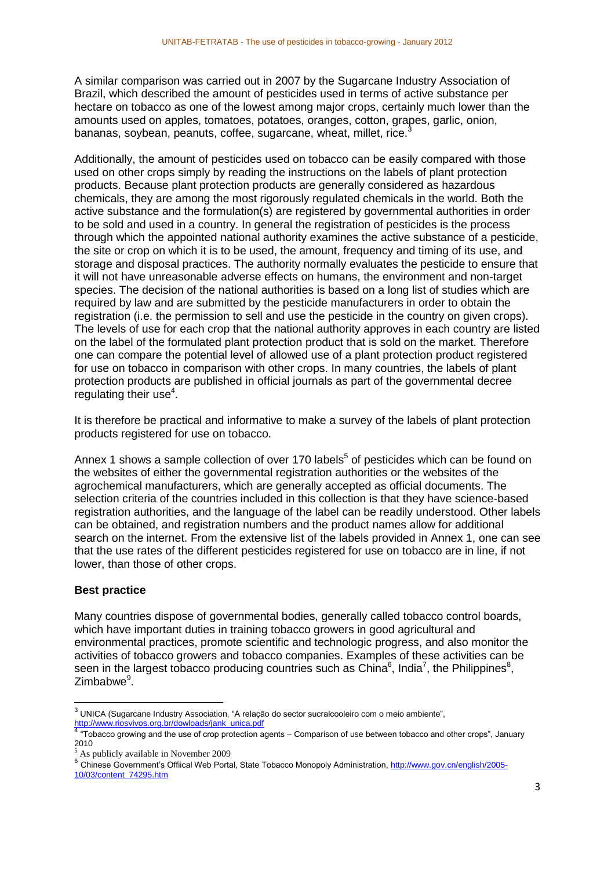A similar comparison was carried out in 2007 by the Sugarcane Industry Association of Brazil, which described the amount of pesticides used in terms of active substance per hectare on tobacco as one of the lowest among major crops, certainly much lower than the amounts used on apples, tomatoes, potatoes, oranges, cotton, grapes, garlic, onion, bananas, soybean, peanuts, coffee, sugarcane, wheat, millet, rice.<sup>3</sup>

Additionally, the amount of pesticides used on tobacco can be easily compared with those used on other crops simply by reading the instructions on the labels of plant protection products. Because plant protection products are generally considered as hazardous chemicals, they are among the most rigorously regulated chemicals in the world. Both the active substance and the formulation(s) are registered by governmental authorities in order to be sold and used in a country. In general the registration of pesticides is the process through which the appointed national authority examines the active substance of a pesticide, the site or crop on which it is to be used, the amount, frequency and timing of its use, and storage and disposal practices. The authority normally evaluates the pesticide to ensure that it will not have unreasonable adverse effects on humans, the environment and non-target species. The decision of the national authorities is based on a long list of studies which are required by law and are submitted by the pesticide manufacturers in order to obtain the registration (i.e. the permission to sell and use the pesticide in the country on given crops). The levels of use for each crop that the national authority approves in each country are listed on the label of the formulated plant protection product that is sold on the market. Therefore one can compare the potential level of allowed use of a plant protection product registered for use on tobacco in comparison with other crops. In many countries, the labels of plant protection products are published in official journals as part of the governmental decree  $regulating$  their use<sup>4</sup>.

It is therefore be practical and informative to make a survey of the labels of plant protection products registered for use on tobacco.

Annex 1 shows a sample collection of over 170 labels<sup>5</sup> of pesticides which can be found on the websites of either the governmental registration authorities or the websites of the agrochemical manufacturers, which are generally accepted as official documents. The selection criteria of the countries included in this collection is that they have science-based registration authorities, and the language of the label can be readily understood. Other labels can be obtained, and registration numbers and the product names allow for additional search on the internet. From the extensive list of the labels provided in Annex 1, one can see that the use rates of the different pesticides registered for use on tobacco are in line, if not lower, than those of other crops.

#### **Best practice**

Many countries dispose of governmental bodies, generally called tobacco control boards, which have important duties in training tobacco growers in good agricultural and environmental practices, promote scientific and technologic progress, and also monitor the activities of tobacco growers and tobacco companies. Examples of these activities can be seen in the largest tobacco producing countries such as China $6$ , India<sup>7</sup>, the Philippines $6$ , Zimbabwe<sup>9</sup>.

 3 UNICA (Sugarcane Industry Association, "A relaçâo do sector sucralcooleiro com o meio ambiente",

<sup>&</sup>lt;u>[http://www.riosvivos.org.br/dowloads/jank\\_unica.pdf](http://www.riosvivos.org.br/dowloads/jank_unica.pdf)</u><br><sup>4</sup> "Tobacco growing and the use of crop protection agents – Comparison of use between tobacco and other crops", January 2010

 $5$  As publicly available in November 2009

<sup>&</sup>lt;sup>6</sup> Chinese Government's Offiical Web Portal, State Tobacco Monopoly Administration, [http://www.gov.cn/english/2005-](http://www.gov.cn/english/2005-10/03/content_74295.htm) [10/03/content\\_74295.htm](http://www.gov.cn/english/2005-10/03/content_74295.htm)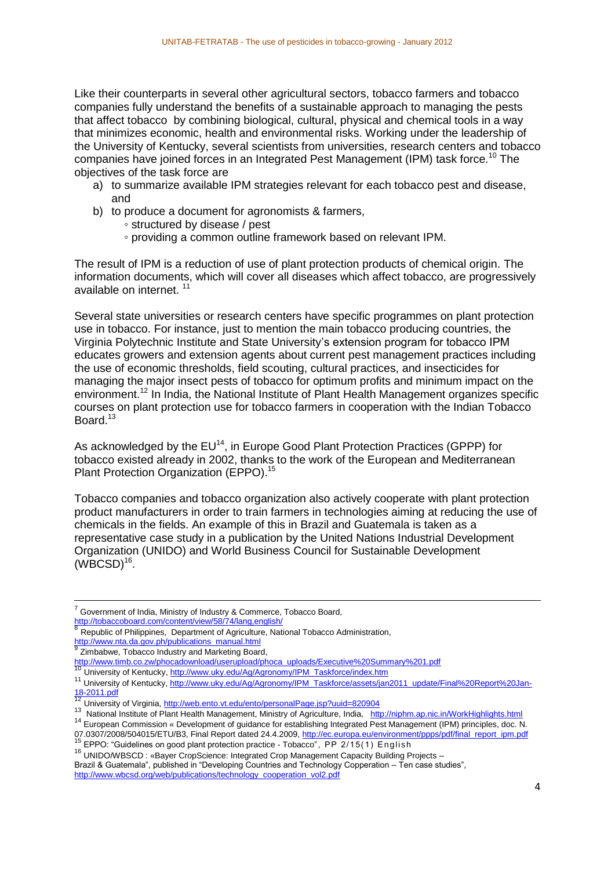Like their counterparts in several other agricultural sectors, tobacco farmers and tobacco companies fully understand the benefits of a sustainable approach to managing the pests that affect tobacco by combining biological, cultural, physical and chemical tools in a way that minimizes economic, health and environmental risks. Working under the leadership of the University of Kentucky, several scientists from universities, research centers and tobacco companies have joined forces in an Integrated Pest Management (IPM) task force.<sup>10</sup> The objectives of the task force are

- a) to summarize available IPM strategies relevant for each tobacco pest and disease, and
- b) to produce a document for agronomists & farmers,
	- structured by disease / pest
	- providing a common outline framework based on relevant IPM.

The result of IPM is a reduction of use of plant protection products of chemical origin. The information documents, which will cover all diseases which affect tobacco, are progressively available on internet. <sup>11</sup>

Several state universities or research centers have specific programmes on plant protection use in tobacco. For instance, just to mention the main tobacco producing countries, the Virginia Polytechnic Institute and State University's extension program for tobacco IPM educates growers and extension agents about current pest management practices including the use of economic thresholds, field scouting, cultural practices, and insecticides for managing the major insect pests of tobacco for optimum profits and minimum impact on the environment.<sup>12</sup> In India, the National Institute of Plant Health Management organizes specific courses on plant protection use for tobacco farmers in cooperation with the Indian Tobacco Board.<sup>13</sup>

As acknowledged by the EU<sup>14</sup>, in Europe Good Plant Protection Practices (GPPP) for tobacco existed already in 2002, thanks to the work of the European and Mediterranean Plant Protection Organization (EPPO). 15

Tobacco companies and tobacco organization also actively cooperate with plant protection product manufacturers in order to train farmers in technologies aiming at reducing the use of chemicals in the fields. An example of this in Brazil and Guatemala is taken as a representative case study in a publication by the United Nations Industrial Development Organization (UNIDO) and World Business Council for Sustainable Development  $(WBCSD)<sup>16</sup>$ .

Republic of Philippines, Department of Agriculture, National Tobacco Administration, [http://www.nta.da.gov.ph/publications\\_manual.html](http://www.nta.da.gov.ph/publications_manual.html)<br><sup>9</sup> Zimbobus, Tebecce Industry and Marketing Reer

Zimbabwe, Tobacco Industry and Marketing Board,

**.** 

<sup>15</sup> EPPO: "Guidelines on good plant protection practice - Tobacco", PP 2/15(1) English

Brazil & Guatemala", published in "Developing Countries and Technology Copperation – Ten case studies", [http://www.wbcsd.org/web/publications/technology\\_cooperation\\_vol2.pdf](http://www.wbcsd.org/web/publications/technology_cooperation_vol2.pdf)

<sup>7</sup> Government of India, Ministry of Industry & Commerce, Tobacco Board, <http://tobaccoboard.com/content/view/58/74/lang,english/><br><sup>8</sup> Benublie of Philippines - Department of Agriculture, Not

<sup>&</sup>lt;u>[http://www.timb.co.zw/phocadownload/userupload/phoca\\_uploads/Executive%20Summary%201.pdf](http://www.timb.co.zw/phocadownload/userupload/phoca_uploads/Executive%20Summary%201.pdf)</u><br><sup>10</sup> University of Kentucky, <u>http://www.uky.edu/Ag/Agronomy/IPM\_Taskforce/index.htm</u>

<sup>11</sup> University of Kentucky[, http://www.uky.edu/Ag/Agronomy/IPM\\_Taskforce/assets/jan2011\\_update/Final%20Report%20Jan-](http://www.uky.edu/Ag/Agronomy/IPM_Taskforce/assets/jan2011_update/Final%20Report%20Jan-18-2011.pdf)[18-2011.pdf](http://www.uky.edu/Ag/Agronomy/IPM_Taskforce/assets/jan2011_update/Final%20Report%20Jan-18-2011.pdf)

University of Virginia[, http://web.ento.vt.edu/ento/personalPage.jsp?uuid=820904](http://web.ento.vt.edu/ento/personalPage.jsp?uuid=820904)

<sup>13</sup> National Institute of Plant Health Management, Ministry of Agriculture, India, <http://niphm.ap.nic.in/WorkHighlights.html>

<sup>&</sup>lt;sup>14</sup> European Commission « Development of guidance for establishing Integrated Pest Management (IPM) principles, doc. N. 07.0307/2008/504015/ETU/B3, Final Report dated 24.4.2009[, http://ec.europa.eu/environment/ppps/pdf/final\\_report\\_ipm.pdf](http://ec.europa.eu/environment/ppps/pdf/final_report_ipm.pdf)

<sup>16</sup> UNIDO/WBSCD : «Bayer CropScience: Integrated Crop Management Capacity Building Projects –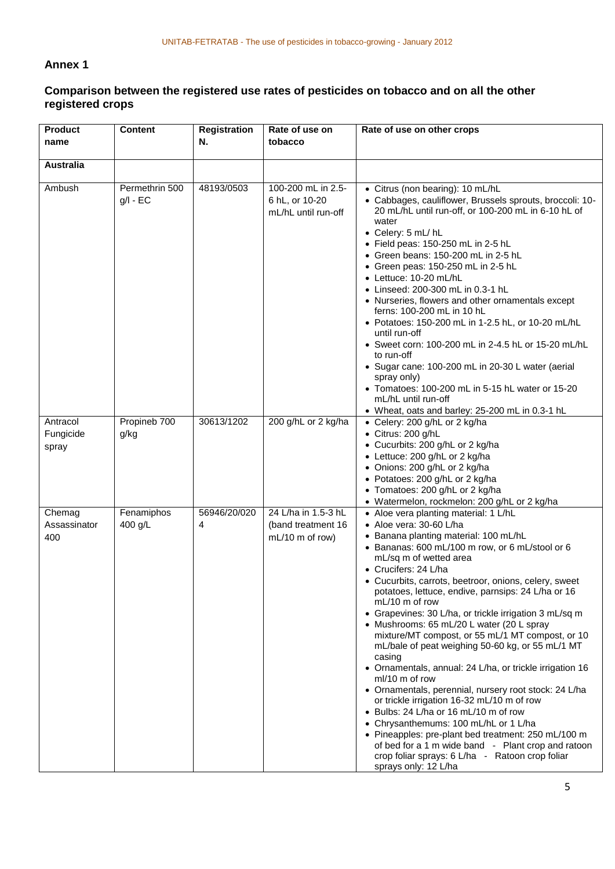### **Annex 1**

## **Comparison between the registered use rates of pesticides on tobacco and on all the other registered crops**

| <b>Product</b><br>name         | <b>Content</b>               | <b>Registration</b><br>N. | Rate of use on<br>tobacco                                    | Rate of use on other crops                                                                                                                                                                                                                                                                                                                                                                                                                                                                                                                                                                                                                                                                                                                                                                                                                                                                                                                                                                                                              |
|--------------------------------|------------------------------|---------------------------|--------------------------------------------------------------|-----------------------------------------------------------------------------------------------------------------------------------------------------------------------------------------------------------------------------------------------------------------------------------------------------------------------------------------------------------------------------------------------------------------------------------------------------------------------------------------------------------------------------------------------------------------------------------------------------------------------------------------------------------------------------------------------------------------------------------------------------------------------------------------------------------------------------------------------------------------------------------------------------------------------------------------------------------------------------------------------------------------------------------------|
| <b>Australia</b>               |                              |                           |                                                              |                                                                                                                                                                                                                                                                                                                                                                                                                                                                                                                                                                                                                                                                                                                                                                                                                                                                                                                                                                                                                                         |
| Ambush                         | Permethrin 500<br>$g/I - EC$ | 48193/0503                | 100-200 mL in 2.5-<br>6 hL, or 10-20<br>mL/hL until run-off  | • Citrus (non bearing): 10 mL/hL<br>• Cabbages, cauliflower, Brussels sprouts, broccoli: 10-<br>20 mL/hL until run-off, or 100-200 mL in 6-10 hL of<br>water<br>• Celery: 5 mL/hL<br>• Field peas: 150-250 mL in 2-5 hL<br>• Green beans: $150-200$ mL in 2-5 hL<br>• Green peas: 150-250 mL in 2-5 hL<br>• Lettuce: 10-20 mL/hL<br>• Linseed: 200-300 mL in 0.3-1 hL<br>• Nurseries, flowers and other ornamentals except<br>ferns: 100-200 mL in 10 hL<br>• Potatoes: 150-200 mL in 1-2.5 hL, or 10-20 mL/hL<br>until run-off<br>• Sweet corn: 100-200 mL in 2-4.5 hL or 15-20 mL/hL<br>to run-off<br>• Sugar cane: 100-200 mL in 20-30 L water (aerial<br>spray only)<br>• Tomatoes: 100-200 mL in 5-15 hL water or 15-20<br>mL/hL until run-off<br>• Wheat, oats and barley: 25-200 mL in 0.3-1 hL                                                                                                                                                                                                                                  |
| Antracol<br>Fungicide<br>spray | Propineb 700<br>g/kg         | 30613/1202                | 200 g/hL or 2 kg/ha                                          | • Celery: 200 g/hL or 2 kg/ha<br>• Citrus: 200 g/hL<br>• Cucurbits: 200 g/hL or 2 kg/ha<br>• Lettuce: 200 g/hL or 2 kg/ha<br>• Onions: 200 g/hL or 2 kg/ha<br>• Potatoes: 200 g/hL or 2 kg/ha<br>• Tomatoes: 200 g/hL or 2 kg/ha<br>• Watermelon, rockmelon: 200 g/hL or 2 kg/ha                                                                                                                                                                                                                                                                                                                                                                                                                                                                                                                                                                                                                                                                                                                                                        |
| Chemag<br>Assassinator<br>400  | Fenamiphos<br>400 g/L        | 56946/20/020<br>4         | 24 L/ha in 1.5-3 hL<br>(band treatment 16<br>mL/10 m of row) | • Aloe vera planting material: 1 L/hL<br>• Aloe vera: 30-60 L/ha<br>• Banana planting material: 100 mL/hL<br>• Bananas: 600 mL/100 m row, or 6 mL/stool or 6<br>mL/sq m of wetted area<br>• Crucifers: 24 L/ha<br>• Cucurbits, carrots, beetroor, onions, celery, sweet<br>potatoes, lettuce, endive, parnsips: 24 L/ha or 16<br>mL/10 m of row<br>• Grapevines: 30 L/ha, or trickle irrigation 3 mL/sq m<br>• Mushrooms: 65 mL/20 L water (20 L spray<br>mixture/MT compost, or 55 mL/1 MT compost, or 10<br>mL/bale of peat weighing 50-60 kg, or 55 mL/1 MT<br>casing<br>• Ornamentals, annual: 24 L/ha, or trickle irrigation 16<br>ml/10 m of row<br>• Ornamentals, perennial, nursery root stock: 24 L/ha<br>or trickle irrigation 16-32 mL/10 m of row<br>• Bulbs: 24 L/ha or 16 mL/10 m of row<br>• Chrysanthemums: 100 mL/hL or 1 L/ha<br>• Pineapples: pre-plant bed treatment: 250 mL/100 m<br>of bed for a 1 m wide band - Plant crop and ratoon<br>crop foliar sprays: 6 L/ha - Ratoon crop foliar<br>sprays only: 12 L/ha |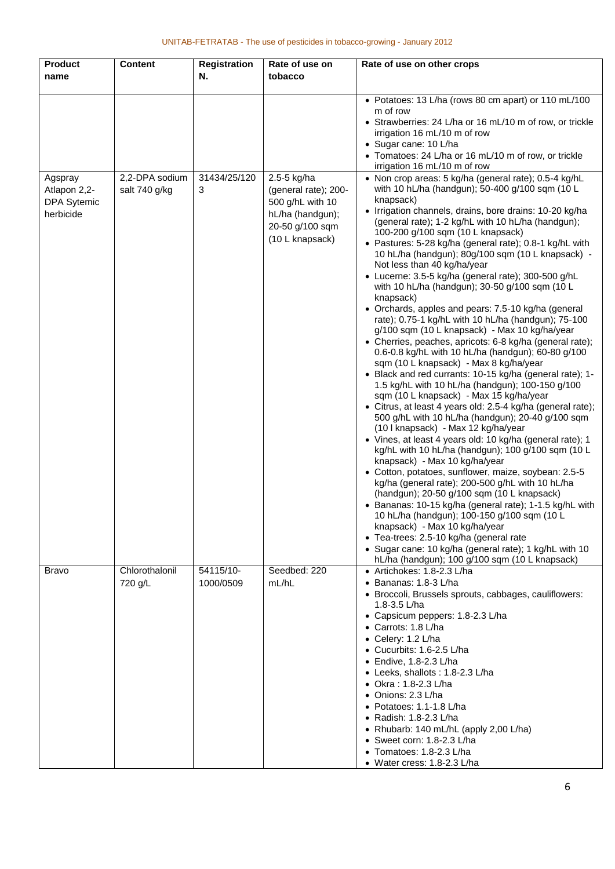| <b>Product</b>          | <b>Content</b>                  | <b>Registration</b>    | Rate of use on                      | Rate of use on other crops                                                                                                                            |
|-------------------------|---------------------------------|------------------------|-------------------------------------|-------------------------------------------------------------------------------------------------------------------------------------------------------|
| name                    |                                 | N.                     | tobacco                             |                                                                                                                                                       |
|                         |                                 |                        |                                     |                                                                                                                                                       |
|                         |                                 |                        |                                     | • Potatoes: 13 L/ha (rows 80 cm apart) or 110 mL/100<br>m of row                                                                                      |
|                         |                                 |                        |                                     | • Strawberries: 24 L/ha or 16 mL/10 m of row, or trickle                                                                                              |
|                         |                                 |                        |                                     | irrigation 16 mL/10 m of row                                                                                                                          |
|                         |                                 |                        |                                     | • Sugar cane: 10 L/ha                                                                                                                                 |
|                         |                                 |                        |                                     | • Tomatoes: 24 L/ha or 16 mL/10 m of row, or trickle<br>irrigation 16 mL/10 m of row                                                                  |
| Agspray<br>Atlapon 2,2- | 2,2-DPA sodium<br>salt 740 g/kg | 31434/25/120<br>3      | 2.5-5 kg/ha<br>(general rate); 200- | • Non crop areas: 5 kg/ha (general rate); 0.5-4 kg/hL<br>with 10 hL/ha (handgun); 50-400 g/100 sqm (10 L                                              |
| <b>DPA Sytemic</b>      |                                 |                        | 500 g/hL with 10                    | knapsack)                                                                                                                                             |
| herbicide               |                                 |                        | hL/ha (handgun);<br>20-50 g/100 sqm | • Irrigation channels, drains, bore drains: 10-20 kg/ha<br>(general rate); 1-2 kg/hL with 10 hL/ha (handgun);                                         |
|                         |                                 |                        | (10 L knapsack)                     | 100-200 g/100 sqm (10 L knapsack)<br>• Pastures: 5-28 kg/ha (general rate); 0.8-1 kg/hL with<br>10 hL/ha (handgun); 80g/100 sqm (10 L knapsack) -     |
|                         |                                 |                        |                                     | Not less than 40 kg/ha/year<br>• Lucerne: 3.5-5 kg/ha (general rate); 300-500 g/hL                                                                    |
|                         |                                 |                        |                                     | with 10 hL/ha (handgun); 30-50 g/100 sqm (10 L<br>knapsack)                                                                                           |
|                         |                                 |                        |                                     | • Orchards, apples and pears: 7.5-10 kg/ha (general<br>rate); 0.75-1 kg/hL with 10 hL/ha (handgun); 75-100                                            |
|                         |                                 |                        |                                     | g/100 sqm (10 L knapsack) - Max 10 kg/ha/year<br>• Cherries, peaches, apricots: 6-8 kg/ha (general rate);                                             |
|                         |                                 |                        |                                     | 0.6-0.8 kg/hL with 10 hL/ha (handgun); 60-80 g/100<br>sqm (10 L knapsack) - Max 8 kg/ha/year                                                          |
|                         |                                 |                        |                                     | • Black and red currants: 10-15 kg/ha (general rate); 1-<br>1.5 kg/hL with 10 hL/ha (handgun); 100-150 g/100                                          |
|                         |                                 |                        |                                     | sqm (10 L knapsack) - Max 15 kg/ha/year<br>• Citrus, at least 4 years old: 2.5-4 kg/ha (general rate);                                                |
|                         |                                 |                        |                                     | 500 g/hL with 10 hL/ha (handgun); 20-40 g/100 sqm<br>(10 I knapsack) - Max 12 kg/ha/year<br>• Vines, at least 4 years old: 10 kg/ha (general rate); 1 |
|                         |                                 |                        |                                     | kg/hL with 10 hL/ha (handgun); 100 g/100 sqm (10 L<br>knapsack) - Max 10 kg/ha/year                                                                   |
|                         |                                 |                        |                                     | • Cotton, potatoes, sunflower, maize, soybean: 2.5-5<br>kg/ha (general rate); 200-500 g/hL with 10 hL/ha                                              |
|                         |                                 |                        |                                     | (handgun); 20-50 g/100 sqm (10 L knapsack)<br>• Bananas: 10-15 kg/ha (general rate); 1-1.5 kg/hL with                                                 |
|                         |                                 |                        |                                     | 10 hL/ha (handgun); 100-150 g/100 sqm (10 L<br>knapsack) - Max 10 kg/ha/year                                                                          |
|                         |                                 |                        |                                     | • Tea-trees: 2.5-10 kg/ha (general rate                                                                                                               |
|                         |                                 |                        |                                     | • Sugar cane: 10 kg/ha (general rate); 1 kg/hL with 10<br>hL/ha (handgun); 100 g/100 sqm (10 L knapsack)                                              |
| <b>Bravo</b>            | Chlorothalonil<br>720 g/L       | 54115/10-<br>1000/0509 | Seedbed: 220<br>mL/hL               | • Artichokes: 1.8-2.3 L/ha<br>$\bullet$ Bananas: 1.8-3 L/ha                                                                                           |
|                         |                                 |                        |                                     | · Broccoli, Brussels sprouts, cabbages, cauliflowers:<br>1.8-3.5 L/ha                                                                                 |
|                         |                                 |                        |                                     | • Capsicum peppers: 1.8-2.3 L/ha<br>• Carrots: 1.8 L/ha                                                                                               |
|                         |                                 |                        |                                     | • Celery: 1.2 L/ha                                                                                                                                    |
|                         |                                 |                        |                                     | • Cucurbits: 1.6-2.5 L/ha                                                                                                                             |
|                         |                                 |                        |                                     | $\bullet$ Endive, 1.8-2.3 L/ha                                                                                                                        |
|                         |                                 |                        |                                     | • Leeks, shallots: 1.8-2.3 L/ha                                                                                                                       |
|                         |                                 |                        |                                     | • Okra: 1.8-2.3 L/ha<br>• Onions: 2.3 L/ha                                                                                                            |
|                         |                                 |                        |                                     | • Potatoes: 1.1-1.8 L/ha                                                                                                                              |
|                         |                                 |                        |                                     | • Radish: 1.8-2.3 L/ha                                                                                                                                |
|                         |                                 |                        |                                     | • Rhubarb: 140 mL/hL (apply 2,00 L/ha)                                                                                                                |
|                         |                                 |                        |                                     | • Sweet corn: $1.8-2.3$ L/ha                                                                                                                          |
|                         |                                 |                        |                                     | • Tomatoes: 1.8-2.3 L/ha<br>• Water cress: 1.8-2.3 L/ha                                                                                               |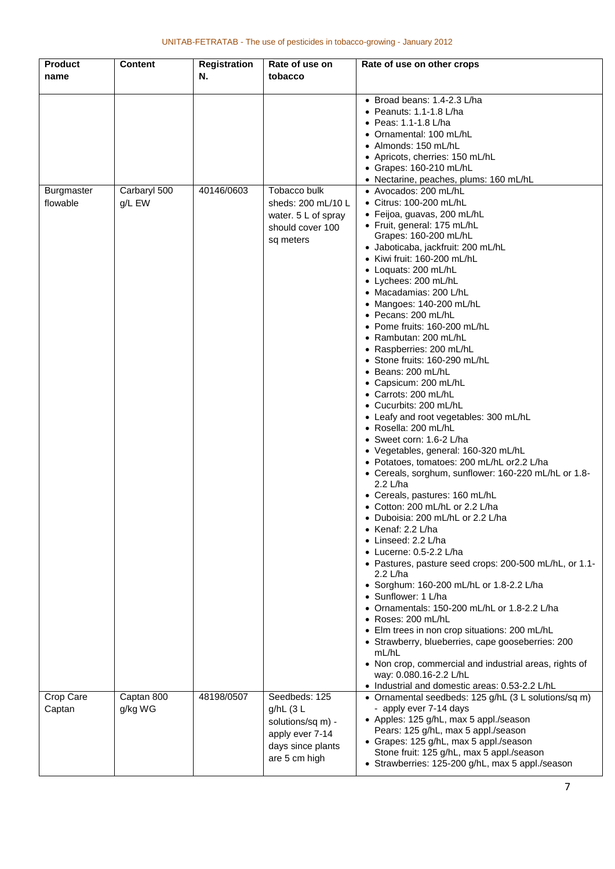| Product                       | <b>Content</b>         | <b>Registration</b> | Rate of use on                                                                                           | Rate of use on other crops                                                                                                                                                                                                                                                                                                                                                                                                                                                                                                                                                                                                                                                                                                                                                                                                                                                                                                                                                                                                                                                                                                                                                                                                                                                                                                                                        |
|-------------------------------|------------------------|---------------------|----------------------------------------------------------------------------------------------------------|-------------------------------------------------------------------------------------------------------------------------------------------------------------------------------------------------------------------------------------------------------------------------------------------------------------------------------------------------------------------------------------------------------------------------------------------------------------------------------------------------------------------------------------------------------------------------------------------------------------------------------------------------------------------------------------------------------------------------------------------------------------------------------------------------------------------------------------------------------------------------------------------------------------------------------------------------------------------------------------------------------------------------------------------------------------------------------------------------------------------------------------------------------------------------------------------------------------------------------------------------------------------------------------------------------------------------------------------------------------------|
| name                          |                        | N.                  | tobacco                                                                                                  |                                                                                                                                                                                                                                                                                                                                                                                                                                                                                                                                                                                                                                                                                                                                                                                                                                                                                                                                                                                                                                                                                                                                                                                                                                                                                                                                                                   |
| <b>Burgmaster</b><br>flowable | Carbaryl 500<br>g/L EW | 40146/0603          | Tobacco bulk<br>sheds: 200 mL/10 L<br>water. 5 L of spray<br>should cover 100                            | • Broad beans: 1.4-2.3 L/ha<br>$\bullet$ Peanuts: 1.1-1.8 L/ha<br>• Peas: 1.1-1.8 L/ha<br>• Ornamental: 100 mL/hL<br>• Almonds: 150 mL/hL<br>• Apricots, cherries: 150 mL/hL<br>• Grapes: 160-210 mL/hL<br>• Nectarine, peaches, plums: 160 mL/hL<br>• Avocados: 200 mL/hL<br>· Citrus: 100-200 mL/hL<br>· Feijoa, guavas, 200 mL/hL<br>• Fruit, general: 175 mL/hL                                                                                                                                                                                                                                                                                                                                                                                                                                                                                                                                                                                                                                                                                                                                                                                                                                                                                                                                                                                               |
|                               |                        |                     | sq meters                                                                                                | Grapes: 160-200 mL/hL<br>• Jaboticaba, jackfruit: 200 mL/hL<br>• Kiwi fruit: 160-200 mL/hL<br>• Loquats: 200 mL/hL<br>• Lychees: 200 mL/hL<br>• Macadamias: 200 L/hL<br>• Mangoes: 140-200 mL/hL<br>• Pecans: 200 mL/hL<br>• Pome fruits: 160-200 mL/hL<br>• Rambutan: 200 mL/hL<br>• Raspberries: 200 mL/hL<br>• Stone fruits: 160-290 mL/hL<br>• Beans: 200 mL/hL<br>• Capsicum: 200 mL/hL<br>• Carrots: 200 mL/hL<br>• Cucurbits: 200 mL/hL<br>• Leafy and root vegetables: 300 mL/hL<br>• Rosella: 200 mL/hL<br>• Sweet corn: 1.6-2 L/ha<br>• Vegetables, general: 160-320 mL/hL<br>• Potatoes, tomatoes: 200 mL/hL or2.2 L/ha<br>• Cereals, sorghum, sunflower: 160-220 mL/hL or 1.8-<br>2.2 L/ha<br>• Cereals, pastures: 160 mL/hL<br>• Cotton: 200 mL/hL or 2.2 L/ha<br>Duboisia: 200 mL/hL or 2.2 L/ha<br>• Kenaf: 2.2 L/ha<br>• Linseed: 2.2 L/ha<br>$\bullet$ Lucerne: 0.5-2.2 L/ha<br>• Pastures, pasture seed crops: 200-500 mL/hL, or 1.1-<br>2.2 L/ha<br>• Sorghum: 160-200 mL/hL or 1.8-2.2 L/ha<br>• Sunflower: 1 L/ha<br>• Ornamentals: 150-200 mL/hL or 1.8-2.2 L/ha<br>• Roses: 200 mL/hL<br>• Elm trees in non crop situations: 200 mL/hL<br>• Strawberry, blueberries, cape gooseberries: 200<br>mL/hL<br>• Non crop, commercial and industrial areas, rights of<br>way: 0.080.16-2.2 L/hL<br>• Industrial and domestic areas: 0.53-2.2 L/hL |
| Crop Care<br>Captan           | Captan 800<br>g/kg WG  | 48198/0507          | Seedbeds: 125<br>g/hL (3 L<br>solutions/sq m) -<br>apply ever 7-14<br>days since plants<br>are 5 cm high | • Ornamental seedbeds: 125 g/hL (3 L solutions/sq m)<br>- apply ever 7-14 days<br>• Apples: 125 g/hL, max 5 appl./season<br>Pears: 125 g/hL, max 5 appl./season<br>• Grapes: 125 g/hL, max 5 appl./season<br>Stone fruit: 125 g/hL, max 5 appl./season<br>• Strawberries: 125-200 g/hL, max 5 appl./season                                                                                                                                                                                                                                                                                                                                                                                                                                                                                                                                                                                                                                                                                                                                                                                                                                                                                                                                                                                                                                                        |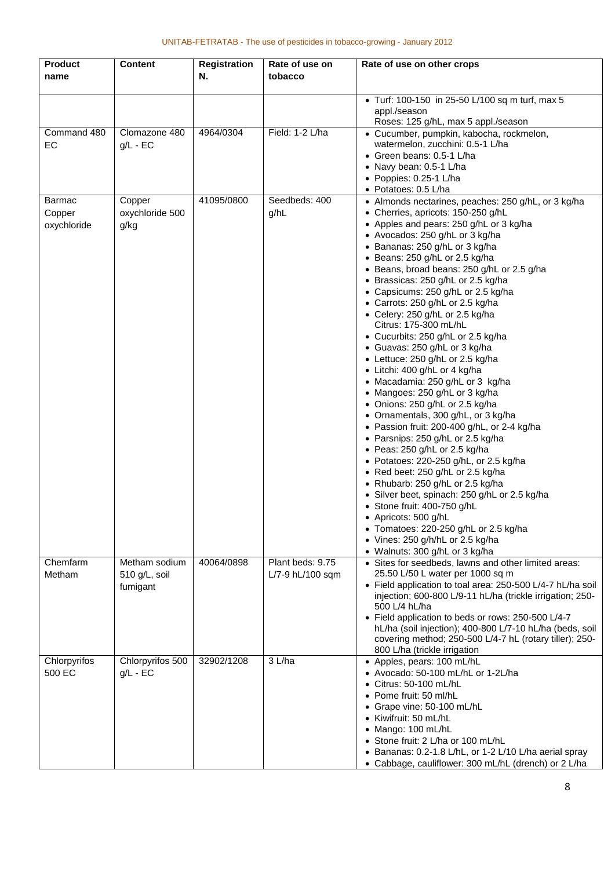| <b>Product</b> | <b>Content</b>   | <b>Registration</b> | Rate of use on   | Rate of use on other crops                                                              |
|----------------|------------------|---------------------|------------------|-----------------------------------------------------------------------------------------|
| name           |                  | N.                  | tobacco          |                                                                                         |
|                |                  |                     |                  |                                                                                         |
|                |                  |                     |                  | • Turf: 100-150 in 25-50 L/100 sq m turf, max 5                                         |
|                |                  |                     |                  | appl./season<br>Roses: 125 g/hL, max 5 appl./season                                     |
| Command 480    | Clomazone 480    | 4964/0304           | Field: 1-2 L/ha  | • Cucumber, pumpkin, kabocha, rockmelon,                                                |
| EC             | $g/L - EC$       |                     |                  | watermelon, zucchini: 0.5-1 L/ha                                                        |
|                |                  |                     |                  | • Green beans: 0.5-1 L/ha                                                               |
|                |                  |                     |                  | • Navy bean: 0.5-1 L/ha                                                                 |
|                |                  |                     |                  | • Poppies: 0.25-1 L/ha                                                                  |
|                |                  |                     |                  | • Potatoes: 0.5 L/ha                                                                    |
| <b>Barmac</b>  | Copper           | 41095/0800          | Seedbeds: 400    | • Almonds nectarines, peaches: 250 g/hL, or 3 kg/ha                                     |
| Copper         | oxychloride 500  |                     | g/hL             | • Cherries, apricots: 150-250 g/hL                                                      |
| oxychloride    | g/kg             |                     |                  | • Apples and pears: 250 g/hL or 3 kg/ha<br>• Avocados: 250 g/hL or 3 kg/ha              |
|                |                  |                     |                  | • Bananas: 250 g/hL or 3 kg/ha                                                          |
|                |                  |                     |                  | • Beans: 250 g/hL or 2.5 kg/ha                                                          |
|                |                  |                     |                  | • Beans, broad beans: 250 g/hL or 2.5 g/ha                                              |
|                |                  |                     |                  | • Brassicas: 250 g/hL or 2.5 kg/ha                                                      |
|                |                  |                     |                  | • Capsicums: 250 g/hL or 2.5 kg/ha                                                      |
|                |                  |                     |                  | • Carrots: 250 g/hL or 2.5 kg/ha                                                        |
|                |                  |                     |                  | • Celery: 250 g/hL or 2.5 kg/ha                                                         |
|                |                  |                     |                  | Citrus: 175-300 mL/hL<br>• Cucurbits: 250 g/hL or 2.5 kg/ha                             |
|                |                  |                     |                  | • Guavas: 250 g/hL or 3 kg/ha                                                           |
|                |                  |                     |                  | • Lettuce: 250 g/hL or 2.5 kg/ha                                                        |
|                |                  |                     |                  | • Litchi: 400 g/hL or 4 kg/ha                                                           |
|                |                  |                     |                  | • Macadamia: 250 g/hL or 3 kg/ha                                                        |
|                |                  |                     |                  | • Mangoes: 250 g/hL or 3 kg/ha                                                          |
|                |                  |                     |                  | • Onions: 250 g/hL or 2.5 kg/ha                                                         |
|                |                  |                     |                  | • Ornamentals, 300 g/hL, or 3 kg/ha                                                     |
|                |                  |                     |                  | • Passion fruit: 200-400 g/hL, or 2-4 kg/ha                                             |
|                |                  |                     |                  | • Parsnips: 250 g/hL or 2.5 kg/ha                                                       |
|                |                  |                     |                  | • Peas: 250 g/hL or 2.5 kg/ha<br>• Potatoes: 220-250 g/hL, or 2.5 kg/ha                 |
|                |                  |                     |                  | • Red beet: 250 g/hL or 2.5 kg/ha                                                       |
|                |                  |                     |                  | • Rhubarb: 250 g/hL or 2.5 kg/ha                                                        |
|                |                  |                     |                  | • Silver beet, spinach: 250 g/hL or 2.5 kg/ha                                           |
|                |                  |                     |                  | • Stone fruit: 400-750 g/hL                                                             |
|                |                  |                     |                  | • Apricots: 500 g/hL                                                                    |
|                |                  |                     |                  | • Tomatoes: 220-250 g/hL or 2.5 kg/ha                                                   |
|                |                  |                     |                  | • Vines: 250 g/h/hL or 2.5 kg/ha                                                        |
| Chemfarm       | Metham sodium    | 40064/0898          | Plant beds: 9.75 | • Walnuts: 300 g/hL or 3 kg/ha<br>• Sites for seedbeds, lawns and other limited areas:  |
| Metham         | 510 g/L, soil    |                     | L/7-9 hL/100 sqm | 25.50 L/50 L water per 1000 sq m                                                        |
|                | fumigant         |                     |                  | • Field application to toal area: 250-500 L/4-7 hL/ha soil                              |
|                |                  |                     |                  | injection; 600-800 L/9-11 hL/ha (trickle irrigation; 250-                               |
|                |                  |                     |                  | 500 L/4 hL/ha                                                                           |
|                |                  |                     |                  | • Field application to beds or rows: 250-500 L/4-7                                      |
|                |                  |                     |                  | hL/ha (soil injection); 400-800 L/7-10 hL/ha (beds, soil                                |
|                |                  |                     |                  | covering method; 250-500 L/4-7 hL (rotary tiller); 250-<br>800 L/ha (trickle irrigation |
| Chlorpyrifos   | Chlorpyrifos 500 | 32902/1208          | 3 L/ha           | • Apples, pears: 100 mL/hL                                                              |
| 500 EC         | $g/L$ - EC       |                     |                  | • Avocado: 50-100 mL/hL or 1-2L/ha                                                      |
|                |                  |                     |                  | $\bullet$ Citrus: 50-100 mL/hL                                                          |
|                |                  |                     |                  | • Pome fruit: 50 ml/hL                                                                  |
|                |                  |                     |                  | • Grape vine: 50-100 mL/hL                                                              |
|                |                  |                     |                  | • Kiwifruit: 50 mL/hL                                                                   |
|                |                  |                     |                  | • Mango: 100 mL/hL                                                                      |
|                |                  |                     |                  | • Stone fruit: 2 L/ha or 100 mL/hL                                                      |
|                |                  |                     |                  | • Bananas: 0.2-1.8 L/hL, or 1-2 L/10 L/ha aerial spray                                  |
|                |                  |                     |                  | • Cabbage, cauliflower: 300 mL/hL (drench) or 2 L/ha                                    |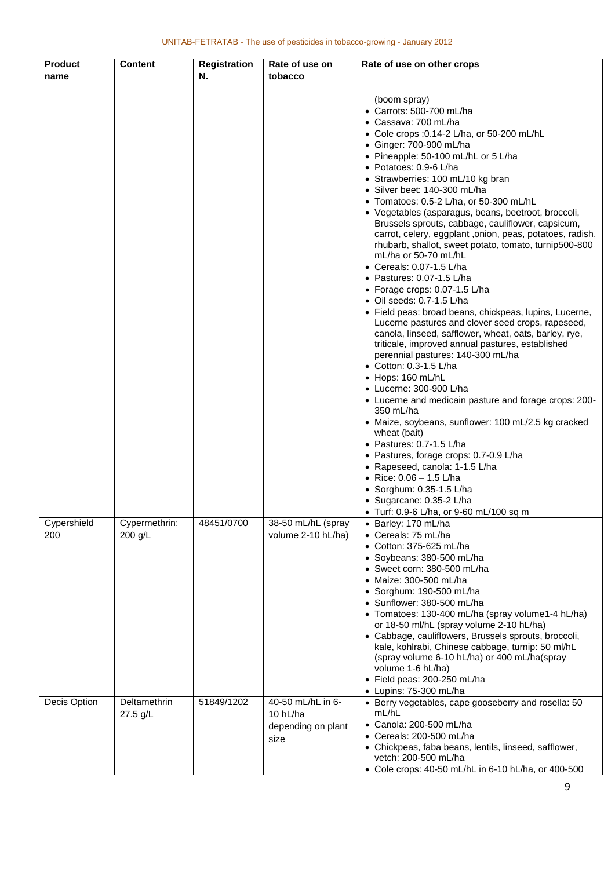| <b>Product</b>     | <b>Content</b>           | <b>Registration</b> | Rate of use on                                              | Rate of use on other crops                                                                                                                                                                                                                                                                                                                                                                                                                                                                                                                                                                                                                                                                                                                                                                                                                                                                                                                                                                                                                                                                                                                                                                                                                                                                                                                                                                                                                        |
|--------------------|--------------------------|---------------------|-------------------------------------------------------------|---------------------------------------------------------------------------------------------------------------------------------------------------------------------------------------------------------------------------------------------------------------------------------------------------------------------------------------------------------------------------------------------------------------------------------------------------------------------------------------------------------------------------------------------------------------------------------------------------------------------------------------------------------------------------------------------------------------------------------------------------------------------------------------------------------------------------------------------------------------------------------------------------------------------------------------------------------------------------------------------------------------------------------------------------------------------------------------------------------------------------------------------------------------------------------------------------------------------------------------------------------------------------------------------------------------------------------------------------------------------------------------------------------------------------------------------------|
| name               |                          | Ν.                  | tobacco                                                     |                                                                                                                                                                                                                                                                                                                                                                                                                                                                                                                                                                                                                                                                                                                                                                                                                                                                                                                                                                                                                                                                                                                                                                                                                                                                                                                                                                                                                                                   |
|                    |                          |                     |                                                             | (boom spray)<br>$\bullet$ Carrots: 500-700 mL/ha<br>• Cassava: 700 mL/ha<br>• Cole crops :0.14-2 L/ha, or 50-200 mL/hL<br>• Ginger: 700-900 mL/ha<br>• Pineapple: 50-100 mL/hL or 5 L/ha<br>• Potatoes: 0.9-6 L/ha<br>• Strawberries: 100 mL/10 kg bran<br>• Silver beet: 140-300 mL/ha<br>• Tomatoes: 0.5-2 L/ha, or 50-300 mL/hL<br>• Vegetables (asparagus, beans, beetroot, broccoli,<br>Brussels sprouts, cabbage, cauliflower, capsicum,<br>carrot, celery, eggplant, onion, peas, potatoes, radish,<br>rhubarb, shallot, sweet potato, tomato, turnip500-800<br>mL/ha or 50-70 mL/hL<br>$\bullet$ Cereals: 0.07-1.5 L/ha<br>$\bullet$ Pastures: 0.07-1.5 L/ha<br>• Forage crops: 0.07-1.5 L/ha<br>$\bullet$ Oil seeds: 0.7-1.5 L/ha<br>• Field peas: broad beans, chickpeas, lupins, Lucerne,<br>Lucerne pastures and clover seed crops, rapeseed,<br>canola, linseed, safflower, wheat, oats, barley, rye,<br>triticale, improved annual pastures, established<br>perennial pastures: 140-300 mL/ha<br>• Cotton: 0.3-1.5 L/ha<br>$\bullet$ Hops: 160 mL/hL<br>• Lucerne: 300-900 L/ha<br>• Lucerne and medicain pasture and forage crops: 200-<br>350 mL/ha<br>• Maize, soybeans, sunflower: 100 mL/2.5 kg cracked<br>wheat (bait)<br>$\bullet$ Pastures: 0.7-1.5 L/ha<br>• Pastures, forage crops: 0.7-0.9 L/ha<br>• Rapeseed, canola: 1-1.5 L/ha<br>• Rice: $0.06 - 1.5$ L/ha<br>• Sorghum: $0.35-1.5$ L/ha<br>• Sugarcane: 0.35-2 L/ha |
| Cypershield<br>200 | Cypermethrin:<br>200 g/L | 48451/0700          | 38-50 mL/hL (spray<br>volume 2-10 hL/ha)                    | • Turf: 0.9-6 L/ha, or 9-60 mL/100 sq m<br>• Barley: 170 mL/ha<br>• Cereals: 75 mL/ha<br>• Cotton: 375-625 mL/ha<br>· Soybeans: 380-500 mL/ha<br>· Sweet corn: 380-500 mL/ha<br>Maize: 300-500 mL/ha<br>Sorghum: 190-500 mL/ha<br>$\bullet$<br>• Sunflower: 380-500 mL/ha<br>• Tomatoes: 130-400 mL/ha (spray volume1-4 hL/ha)<br>or 18-50 ml/hL (spray volume 2-10 hL/ha)<br>• Cabbage, cauliflowers, Brussels sprouts, broccoli,<br>kale, kohlrabi, Chinese cabbage, turnip: 50 ml/hL<br>(spray volume 6-10 hL/ha) or 400 mL/ha(spray<br>volume 1-6 hL/ha)<br>• Field peas: 200-250 mL/ha<br>• Lupins: 75-300 mL/ha                                                                                                                                                                                                                                                                                                                                                                                                                                                                                                                                                                                                                                                                                                                                                                                                                             |
| Decis Option       | Deltamethrin<br>27.5 g/L | 51849/1202          | 40-50 mL/hL in 6-<br>10 hL/ha<br>depending on plant<br>size | • Berry vegetables, cape gooseberry and rosella: 50<br>mL/hL<br>• Canola: 200-500 mL/ha<br>$\bullet$ Cereals: 200-500 mL/ha<br>• Chickpeas, faba beans, lentils, linseed, safflower,<br>vetch: 200-500 mL/ha<br>• Cole crops: 40-50 mL/hL in 6-10 hL/ha, or 400-500                                                                                                                                                                                                                                                                                                                                                                                                                                                                                                                                                                                                                                                                                                                                                                                                                                                                                                                                                                                                                                                                                                                                                                               |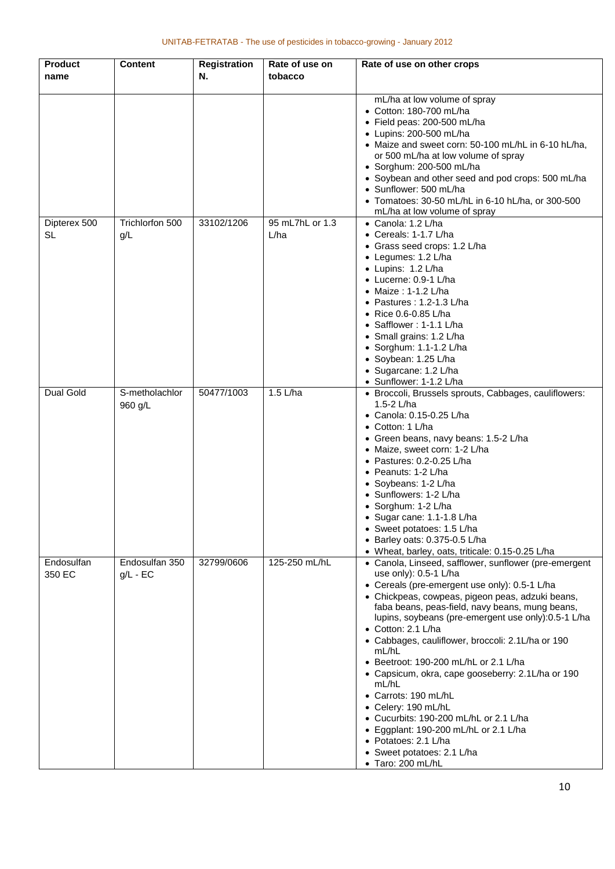| Product              | Content                      | <b>Registration</b> | Rate of use on          | Rate of use on other crops                                                                                                                                                                                                                                                                                                                                                                                                                                                                                                                                                                                                                                                                            |
|----------------------|------------------------------|---------------------|-------------------------|-------------------------------------------------------------------------------------------------------------------------------------------------------------------------------------------------------------------------------------------------------------------------------------------------------------------------------------------------------------------------------------------------------------------------------------------------------------------------------------------------------------------------------------------------------------------------------------------------------------------------------------------------------------------------------------------------------|
| name                 |                              | N.                  | tobacco                 |                                                                                                                                                                                                                                                                                                                                                                                                                                                                                                                                                                                                                                                                                                       |
|                      |                              |                     |                         | mL/ha at low volume of spray<br>• Cotton: 180-700 mL/ha<br>· Field peas: 200-500 mL/ha<br>• Lupins: 200-500 mL/ha<br>• Maize and sweet corn: 50-100 mL/hL in 6-10 hL/ha,<br>or 500 mL/ha at low volume of spray<br>· Sorghum: 200-500 mL/ha<br>• Soybean and other seed and pod crops: 500 mL/ha<br>• Sunflower: 500 mL/ha<br>• Tomatoes: 30-50 mL/hL in 6-10 hL/ha, or 300-500<br>mL/ha at low volume of spray                                                                                                                                                                                                                                                                                       |
| Dipterex 500<br>SL   | Trichlorfon 500<br>g/L       | 33102/1206          | 95 mL7hL or 1.3<br>L/ha | • Canola: 1.2 L/ha<br>• Cereals: 1-1.7 L/ha<br>• Grass seed crops: 1.2 L/ha<br>• Legumes: 1.2 L/ha<br>• Lupins: 1.2 L/ha<br>• Lucerne: 0.9-1 L/ha<br>• Maize: 1-1.2 L/ha<br>• Pastures: $1.2 - 1.3$ L/ha<br>• Rice 0.6-0.85 L/ha<br>• Safflower: 1-1.1 L/ha<br>• Small grains: 1.2 L/ha<br>$\bullet$ Sorghum: 1.1-1.2 L/ha<br>• Soybean: 1.25 L/ha<br>• Sugarcane: 1.2 L/ha<br>• Sunflower: 1-1.2 L/ha                                                                                                                                                                                                                                                                                                |
| Dual Gold            | S-metholachlor<br>960 g/L    | 50477/1003          | $1.5$ L/ha              | • Broccoli, Brussels sprouts, Cabbages, cauliflowers:<br>1.5-2 L/ha<br>• Canola: 0.15-0.25 L/ha<br>• Cotton: 1 L/ha<br>• Green beans, navy beans: 1.5-2 L/ha<br>• Maize, sweet corn: 1-2 L/ha<br>• Pastures: $0.2 - 0.25$ L/ha<br>• Peanuts: 1-2 L/ha<br>• Soybeans: 1-2 L/ha<br>• Sunflowers: 1-2 L/ha<br>• Sorghum: 1-2 L/ha<br>Sugar cane: 1.1-1.8 L/ha<br>• Sweet potatoes: 1.5 L/ha<br>$\bullet$ Barley oats: 0.375-0.5 L/ha<br>• Wheat, barley, oats, triticale: 0.15-0.25 L/ha                                                                                                                                                                                                                 |
| Endosulfan<br>350 EC | Endosulfan 350<br>$g/L$ - EC | 32799/0606          | 125-250 mL/hL           | • Canola, Linseed, safflower, sunflower (pre-emergent<br>use only): 0.5-1 L/ha<br>• Cereals (pre-emergent use only): 0.5-1 L/ha<br>• Chickpeas, cowpeas, pigeon peas, adzuki beans,<br>faba beans, peas-field, navy beans, mung beans,<br>lupins, soybeans (pre-emergent use only):0.5-1 L/ha<br>• Cotton: 2.1 L/ha<br>• Cabbages, cauliflower, broccoli: 2.1L/ha or 190<br>mL/hL<br>• Beetroot: 190-200 mL/hL or 2.1 L/ha<br>• Capsicum, okra, cape gooseberry: 2.1L/ha or 190<br>mL/hL<br>• Carrots: 190 mL/hL<br>• Celery: 190 mL/hL<br>• Cucurbits: 190-200 mL/hL or 2.1 L/ha<br>• Eggplant: 190-200 mL/hL or 2.1 L/ha<br>• Potatoes: 2.1 L/ha<br>• Sweet potatoes: 2.1 L/ha<br>• Taro: 200 mL/hL |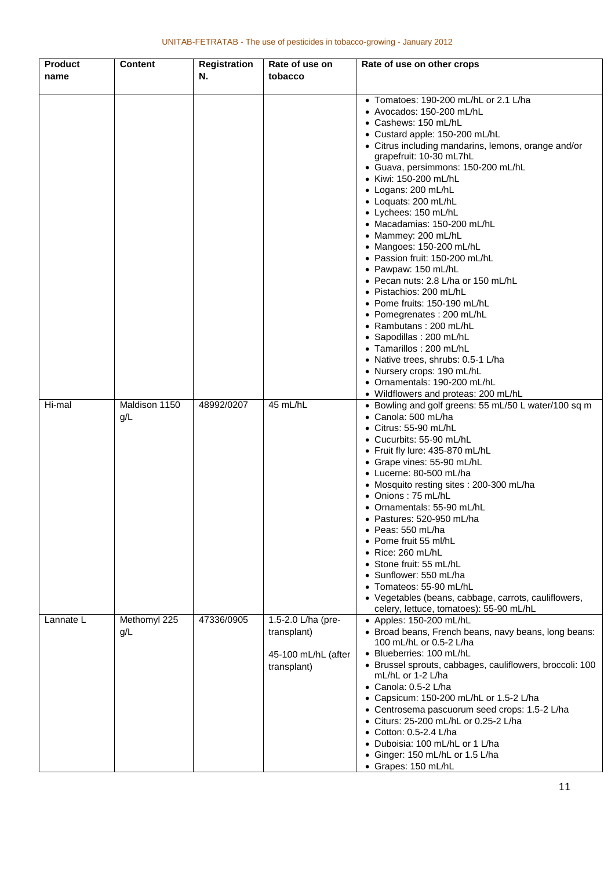| <b>Product</b><br>name | <b>Content</b>       | <b>Registration</b><br>Ν. | Rate of use on<br>tobacco                                               | Rate of use on other crops                                                                                                                                                                                                                                                                                                                                                                                                                                                                                                                                                                                                                                                                                                                                                                                                                                  |
|------------------------|----------------------|---------------------------|-------------------------------------------------------------------------|-------------------------------------------------------------------------------------------------------------------------------------------------------------------------------------------------------------------------------------------------------------------------------------------------------------------------------------------------------------------------------------------------------------------------------------------------------------------------------------------------------------------------------------------------------------------------------------------------------------------------------------------------------------------------------------------------------------------------------------------------------------------------------------------------------------------------------------------------------------|
|                        |                      |                           |                                                                         | • Tomatoes: 190-200 mL/hL or 2.1 L/ha<br>• Avocados: 150-200 mL/hL<br>• Cashews: 150 mL/hL<br>• Custard apple: 150-200 mL/hL<br>• Citrus including mandarins, lemons, orange and/or<br>grapefruit: 10-30 mL7hL<br>· Guava, persimmons: 150-200 mL/hL<br>• Kiwi: 150-200 mL/hL<br>• Logans: 200 mL/hL<br>• Loquats: 200 mL/hL<br>• Lychees: 150 mL/hL<br>• Macadamias: 150-200 mL/hL<br>• Mammey: 200 mL/hL<br>• Mangoes: 150-200 mL/hL<br>• Passion fruit: 150-200 mL/hL<br>• Pawpaw: 150 mL/hL<br>• Pecan nuts: 2.8 L/ha or 150 mL/hL<br>· Pistachios: 200 mL/hL<br>• Pome fruits: 150-190 mL/hL<br>• Pomegrenates: 200 mL/hL<br>• Rambutans: 200 mL/hL<br>· Sapodillas : 200 mL/hL<br>• Tamarillos: 200 mL/hL<br>• Native trees, shrubs: 0.5-1 L/ha<br>• Nursery crops: 190 mL/hL<br>• Ornamentals: 190-200 mL/hL<br>• Wildflowers and proteas: 200 mL/hL |
| Hi-mal                 | Maldison 1150<br>g/L | 48992/0207                | 45 mL/hL                                                                | • Bowling and golf greens: 55 mL/50 L water/100 sq m<br>• Canola: 500 mL/ha<br>$\bullet$ Citrus: 55-90 mL/hL<br>• Cucurbits: 55-90 mL/hL<br>• Fruit fly lure: 435-870 mL/hL<br>• Grape vines: 55-90 mL/hL<br>• Lucerne: 80-500 mL/ha<br>• Mosquito resting sites : 200-300 mL/ha<br>• Onions: 75 mL/hL<br>• Ornamentals: 55-90 mL/hL<br>· Pastures: 520-950 mL/ha<br>$\bullet$ Peas: 550 mL/ha<br>• Pome fruit 55 ml/hL<br>$\bullet$ Rice: 260 mL/hL<br>• Stone fruit: 55 mL/hL<br>• Sunflower: 550 mL/ha<br>• Tomateos: 55-90 mL/hL<br>• Vegetables (beans, cabbage, carrots, cauliflowers,<br>celery, lettuce, tomatoes): 55-90 mL/hL                                                                                                                                                                                                                     |
| Lannate L              | Methomyl 225<br>q/L  | 47336/0905                | 1.5-2.0 L/ha (pre-<br>transplant)<br>45-100 mL/hL (after<br>transplant) | • Apples: 150-200 mL/hL<br>• Broad beans, French beans, navy beans, long beans:<br>100 mL/hL or 0.5-2 L/ha<br>• Blueberries: 100 mL/hL<br>• Brussel sprouts, cabbages, cauliflowers, broccoli: 100<br>mL/hL or 1-2 L/ha<br>• Canola: 0.5-2 L/ha<br>• Capsicum: 150-200 mL/hL or 1.5-2 L/ha<br>• Centrosema pascuorum seed crops: 1.5-2 L/ha<br>• Citurs: 25-200 mL/hL or 0.25-2 L/ha<br>• Cotton: 0.5-2.4 L/ha<br>• Duboisia: 100 mL/hL or 1 L/ha<br>• Ginger: 150 mL/hL or 1.5 L/ha<br>• Grapes: 150 mL/hL                                                                                                                                                                                                                                                                                                                                                 |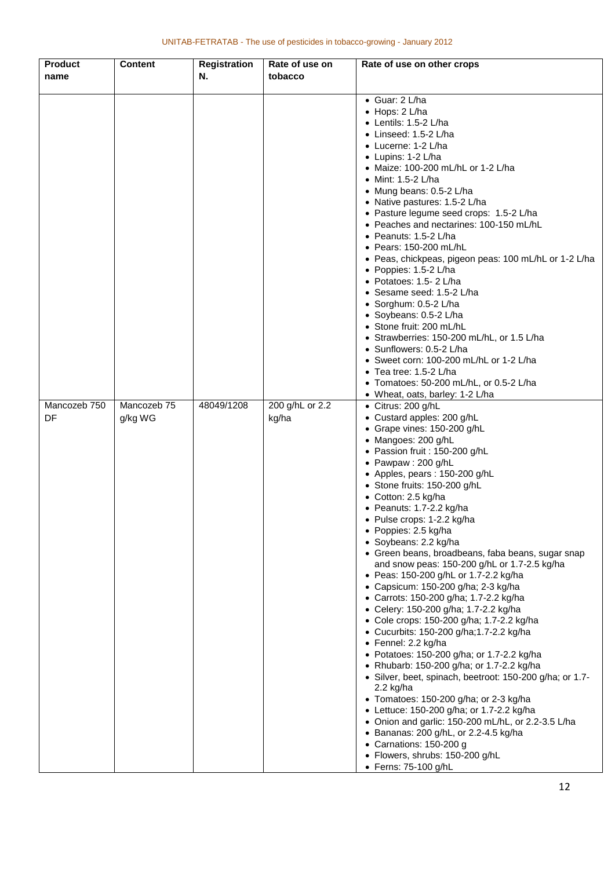| <b>Product</b> | <b>Content</b> | <b>Registration</b> | Rate of use on  | Rate of use on other crops                                     |
|----------------|----------------|---------------------|-----------------|----------------------------------------------------------------|
| name           |                | N.                  | tobacco         |                                                                |
|                |                |                     |                 |                                                                |
|                |                |                     |                 | • Guar: 2 L/ha                                                 |
|                |                |                     |                 | $\bullet$ Hops: 2 L/ha                                         |
|                |                |                     |                 | $\bullet$ Lentils: 1.5-2 L/ha                                  |
|                |                |                     |                 | $\bullet$ Linseed: 1.5-2 L/ha                                  |
|                |                |                     |                 | • Lucerne: 1-2 L/ha                                            |
|                |                |                     |                 | • Lupins: 1-2 L/ha                                             |
|                |                |                     |                 | • Maize: 100-200 mL/hL or 1-2 L/ha                             |
|                |                |                     |                 | ● Mint: 1.5-2 L/ha                                             |
|                |                |                     |                 | • Mung beans: 0.5-2 L/ha                                       |
|                |                |                     |                 | • Native pastures: 1.5-2 L/ha                                  |
|                |                |                     |                 | • Pasture legume seed crops: 1.5-2 L/ha                        |
|                |                |                     |                 | • Peaches and nectarines: 100-150 mL/hL                        |
|                |                |                     |                 | • Peanuts: 1.5-2 L/ha                                          |
|                |                |                     |                 | • Pears: 150-200 mL/hL                                         |
|                |                |                     |                 | • Peas, chickpeas, pigeon peas: 100 mL/hL or 1-2 L/ha          |
|                |                |                     |                 | • Poppies: 1.5-2 L/ha                                          |
|                |                |                     |                 | • Potatoes: 1.5-2 L/ha                                         |
|                |                |                     |                 | • Sesame seed: 1.5-2 L/ha                                      |
|                |                |                     |                 | · Sorghum: 0.5-2 L/ha                                          |
|                |                |                     |                 | • Soybeans: 0.5-2 L/ha                                         |
|                |                |                     |                 | • Stone fruit: 200 mL/hL                                       |
|                |                |                     |                 | • Strawberries: 150-200 mL/hL, or 1.5 L/ha                     |
|                |                |                     |                 | • Sunflowers: 0.5-2 L/ha                                       |
|                |                |                     |                 | • Sweet corn: 100-200 mL/hL or 1-2 L/ha                        |
|                |                |                     |                 | $\bullet$ Tea tree: 1.5-2 L/ha                                 |
|                |                |                     |                 | • Tomatoes: 50-200 mL/hL, or 0.5-2 L/ha                        |
| Mancozeb 750   | Mancozeb 75    | 48049/1208          | 200 g/hL or 2.2 | • Wheat, oats, barley: 1-2 L/ha                                |
| DF             |                |                     |                 | • Citrus: 200 g/hL<br>• Custard apples: 200 g/hL               |
|                | g/kg WG        |                     | kg/ha           | • Grape vines: 150-200 g/hL                                    |
|                |                |                     |                 | • Mangoes: 200 g/hL                                            |
|                |                |                     |                 | • Passion fruit : 150-200 g/hL                                 |
|                |                |                     |                 | • Pawpaw: 200 g/hL                                             |
|                |                |                     |                 | • Apples, pears : 150-200 g/hL                                 |
|                |                |                     |                 | • Stone fruits: 150-200 g/hL                                   |
|                |                |                     |                 | • Cotton: 2.5 kg/ha                                            |
|                |                |                     |                 | • Peanuts: 1.7-2.2 kg/ha                                       |
|                |                |                     |                 | • Pulse crops: 1-2.2 kg/ha                                     |
|                |                |                     |                 | • Poppies: 2.5 kg/ha                                           |
|                |                |                     |                 | · Soybeans: 2.2 kg/ha                                          |
|                |                |                     |                 | • Green beans, broadbeans, faba beans, sugar snap              |
|                |                |                     |                 | and snow peas: 150-200 g/hL or 1.7-2.5 kg/ha                   |
|                |                |                     |                 | • Peas: 150-200 g/hL or 1.7-2.2 kg/ha                          |
|                |                |                     |                 | • Capsicum: 150-200 g/ha; 2-3 kg/ha                            |
|                |                |                     |                 | • Carrots: 150-200 g/ha; 1.7-2.2 kg/ha                         |
|                |                |                     |                 | • Celery: 150-200 g/ha; 1.7-2.2 kg/ha                          |
|                |                |                     |                 | • Cole crops: 150-200 g/ha; 1.7-2.2 kg/ha                      |
|                |                |                     |                 | • Cucurbits: 150-200 g/ha;1.7-2.2 kg/ha<br>• Fennel: 2.2 kg/ha |
|                |                |                     |                 | • Potatoes: 150-200 g/ha; or 1.7-2.2 kg/ha                     |
|                |                |                     |                 | • Rhubarb: 150-200 g/ha; or 1.7-2.2 kg/ha                      |
|                |                |                     |                 | • Silver, beet, spinach, beetroot: 150-200 g/ha; or 1.7-       |
|                |                |                     |                 | 2.2 kg/ha                                                      |
|                |                |                     |                 | • Tomatoes: 150-200 g/ha; or 2-3 kg/ha                         |
|                |                |                     |                 | • Lettuce: 150-200 g/ha; or 1.7-2.2 kg/ha                      |
|                |                |                     |                 | • Onion and garlic: 150-200 mL/hL, or 2.2-3.5 L/ha             |
|                |                |                     |                 | • Bananas: 200 g/hL, or 2.2-4.5 kg/ha                          |
|                |                |                     |                 | • Carnations: 150-200 g                                        |
|                |                |                     |                 | · Flowers, shrubs: 150-200 g/hL                                |
|                |                |                     |                 | • Ferns: 75-100 g/hL                                           |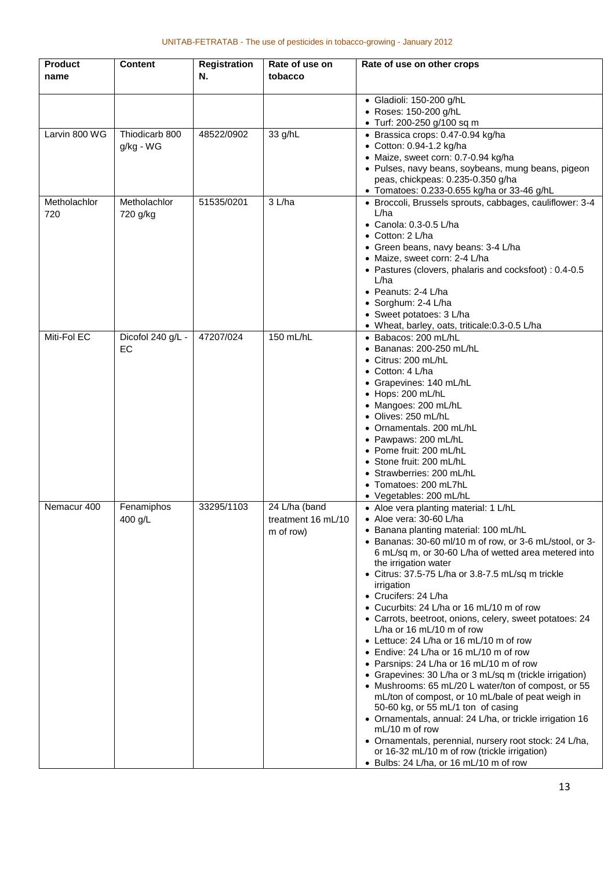| <b>Product</b><br>name | <b>Content</b>              | <b>Registration</b><br>Ν. | Rate of use on<br>tobacco                        | Rate of use on other crops                                                                                                                                                                                                                                                                                                                                                                                                                                                                                                                                                                                                                                                                                                                                                                                                                                                                                                                                                                                                                                             |
|------------------------|-----------------------------|---------------------------|--------------------------------------------------|------------------------------------------------------------------------------------------------------------------------------------------------------------------------------------------------------------------------------------------------------------------------------------------------------------------------------------------------------------------------------------------------------------------------------------------------------------------------------------------------------------------------------------------------------------------------------------------------------------------------------------------------------------------------------------------------------------------------------------------------------------------------------------------------------------------------------------------------------------------------------------------------------------------------------------------------------------------------------------------------------------------------------------------------------------------------|
|                        |                             |                           |                                                  | • Gladioli: 150-200 g/hL<br>• Roses: 150-200 g/hL<br>• Turf: 200-250 g/100 sq m                                                                                                                                                                                                                                                                                                                                                                                                                                                                                                                                                                                                                                                                                                                                                                                                                                                                                                                                                                                        |
| Larvin 800 WG          | Thiodicarb 800<br>g/kg - WG | 48522/0902                | 33 g/hL                                          | • Brassica crops: 0.47-0.94 kg/ha<br>• Cotton: 0.94-1.2 kg/ha<br>• Maize, sweet corn: 0.7-0.94 kg/ha<br>• Pulses, navy beans, soybeans, mung beans, pigeon<br>peas, chickpeas: 0.235-0.350 g/ha<br>• Tomatoes: 0.233-0.655 kg/ha or 33-46 g/hL                                                                                                                                                                                                                                                                                                                                                                                                                                                                                                                                                                                                                                                                                                                                                                                                                         |
| Metholachlor<br>720    | Metholachlor<br>720 g/kg    | 51535/0201                | 3 L/ha                                           | • Broccoli, Brussels sprouts, cabbages, cauliflower: 3-4<br>L/ha<br>• Canola: 0.3-0.5 L/ha<br>• Cotton: 2 L/ha<br>• Green beans, navy beans: 3-4 L/ha<br>• Maize, sweet corn: 2-4 L/ha<br>• Pastures (clovers, phalaris and cocksfoot) : 0.4-0.5<br>L/ha<br>• Peanuts: 2-4 L/ha<br>· Sorghum: 2-4 L/ha<br>• Sweet potatoes: 3 L/ha<br>• Wheat, barley, oats, triticale: 0.3-0.5 L/ha                                                                                                                                                                                                                                                                                                                                                                                                                                                                                                                                                                                                                                                                                   |
| Miti-Fol EC            | Dicofol 240 g/L -<br>EC     | 47207/024                 | 150 mL/hL                                        | • Babacos: 200 mL/hL<br>$\bullet$ Bananas: 200-250 mL/hL<br>• Citrus: 200 mL/hL<br>• Cotton: 4 L/ha<br>• Grapevines: 140 mL/hL<br>• Hops: 200 mL/hL<br>• Mangoes: 200 mL/hL<br>• Olives: 250 mL/hL<br>• Ornamentals. 200 mL/hL<br>• Pawpaws: 200 mL/hL<br>• Pome fruit: 200 mL/hL<br>• Stone fruit: 200 mL/hL<br>• Strawberries: 200 mL/hL<br>• Tomatoes: 200 mL7hL<br>• Vegetables: 200 mL/hL                                                                                                                                                                                                                                                                                                                                                                                                                                                                                                                                                                                                                                                                         |
| Nemacur 400            | Fenamiphos<br>400 g/L       | 33295/1103                | 24 L/ha (band<br>treatment 16 mL/10<br>m of row) | • Aloe vera planting material: 1 L/hL<br>• Aloe vera: 30-60 L/ha<br>• Banana planting material: 100 mL/hL<br>• Bananas: 30-60 ml/10 m of row, or 3-6 mL/stool, or 3-<br>6 mL/sq m, or 30-60 L/ha of wetted area metered into<br>the irrigation water<br>• Citrus: 37.5-75 L/ha or 3.8-7.5 mL/sq m trickle<br>irrigation<br>• Crucifers: 24 L/ha<br>• Cucurbits: 24 L/ha or 16 mL/10 m of row<br>• Carrots, beetroot, onions, celery, sweet potatoes: 24<br>L/ha or 16 mL/10 m of row<br>• Lettuce: 24 L/ha or 16 mL/10 m of row<br>• Endive: 24 L/ha or 16 mL/10 m of row<br>• Parsnips: 24 L/ha or 16 mL/10 m of row<br>• Grapevines: 30 L/ha or 3 mL/sq m (trickle irrigation)<br>• Mushrooms: 65 mL/20 L water/ton of compost, or 55<br>mL/ton of compost, or 10 mL/bale of peat weigh in<br>50-60 kg, or 55 mL/1 ton of casing<br>· Ornamentals, annual: 24 L/ha, or trickle irrigation 16<br>$mL/10$ m of row<br>• Ornamentals, perennial, nursery root stock: 24 L/ha,<br>or 16-32 mL/10 m of row (trickle irrigation)<br>• Bulbs: 24 L/ha, or 16 mL/10 m of row |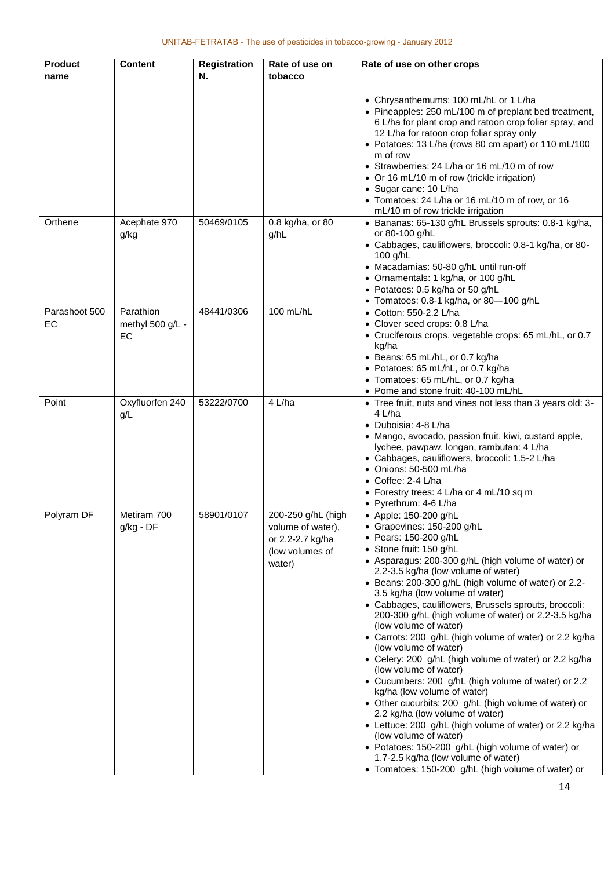| <b>Product</b><br>name | <b>Content</b>                      | <b>Registration</b><br>Ν. | Rate of use on<br>tobacco                                                                | Rate of use on other crops                                                                                                                                                                                                                                                                                                                                                                                                                                                                                                                                                                                                                                                                                                                                                                                                                                                                                                                                                                                                                 |
|------------------------|-------------------------------------|---------------------------|------------------------------------------------------------------------------------------|--------------------------------------------------------------------------------------------------------------------------------------------------------------------------------------------------------------------------------------------------------------------------------------------------------------------------------------------------------------------------------------------------------------------------------------------------------------------------------------------------------------------------------------------------------------------------------------------------------------------------------------------------------------------------------------------------------------------------------------------------------------------------------------------------------------------------------------------------------------------------------------------------------------------------------------------------------------------------------------------------------------------------------------------|
|                        |                                     |                           |                                                                                          | • Chrysanthemums: 100 mL/hL or 1 L/ha<br>• Pineapples: 250 mL/100 m of preplant bed treatment,<br>6 L/ha for plant crop and ratoon crop foliar spray, and<br>12 L/ha for ratoon crop foliar spray only<br>• Potatoes: 13 L/ha (rows 80 cm apart) or 110 mL/100<br>m of row<br>• Strawberries: 24 L/ha or 16 mL/10 m of row<br>• Or 16 mL/10 m of row (trickle irrigation)<br>• Sugar cane: 10 L/ha<br>• Tomatoes: 24 L/ha or 16 mL/10 m of row, or 16<br>mL/10 m of row trickle irrigation                                                                                                                                                                                                                                                                                                                                                                                                                                                                                                                                                 |
| Orthene                | Acephate 970<br>g/kg                | 50469/0105                | 0.8 kg/ha, or 80<br>g/hL                                                                 | · Bananas: 65-130 g/hL Brussels sprouts: 0.8-1 kg/ha,<br>or 80-100 g/hL<br>• Cabbages, cauliflowers, broccoli: 0.8-1 kg/ha, or 80-<br>100 g/hL<br>• Macadamias: 50-80 g/hL until run-off<br>• Ornamentals: 1 kg/ha, or 100 g/hL<br>• Potatoes: 0.5 kg/ha or 50 g/hL<br>• Tomatoes: 0.8-1 kg/ha, or 80-100 g/hL                                                                                                                                                                                                                                                                                                                                                                                                                                                                                                                                                                                                                                                                                                                             |
| Parashoot 500<br>EC    | Parathion<br>methyl 500 g/L -<br>EC | 48441/0306                | 100 mL/hL                                                                                | • Cotton: 550-2.2 L/ha<br>• Clover seed crops: 0.8 L/ha<br>• Cruciferous crops, vegetable crops: 65 mL/hL, or 0.7<br>kg/ha<br>• Beans: 65 mL/hL, or 0.7 kg/ha<br>• Potatoes: 65 mL/hL, or 0.7 kg/ha<br>• Tomatoes: 65 mL/hL, or 0.7 kg/ha<br>• Pome and stone fruit: 40-100 mL/hL                                                                                                                                                                                                                                                                                                                                                                                                                                                                                                                                                                                                                                                                                                                                                          |
| Point                  | Oxyfluorfen 240<br>g/L              | 53222/0700                | 4 L/ha                                                                                   | • Tree fruit, nuts and vines not less than 3 years old: 3-<br>4 L/ha<br>• Duboisia: 4-8 L/ha<br>• Mango, avocado, passion fruit, kiwi, custard apple,<br>lychee, pawpaw, longan, rambutan: 4 L/ha<br>• Cabbages, cauliflowers, broccoli: 1.5-2 L/ha<br>• Onions: 50-500 mL/ha<br>• Coffee: 2-4 L/ha<br>• Forestry trees: 4 L/ha or 4 mL/10 sq m<br>• Pyrethrum: 4-6 L/ha                                                                                                                                                                                                                                                                                                                                                                                                                                                                                                                                                                                                                                                                   |
| Polyram DF             | Metiram 700<br>g/kg - DF            | 58901/0107                | 200-250 g/hL (high<br>volume of water),<br>or 2.2-2.7 kg/ha<br>(low volumes of<br>water) | • Apple: 150-200 g/hL<br>• Grapevines: 150-200 g/hL<br>• Pears: 150-200 g/hL<br>• Stone fruit: 150 g/hL<br>• Asparagus: 200-300 g/hL (high volume of water) or<br>2.2-3.5 kg/ha (low volume of water)<br>• Beans: 200-300 g/hL (high volume of water) or 2.2-<br>3.5 kg/ha (low volume of water)<br>• Cabbages, cauliflowers, Brussels sprouts, broccoli:<br>200-300 g/hL (high volume of water) or 2.2-3.5 kg/ha<br>(low volume of water)<br>• Carrots: 200 g/hL (high volume of water) or 2.2 kg/ha<br>(low volume of water)<br>• Celery: 200 g/hL (high volume of water) or 2.2 kg/ha<br>(low volume of water)<br>• Cucumbers: 200 g/hL (high volume of water) or 2.2<br>kg/ha (low volume of water)<br>• Other cucurbits: 200 g/hL (high volume of water) or<br>2.2 kg/ha (low volume of water)<br>• Lettuce: 200 g/hL (high volume of water) or 2.2 kg/ha<br>(low volume of water)<br>• Potatoes: 150-200 g/hL (high volume of water) or<br>1.7-2.5 kg/ha (low volume of water)<br>• Tomatoes: 150-200 g/hL (high volume of water) or |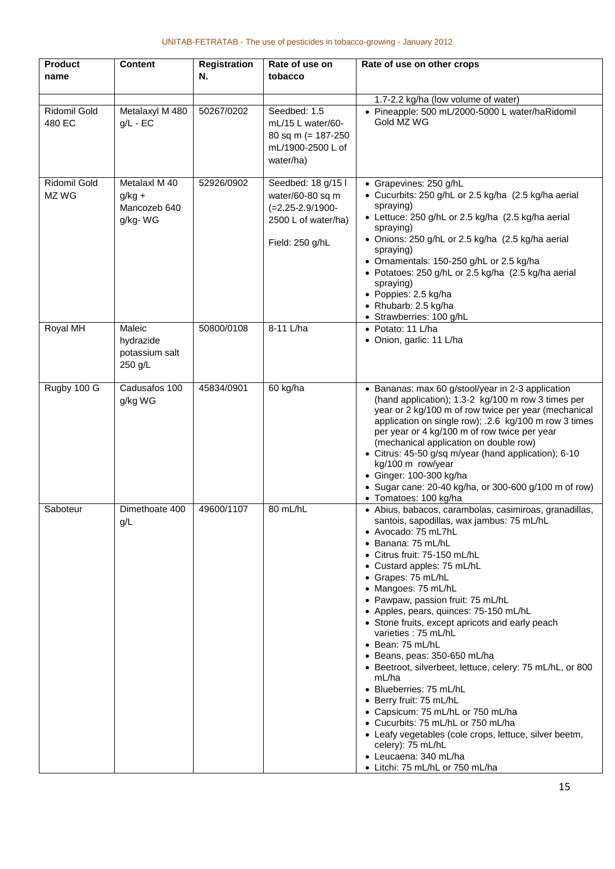| <b>Product</b><br>name | <b>Content</b>                                       | <b>Registration</b><br>N. | Rate of use on<br>tobacco                                                                                 | Rate of use on other crops                                                                                                                                                                                                                                                                                                                                                                                                                                                                                                                                                                                                                                                                                                                                                                                                 |
|------------------------|------------------------------------------------------|---------------------------|-----------------------------------------------------------------------------------------------------------|----------------------------------------------------------------------------------------------------------------------------------------------------------------------------------------------------------------------------------------------------------------------------------------------------------------------------------------------------------------------------------------------------------------------------------------------------------------------------------------------------------------------------------------------------------------------------------------------------------------------------------------------------------------------------------------------------------------------------------------------------------------------------------------------------------------------------|
|                        |                                                      |                           |                                                                                                           |                                                                                                                                                                                                                                                                                                                                                                                                                                                                                                                                                                                                                                                                                                                                                                                                                            |
| Ridomil Gold<br>480 EC | Metalaxyl M 480<br>$g/L$ - EC                        | 50267/0202                | Seedbed: 1.5<br>mL/15 L water/60-<br>80 sq m (= $187-250$<br>mL/1900-2500 L of<br>water/ha)               | 1.7-2.2 kg/ha (low volume of water)<br>• Pineapple: 500 mL/2000-5000 L water/haRidomil<br>Gold MZ WG                                                                                                                                                                                                                                                                                                                                                                                                                                                                                                                                                                                                                                                                                                                       |
| Ridomil Gold<br>MZ WG  | Metalaxl M 40<br>$g/kg +$<br>Mancozeb 640<br>g/kg-WG | 52926/0902                | Seedbed: 18 g/15 l<br>water/60-80 sq m<br>$(=2.25 - 2.9/1900 -$<br>2500 L of water/ha)<br>Field: 250 g/hL | • Grapevines: 250 g/hL<br>• Cucurbits: 250 g/hL or 2.5 kg/ha (2.5 kg/ha aerial<br>spraying)<br>• Lettuce: 250 g/hL or 2.5 kg/ha (2.5 kg/ha aerial<br>spraying)<br>• Onions: 250 g/hL or 2.5 kg/ha (2.5 kg/ha aerial<br>spraying)<br>• Ornamentals: 150-250 g/hL or 2.5 kg/ha<br>• Potatoes: 250 g/hL or 2.5 kg/ha (2.5 kg/ha aerial<br>spraying)<br>• Poppies: 2.5 kg/ha<br>• Rhubarb: 2.5 kg/ha<br>• Strawberries: 100 g/hL                                                                                                                                                                                                                                                                                                                                                                                               |
| <b>Royal MH</b>        | Maleic<br>hydrazide<br>potassium salt<br>250 g/L     | 50800/0108                | 8-11 L/ha                                                                                                 | • Potato: 11 L/ha<br>• Onion, garlic: 11 L/ha                                                                                                                                                                                                                                                                                                                                                                                                                                                                                                                                                                                                                                                                                                                                                                              |
| Rugby 100 G            | Cadusafos 100<br>g/kg WG                             | 45834/0901                | 60 kg/ha                                                                                                  | • Bananas: max 60 g/stool/year in 2-3 application<br>(hand application); 1.3-2 kg/100 m row 3 times per<br>year or 2 kg/100 m of row twice per year (mechanical<br>application on single row); .2.6 kg/100 m row 3 times<br>per year or 4 kg/100 m of row twice per year<br>(mechanical application on double row)<br>• Citrus: 45-50 g/sq m/year (hand application); 6-10<br>kg/100 m row/year<br>• Ginger: 100-300 kg/ha<br>• Sugar cane: 20-40 kg/ha, or 300-600 g/100 m of row)<br>• Tomatoes: 100 kg/ha                                                                                                                                                                                                                                                                                                               |
| Saboteur               | Dimethoate 400<br>g/L                                | 49600/1107                | 80 mL/hL                                                                                                  | · Abius, babacos, carambolas, casimiroas, granadillas,<br>santois, sapodillas, wax jambus: 75 mL/hL<br>• Avocado: 75 mL7hL<br>• Banana: 75 mL/hL<br>• Citrus fruit: 75-150 mL/hL<br>• Custard apples: 75 mL/hL<br>• Grapes: 75 mL/hL<br>• Mangoes: 75 mL/hL<br>• Pawpaw, passion fruit: 75 mL/hL<br>• Apples, pears, quinces: 75-150 mL/hL<br>• Stone fruits, except apricots and early peach<br>varieties: 75 mL/hL<br>• Bean: 75 mL/hL<br>• Beans, peas: 350-650 mL/ha<br>• Beetroot, silverbeet, lettuce, celery: 75 mL/hL, or 800<br>mL/ha<br>· Blueberries: 75 mL/hL<br>• Berry fruit: 75 mL/hL<br>• Capsicum: 75 mL/hL or 750 mL/ha<br>• Cucurbits: 75 mL/hL or 750 mL/ha<br>• Leafy vegetables (cole crops, lettuce, silver beetm,<br>celery): 75 mL/hL<br>• Leucaena: 340 mL/ha<br>• Litchi: 75 mL/hL or 750 mL/ha |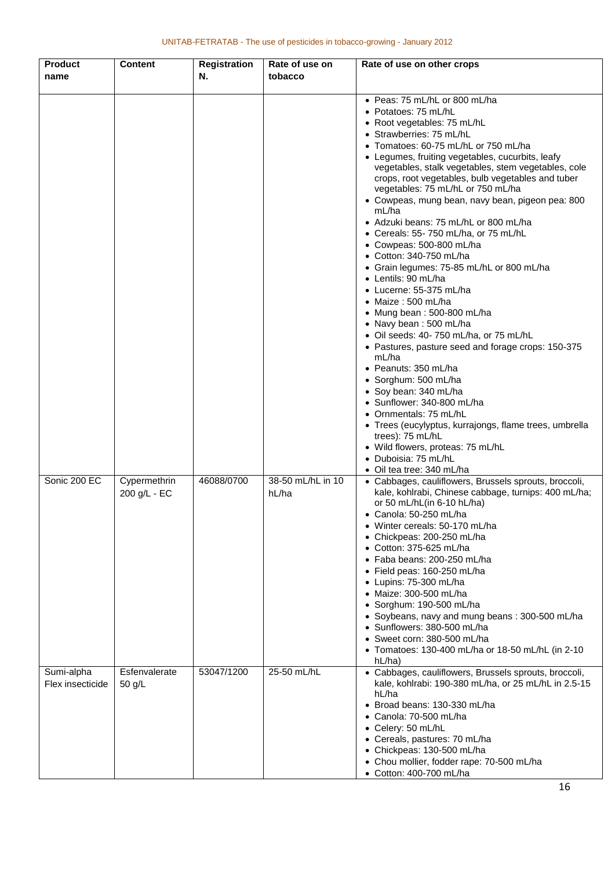| <b>Product</b>   | <b>Content</b> | <b>Registration</b> | Rate of use on    | Rate of use on other crops                                                         |
|------------------|----------------|---------------------|-------------------|------------------------------------------------------------------------------------|
| name             |                | N.                  | tobacco           |                                                                                    |
|                  |                |                     |                   | • Peas: 75 mL/hL or 800 mL/ha                                                      |
|                  |                |                     |                   | • Potatoes: 75 mL/hL                                                               |
|                  |                |                     |                   | • Root vegetables: 75 mL/hL                                                        |
|                  |                |                     |                   | • Strawberries: 75 mL/hL<br>• Tomatoes: 60-75 mL/hL or 750 mL/ha                   |
|                  |                |                     |                   | • Legumes, fruiting vegetables, cucurbits, leafy                                   |
|                  |                |                     |                   | vegetables, stalk vegetables, stem vegetables, cole                                |
|                  |                |                     |                   | crops, root vegetables, bulb vegetables and tuber                                  |
|                  |                |                     |                   | vegetables: 75 mL/hL or 750 mL/ha                                                  |
|                  |                |                     |                   | • Cowpeas, mung bean, navy bean, pigeon pea: 800                                   |
|                  |                |                     |                   | mL/ha<br>• Adzuki beans: 75 mL/hL or 800 mL/ha                                     |
|                  |                |                     |                   | • Cereals: 55-750 mL/ha, or 75 mL/hL                                               |
|                  |                |                     |                   | • Cowpeas: 500-800 mL/ha                                                           |
|                  |                |                     |                   | • Cotton: 340-750 mL/ha                                                            |
|                  |                |                     |                   | • Grain legumes: 75-85 mL/hL or 800 mL/ha                                          |
|                  |                |                     |                   | • Lentils: 90 mL/ha                                                                |
|                  |                |                     |                   | $\bullet$ Lucerne: 55-375 mL/ha                                                    |
|                  |                |                     |                   | $\bullet$ Maize : 500 mL/ha<br>• Mung bean: 500-800 mL/ha                          |
|                  |                |                     |                   | • Navy bean: 500 mL/ha                                                             |
|                  |                |                     |                   | · Oil seeds: 40-750 mL/ha, or 75 mL/hL                                             |
|                  |                |                     |                   | • Pastures, pasture seed and forage crops: 150-375                                 |
|                  |                |                     |                   | mL/ha                                                                              |
|                  |                |                     |                   | • Peanuts: 350 mL/ha                                                               |
|                  |                |                     |                   | • Sorghum: 500 mL/ha                                                               |
|                  |                |                     |                   | • Soy bean: 340 mL/ha<br>• Sunflower: 340-800 mL/ha                                |
|                  |                |                     |                   | • Ornmentals: 75 mL/hL                                                             |
|                  |                |                     |                   | • Trees (eucylyptus, kurrajongs, flame trees, umbrella                             |
|                  |                |                     |                   | trees): 75 mL/hL                                                                   |
|                  |                |                     |                   | • Wild flowers, proteas: 75 mL/hL                                                  |
|                  |                |                     |                   | • Duboisia: 75 mL/hL                                                               |
| Sonic 200 EC     | Cypermethrin   | 46088/0700          | 38-50 mL/hL in 10 | • Oil tea tree: 340 mL/ha<br>• Cabbages, cauliflowers, Brussels sprouts, broccoli, |
|                  | 200 g/L - EC   |                     | hL/ha             | kale, kohlrabi, Chinese cabbage, turnips: 400 mL/ha;                               |
|                  |                |                     |                   | or 50 mL/hL(in $6-10$ hL/ha)                                                       |
|                  |                |                     |                   | • Canola: 50-250 mL/ha                                                             |
|                  |                |                     |                   | • Winter cereals: 50-170 mL/ha                                                     |
|                  |                |                     |                   | • Chickpeas: 200-250 mL/ha                                                         |
|                  |                |                     |                   | • Cotton: 375-625 mL/ha<br>• Faba beans: 200-250 mL/ha                             |
|                  |                |                     |                   | • Field peas: 160-250 mL/ha                                                        |
|                  |                |                     |                   | • Lupins: 75-300 mL/ha                                                             |
|                  |                |                     |                   | • Maize: 300-500 mL/ha                                                             |
|                  |                |                     |                   | · Sorghum: 190-500 mL/ha                                                           |
|                  |                |                     |                   | • Soybeans, navy and mung beans: 300-500 mL/ha                                     |
|                  |                |                     |                   | • Sunflowers: 380-500 mL/ha<br>$\bullet$ Sweet corn: 380-500 mL/ha                 |
|                  |                |                     |                   | Tomatoes: 130-400 mL/ha or 18-50 mL/hL (in 2-10                                    |
|                  |                |                     |                   | hL/ha)                                                                             |
| Sumi-alpha       | Esfenvalerate  | 53047/1200          | 25-50 mL/hL       | • Cabbages, cauliflowers, Brussels sprouts, broccoli,                              |
| Flex insecticide | $50$ g/L       |                     |                   | kale, kohlrabi: 190-380 mL/ha, or 25 mL/hL in 2.5-15                               |
|                  |                |                     |                   | hL/ha<br>• Broad beans: 130-330 mL/ha                                              |
|                  |                |                     |                   | • Canola: 70-500 mL/ha                                                             |
|                  |                |                     |                   | • Celery: 50 mL/hL                                                                 |
|                  |                |                     |                   | • Cereals, pastures: 70 mL/ha                                                      |
|                  |                |                     |                   | • Chickpeas: 130-500 mL/ha                                                         |
|                  |                |                     |                   | • Chou mollier, fodder rape: 70-500 mL/ha                                          |
|                  |                |                     |                   | • Cotton: 400-700 mL/ha                                                            |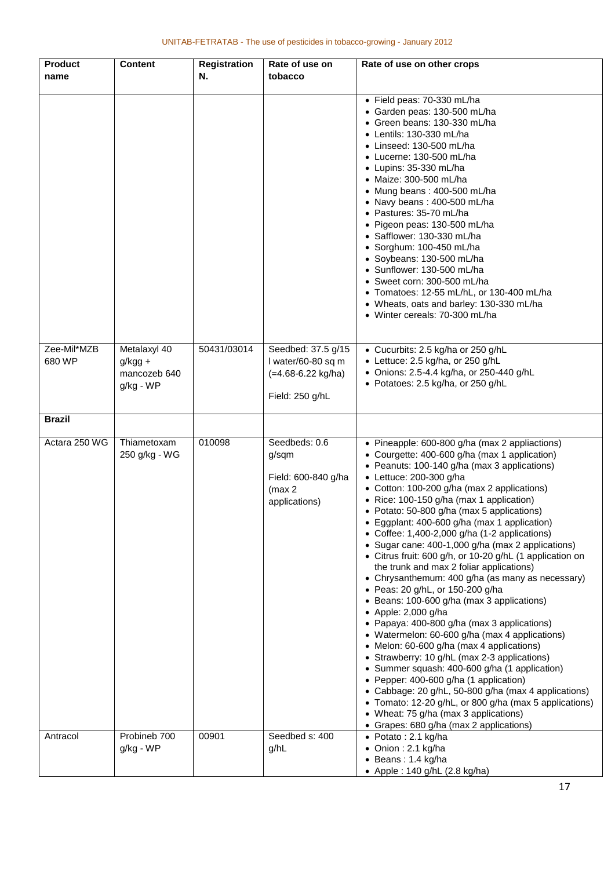| <b>Product</b>        | <b>Content</b>                            | <b>Registration</b> | Rate of use on                                                            | Rate of use on other crops                                                                                                                                                                                                                                                                                                                                                                                                                                                                                                                                                                                                                                                                                                                                                                                                                                                                                                                                                                                                                                                                                                                                                                                                                                       |
|-----------------------|-------------------------------------------|---------------------|---------------------------------------------------------------------------|------------------------------------------------------------------------------------------------------------------------------------------------------------------------------------------------------------------------------------------------------------------------------------------------------------------------------------------------------------------------------------------------------------------------------------------------------------------------------------------------------------------------------------------------------------------------------------------------------------------------------------------------------------------------------------------------------------------------------------------------------------------------------------------------------------------------------------------------------------------------------------------------------------------------------------------------------------------------------------------------------------------------------------------------------------------------------------------------------------------------------------------------------------------------------------------------------------------------------------------------------------------|
| name                  |                                           | N.                  | tobacco                                                                   |                                                                                                                                                                                                                                                                                                                                                                                                                                                                                                                                                                                                                                                                                                                                                                                                                                                                                                                                                                                                                                                                                                                                                                                                                                                                  |
|                       |                                           |                     |                                                                           | · Field peas: 70-330 mL/ha<br>• Garden peas: 130-500 mL/ha<br>• Green beans: 130-330 mL/ha<br>• Lentils: 130-330 mL/ha<br>$\bullet$ Linseed: 130-500 mL/ha<br>$\bullet$ Lucerne: 130-500 mL/ha<br>• Lupins: 35-330 mL/ha<br>• Maize: 300-500 mL/ha<br>• Mung beans: 400-500 mL/ha<br>• Navy beans: 400-500 mL/ha<br>• Pastures: 35-70 mL/ha<br>• Pigeon peas: 130-500 mL/ha<br>• Safflower: 130-330 mL/ha<br>$\bullet$ Sorghum: 100-450 mL/ha<br>• Soybeans: 130-500 mL/ha<br>• Sunflower: 130-500 mL/ha<br>• Sweet corn: 300-500 mL/ha<br>• Tomatoes: 12-55 mL/hL, or 130-400 mL/ha<br>• Wheats, oats and barley: 130-330 mL/ha<br>• Winter cereals: 70-300 mL/ha                                                                                                                                                                                                                                                                                                                                                                                                                                                                                                                                                                                               |
| Zee-Mil*MZB<br>680 WP | Metalaxyl 40<br>$g/kgg +$<br>mancozeb 640 | 50431/03014         | Seedbed: 37.5 g/15<br>I water/60-80 sq m<br>(=4.68-6.22 kg/ha)            | • Cucurbits: 2.5 kg/ha or 250 g/hL<br>• Lettuce: 2.5 kg/ha, or 250 g/hL<br>• Onions: 2.5-4.4 kg/ha, or 250-440 g/hL                                                                                                                                                                                                                                                                                                                                                                                                                                                                                                                                                                                                                                                                                                                                                                                                                                                                                                                                                                                                                                                                                                                                              |
|                       | g/kg - WP                                 |                     | Field: 250 g/hL                                                           | • Potatoes: 2.5 kg/ha, or 250 g/hL                                                                                                                                                                                                                                                                                                                                                                                                                                                                                                                                                                                                                                                                                                                                                                                                                                                                                                                                                                                                                                                                                                                                                                                                                               |
| <b>Brazil</b>         |                                           |                     |                                                                           |                                                                                                                                                                                                                                                                                                                                                                                                                                                                                                                                                                                                                                                                                                                                                                                                                                                                                                                                                                                                                                                                                                                                                                                                                                                                  |
| Actara 250 WG         | Thiametoxam<br>250 g/kg - WG              | 010098              | Seedbeds: 0.6<br>g/sqm<br>Field: 600-840 g/ha<br>(max 2)<br>applications) | • Pineapple: 600-800 g/ha (max 2 appliactions)<br>• Courgette: 400-600 g/ha (max 1 application)<br>• Peanuts: 100-140 g/ha (max 3 applications)<br>• Lettuce: 200-300 g/ha<br>• Cotton: 100-200 g/ha (max 2 applications)<br>• Rice: 100-150 g/ha (max 1 application)<br>• Potato: 50-800 g/ha (max 5 applications)<br>• Eggplant: 400-600 g/ha (max 1 application)<br>• Coffee: 1,400-2,000 g/ha (1-2 applications)<br>• Sugar cane: 400-1,000 g/ha (max 2 applications)<br>• Citrus fruit: 600 g/h, or 10-20 g/hL (1 application on<br>the trunk and max 2 foliar applications)<br>• Chrysanthemum: 400 g/ha (as many as necessary)<br>• Peas: 20 g/hL, or 150-200 g/ha<br>• Beans: 100-600 g/ha (max 3 applications)<br>$\bullet$ Apple: 2,000 g/ha<br>• Papaya: 400-800 g/ha (max 3 applications)<br>• Watermelon: 60-600 g/ha (max 4 applications)<br>Melon: 60-600 g/ha (max 4 applications)<br>$\bullet$<br>• Strawberry: 10 g/hL (max 2-3 applications)<br>• Summer squash: 400-600 g/ha (1 application)<br>• Pepper: 400-600 g/ha (1 application)<br>• Cabbage: 20 g/hL, 50-800 g/ha (max 4 applications)<br>• Tomato: 12-20 g/hL, or 800 g/ha (max 5 applications)<br>• Wheat: 75 g/ha (max 3 applications)<br>• Grapes: 680 g/ha (max 2 applications) |
| Antracol              | Probineb 700<br>g/kg - WP                 | 00901               | Seedbed s: 400<br>g/hL                                                    | • Potato: 2.1 kg/ha<br>• Onion : 2.1 kg/ha<br>• Beans: 1.4 kg/ha<br>• Apple : 140 g/hL (2.8 kg/ha)                                                                                                                                                                                                                                                                                                                                                                                                                                                                                                                                                                                                                                                                                                                                                                                                                                                                                                                                                                                                                                                                                                                                                               |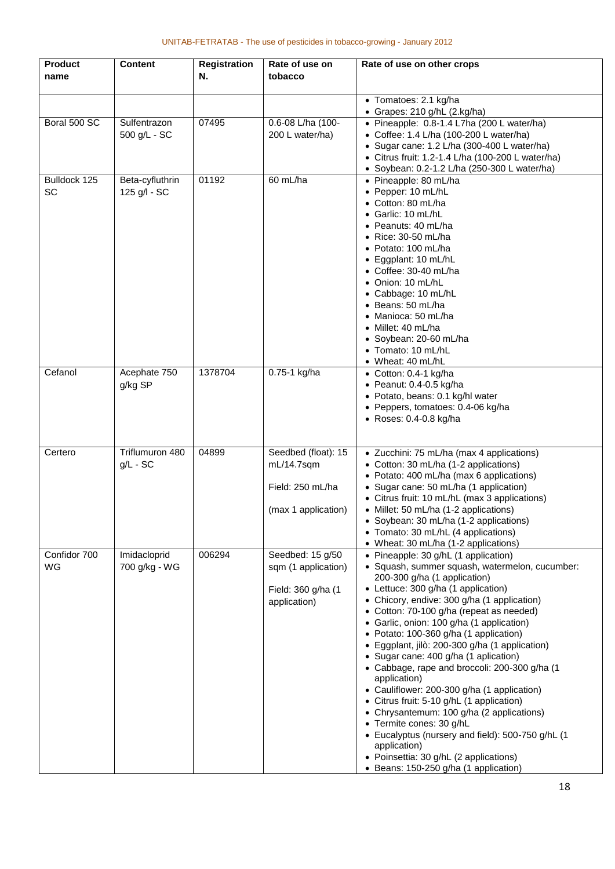| <b>Product</b><br>name    | <b>Content</b>                  | <b>Registration</b><br>N. | Rate of use on<br>tobacco                                                       | Rate of use on other crops                                                                                                                                                                                                                                                                                                                                                                                                                                                                                                                                                                                                                                                                                                                                                                                                         |
|---------------------------|---------------------------------|---------------------------|---------------------------------------------------------------------------------|------------------------------------------------------------------------------------------------------------------------------------------------------------------------------------------------------------------------------------------------------------------------------------------------------------------------------------------------------------------------------------------------------------------------------------------------------------------------------------------------------------------------------------------------------------------------------------------------------------------------------------------------------------------------------------------------------------------------------------------------------------------------------------------------------------------------------------|
|                           |                                 |                           |                                                                                 | • Tomatoes: 2.1 kg/ha<br>• Grapes: 210 g/hL (2.kg/ha)                                                                                                                                                                                                                                                                                                                                                                                                                                                                                                                                                                                                                                                                                                                                                                              |
| Boral 500 SC              | Sulfentrazon<br>500 g/L - SC    | 07495                     | 0.6-08 L/ha (100-<br>200 L water/ha)                                            | · Pineapple: 0.8-1.4 L7ha (200 L water/ha)<br>• Coffee: 1.4 L/ha (100-200 L water/ha)<br>• Sugar cane: 1.2 L/ha (300-400 L water/ha)<br>• Citrus fruit: 1.2-1.4 L/ha (100-200 L water/ha)<br>• Soybean: 0.2-1.2 L/ha (250-300 L water/ha)                                                                                                                                                                                                                                                                                                                                                                                                                                                                                                                                                                                          |
| Bulldock 125<br><b>SC</b> | Beta-cyfluthrin<br>125 g/l - SC | 01192                     | 60 mL/ha                                                                        | • Pineapple: 80 mL/ha<br>• Pepper: 10 mL/hL<br>• Cotton: 80 mL/ha<br>• Garlic: 10 mL/hL<br>• Peanuts: 40 mL/ha<br>• Rice: 30-50 mL/ha<br>• Potato: 100 mL/ha<br>• Eggplant: 10 mL/hL<br>• Coffee: 30-40 mL/ha<br>• Onion: 10 mL/hL<br>• Cabbage: 10 mL/hL<br>• Beans: 50 mL/ha<br>• Manioca: 50 mL/ha<br>• Millet: 40 mL/ha<br>• Soybean: 20-60 mL/ha<br>• Tomato: 10 mL/hL<br>• Wheat: 40 mL/hL                                                                                                                                                                                                                                                                                                                                                                                                                                   |
| Cefanol                   | Acephate 750<br>g/kg SP         | 1378704                   | 0.75-1 kg/ha                                                                    | • Cotton: 0.4-1 kg/ha<br>$\bullet$ Peanut: 0.4-0.5 kg/ha<br>· Potato, beans: 0.1 kg/hl water<br>• Peppers, tomatoes: 0.4-06 kg/ha<br>• Roses: 0.4-0.8 kg/ha                                                                                                                                                                                                                                                                                                                                                                                                                                                                                                                                                                                                                                                                        |
| Certero                   | Triflumuron 480<br>$g/L$ - SC   | 04899                     | Seedbed (float): 15<br>$mL/14.7$ sqm<br>Field: 250 mL/ha<br>(max 1 application) | • Zucchini: 75 mL/ha (max 4 applications)<br>• Cotton: 30 mL/ha (1-2 applications)<br>• Potato: 400 mL/ha (max 6 applications)<br>• Sugar cane: 50 mL/ha (1 application)<br>• Citrus fruit: 10 mL/hL (max 3 applications)<br>• Millet: 50 mL/ha (1-2 applications)<br>• Soybean: 30 mL/ha (1-2 applications)<br>• Tomato: 30 mL/hL (4 applications)<br>• Wheat: 30 mL/ha (1-2 applications)                                                                                                                                                                                                                                                                                                                                                                                                                                        |
| Confidor 700<br><b>WG</b> | Imidacloprid<br>700 g/kg - WG   | 006294                    | Seedbed: 15 g/50<br>sqm (1 application)<br>Field: 360 g/ha (1<br>application)   | • Pineapple: 30 g/hL (1 application)<br>· Squash, summer squash, watermelon, cucumber:<br>200-300 g/ha (1 application)<br>• Lettuce: 300 g/ha (1 application)<br>Chicory, endive: 300 g/ha (1 application)<br>• Cotton: 70-100 g/ha (repeat as needed)<br>Garlic, onion: 100 g/ha (1 application)<br>• Potato: 100-360 g/ha (1 application)<br>• Eggplant, jilò: 200-300 g/ha (1 application)<br>• Sugar cane: 400 g/ha (1 aplication)<br>• Cabbage, rape and broccoli: 200-300 g/ha (1<br>application)<br>• Cauliflower: 200-300 g/ha (1 application)<br>• Citrus fruit: 5-10 g/hL (1 application)<br>• Chrysantemum: 100 g/ha (2 applications)<br>Termite cones: 30 g/hL<br>• Eucalyptus (nursery and field): 500-750 g/hL (1<br>application)<br>• Poinsettia: 30 g/hL (2 applications)<br>• Beans: 150-250 g/ha (1 application) |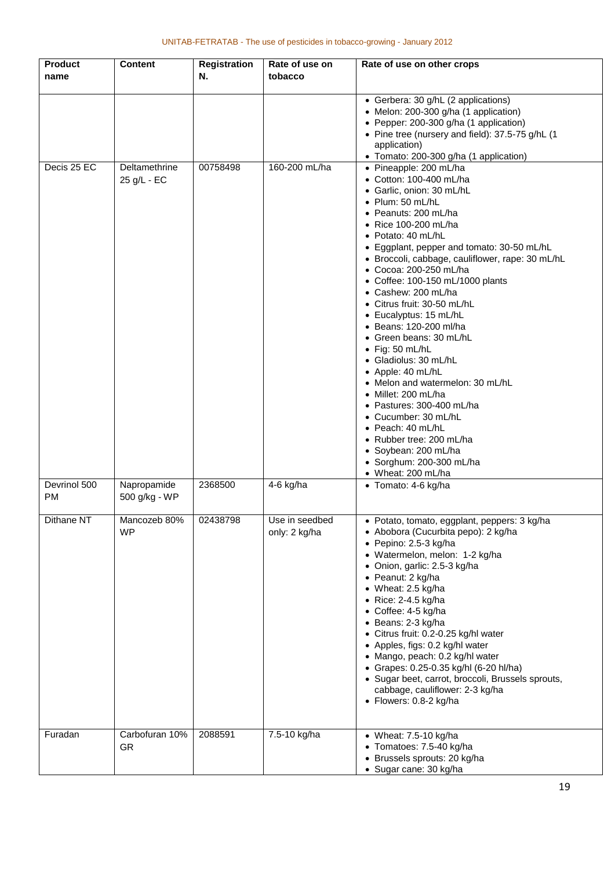| <b>Product</b><br>name | <b>Content</b>               | <b>Registration</b><br>N. | Rate of use on<br>tobacco       | Rate of use on other crops                                                                                                                                                                                                                                                                                                                                                                                                                                                                                                                                                                                                                                                                                                                                                                        |
|------------------------|------------------------------|---------------------------|---------------------------------|---------------------------------------------------------------------------------------------------------------------------------------------------------------------------------------------------------------------------------------------------------------------------------------------------------------------------------------------------------------------------------------------------------------------------------------------------------------------------------------------------------------------------------------------------------------------------------------------------------------------------------------------------------------------------------------------------------------------------------------------------------------------------------------------------|
|                        |                              |                           |                                 | • Gerbera: 30 g/hL (2 applications)<br>• Melon: 200-300 g/ha (1 application)<br>• Pepper: 200-300 g/ha (1 application)<br>• Pine tree (nursery and field): 37.5-75 g/hL (1<br>application)<br>• Tomato: 200-300 g/ha (1 application)                                                                                                                                                                                                                                                                                                                                                                                                                                                                                                                                                              |
| Decis 25 EC            | Deltamethrine<br>25 g/L - EC | 00758498                  | 160-200 mL/ha                   | • Pineapple: 200 mL/ha<br>• Cotton: 100-400 mL/ha<br>· Garlic, onion: 30 mL/hL<br>$\bullet$ Plum: 50 mL/hL<br>• Peanuts: 200 mL/ha<br>• Rice 100-200 mL/ha<br>· Potato: 40 mL/hL<br>• Eggplant, pepper and tomato: 30-50 mL/hL<br>• Broccoli, cabbage, cauliflower, rape: 30 mL/hL<br>• Cocoa: 200-250 mL/ha<br>• Coffee: 100-150 mL/1000 plants<br>• Cashew: 200 mL/ha<br>• Citrus fruit: 30-50 mL/hL<br>• Eucalyptus: 15 mL/hL<br>· Beans: 120-200 ml/ha<br>• Green beans: 30 mL/hL<br>· Fig: 50 mL/hL<br>• Gladiolus: 30 mL/hL<br>• Apple: 40 mL/hL<br>• Melon and watermelon: 30 mL/hL<br>• Millet: 200 mL/ha<br>• Pastures: 300-400 mL/ha<br>• Cucumber: 30 mL/hL<br>• Peach: 40 mL/hL<br>• Rubber tree: 200 mL/ha<br>· Soybean: 200 mL/ha<br>• Sorghum: 200-300 mL/ha<br>• Wheat: 200 mL/ha |
| Devrinol 500<br>PM     | Napropamide<br>500 g/kg - WP | 2368500                   | $4-6$ kg/ha                     | • Tomato: 4-6 kg/ha                                                                                                                                                                                                                                                                                                                                                                                                                                                                                                                                                                                                                                                                                                                                                                               |
| Dithane NT             | Mancozeb 80%<br><b>WP</b>    | 02438798                  | Use in seedbed<br>only: 2 kg/ha | • Potato, tomato, eggplant, peppers: 3 kg/ha<br>• Abobora (Cucurbita pepo): 2 kg/ha<br>$\bullet$ Pepino: 2.5-3 kg/ha<br>· Watermelon, melon: 1-2 kg/ha<br>• Onion, garlic: 2.5-3 kg/ha<br>• Peanut: 2 kg/ha<br>• Wheat: 2.5 kg/ha<br>$\bullet$ Rice: 2-4.5 kg/ha<br>$\bullet$ Coffee: 4-5 kg/ha<br>• Beans: 2-3 kg/ha<br>• Citrus fruit: 0.2-0.25 kg/hl water<br>• Apples, figs: 0.2 kg/hl water<br>• Mango, peach: 0.2 kg/hl water<br>• Grapes: 0.25-0.35 kg/hl (6-20 hl/ha)<br>• Sugar beet, carrot, broccoli, Brussels sprouts,<br>cabbage, cauliflower: 2-3 kg/ha<br>• Flowers: 0.8-2 kg/ha                                                                                                                                                                                                   |
| Furadan                | Carbofuran 10%<br><b>GR</b>  | 2088591                   | 7.5-10 kg/ha                    | $\bullet$ Wheat: 7.5-10 kg/ha<br>• Tomatoes: 7.5-40 kg/ha<br>• Brussels sprouts: 20 kg/ha<br>· Sugar cane: 30 kg/ha                                                                                                                                                                                                                                                                                                                                                                                                                                                                                                                                                                                                                                                                               |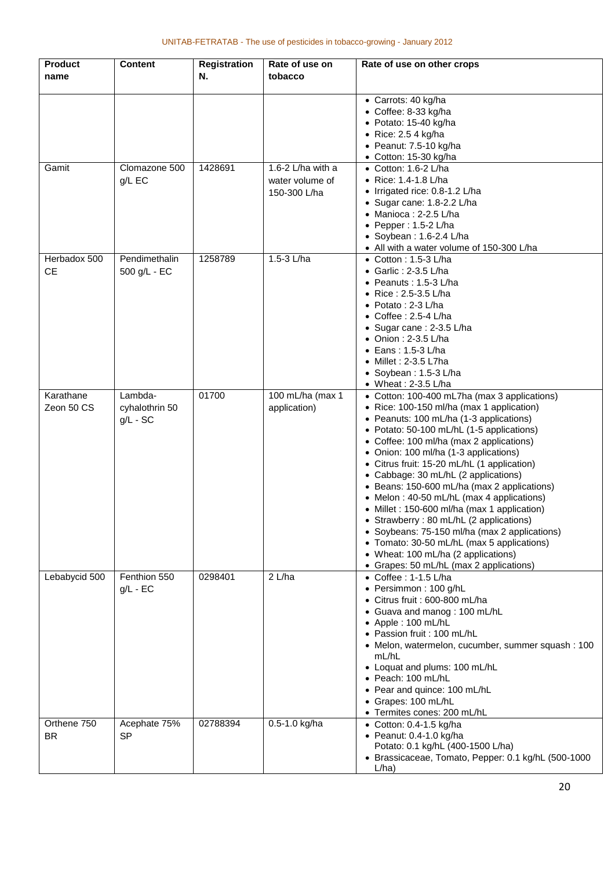| <b>Product</b><br>name    | <b>Content</b>                          | <b>Registration</b><br>N. | Rate of use on<br>tobacco                              | Rate of use on other crops                                                                                                                                                                                                                                                                                                                                                                                                                                                                                                                                                                                                                                                                                                              |
|---------------------------|-----------------------------------------|---------------------------|--------------------------------------------------------|-----------------------------------------------------------------------------------------------------------------------------------------------------------------------------------------------------------------------------------------------------------------------------------------------------------------------------------------------------------------------------------------------------------------------------------------------------------------------------------------------------------------------------------------------------------------------------------------------------------------------------------------------------------------------------------------------------------------------------------------|
|                           |                                         |                           |                                                        | • Carrots: 40 kg/ha<br>• Coffee: 8-33 kg/ha<br>• Potato: 15-40 kg/ha<br>$\bullet$ Rice: 2.5 4 kg/ha<br>· Peanut: 7.5-10 kg/ha<br>$\bullet$ Cotton: 15-30 kg/ha                                                                                                                                                                                                                                                                                                                                                                                                                                                                                                                                                                          |
| Gamit                     | Clomazone 500<br>g/L EC                 | 1428691                   | 1.6-2 $L/ha$ with a<br>water volume of<br>150-300 L/ha | $\bullet$ Cotton: 1.6-2 L/ha<br>• Rice: 1.4-1.8 L/ha<br>• Irrigated rice: 0.8-1.2 L/ha<br>• Sugar cane: 1.8-2.2 L/ha<br>• Manioca: 2-2.5 L/ha<br>• Pepper: $1.5-2$ L/ha<br>• Soybean: $1.6 - 2.4$ L/ha<br>• All with a water volume of 150-300 L/ha                                                                                                                                                                                                                                                                                                                                                                                                                                                                                     |
| Herbadox 500<br><b>CE</b> | Pendimethalin<br>500 g/L - EC           | 1258789                   | 1.5-3 L/ha                                             | $\bullet$ Cotton : 1.5-3 L/ha<br>$\bullet$ Garlic : 2-3.5 L/ha<br>$\bullet$ Peanuts : 1.5-3 L/ha<br>• Rice: 2.5-3.5 L/ha<br>• Potato: 2-3 L/ha<br>$\bullet$ Coffee : 2.5-4 L/ha<br>• Sugar cane: 2-3.5 L/ha<br>• Onion: 2-3.5 L/ha<br>$\bullet$ Eans: 1.5-3 L/ha<br>• Millet: 2-3.5 L7ha<br>• Soybean: 1.5-3 L/ha<br>• Wheat : 2-3.5 $L/ha$                                                                                                                                                                                                                                                                                                                                                                                             |
| Karathane<br>Zeon 50 CS   | Lambda-<br>cyhalothrin 50<br>$g/L - SC$ | 01700                     | 100 mL/ha (max 1<br>application)                       | • Cotton: 100-400 mL7ha (max 3 applications)<br>• Rice: 100-150 ml/ha (max 1 application)<br>• Peanuts: 100 mL/ha (1-3 applications)<br>• Potato: 50-100 mL/hL (1-5 applications)<br>• Coffee: 100 ml/ha (max 2 applications)<br>• Onion: 100 ml/ha (1-3 applications)<br>• Citrus fruit: 15-20 mL/hL (1 application)<br>• Cabbage: 30 mL/hL (2 applications)<br>• Beans: 150-600 mL/ha (max 2 applications)<br>• Melon : 40-50 mL/hL (max 4 applications)<br>• Millet : 150-600 ml/ha (max 1 application)<br>• Strawberry : 80 mL/hL (2 applications)<br>• Soybeans: 75-150 ml/ha (max 2 applications)<br>• Tomato: 30-50 mL/hL (max 5 applications)<br>• Wheat: 100 mL/ha (2 applications)<br>• Grapes: 50 mL/hL (max 2 applications) |
| Lebabycid 500             | Fenthion 550<br>$g/L - EC$              | 0298401                   | 2 L/ha                                                 | $\bullet$ Coffee : 1-1.5 L/ha<br>• Persimmon: 100 g/hL<br>• Citrus fruit : 600-800 mL/ha<br>Guava and manog: 100 mL/hL<br>• Apple : 100 mL/hL<br>• Passion fruit : 100 mL/hL<br>• Melon, watermelon, cucumber, summer squash : 100<br>mL/hL<br>• Loquat and plums: 100 mL/hL<br>• Peach: 100 mL/hL<br>• Pear and quince: 100 mL/hL<br>• Grapes: 100 mL/hL<br>• Termites cones: 200 mL/hL                                                                                                                                                                                                                                                                                                                                                |
| Orthene 750<br><b>BR</b>  | Acephate 75%<br><b>SP</b>               | 02788394                  | 0.5-1.0 kg/ha                                          | • Cotton: $0.4-1.5$ kg/ha<br>· Peanut: 0.4-1.0 kg/ha<br>Potato: 0.1 kg/hL (400-1500 L/ha)<br>• Brassicaceae, Tomato, Pepper: 0.1 kg/hL (500-1000<br>L/ha                                                                                                                                                                                                                                                                                                                                                                                                                                                                                                                                                                                |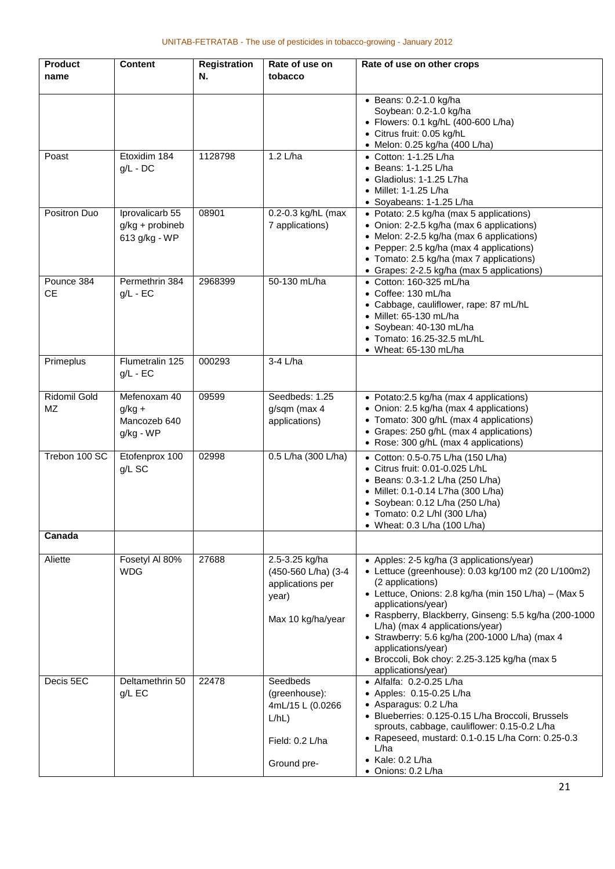| <b>Product</b>          | <b>Content</b>                                        | <b>Registration</b> | Rate of use on                                                                           | Rate of use on other crops                                                                                                                                                                                                                                                                                                                                                                                                                    |
|-------------------------|-------------------------------------------------------|---------------------|------------------------------------------------------------------------------------------|-----------------------------------------------------------------------------------------------------------------------------------------------------------------------------------------------------------------------------------------------------------------------------------------------------------------------------------------------------------------------------------------------------------------------------------------------|
| name                    |                                                       | N.                  | tobacco                                                                                  |                                                                                                                                                                                                                                                                                                                                                                                                                                               |
|                         |                                                       |                     |                                                                                          | $\bullet$ Beans: 0.2-1.0 kg/ha<br>Soybean: 0.2-1.0 kg/ha<br>• Flowers: 0.1 kg/hL (400-600 L/ha)<br>• Citrus fruit: 0.05 kg/hL<br>• Melon: 0.25 kg/ha (400 L/ha)                                                                                                                                                                                                                                                                               |
| Poast                   | Etoxidim 184<br>$g/L$ - DC                            | 1128798             | 1.2 L/ha                                                                                 | • Cotton: 1-1.25 L/ha<br>• Beans: 1-1.25 L/ha<br>• Gladiolus: 1-1.25 L7ha<br>• Millet: 1-1.25 L/ha<br>• Soyabeans: 1-1.25 L/ha                                                                                                                                                                                                                                                                                                                |
| Positron Duo            | Iprovalicarb 55<br>g/kg + probineb<br>613 g/kg - WP   | 08901               | 0.2-0.3 kg/hL (max<br>7 applications)                                                    | • Potato: 2.5 kg/ha (max 5 applications)<br>• Onion: 2-2.5 kg/ha (max 6 applications)<br>• Melon: 2-2.5 kg/ha (max 6 applications)<br>• Pepper: 2.5 kg/ha (max 4 applications)<br>• Tomato: 2.5 kg/ha (max 7 applications)<br>• Grapes: 2-2.5 kg/ha (max 5 applications)                                                                                                                                                                      |
| Pounce 384<br><b>CE</b> | Permethrin 384<br>$g/L$ - EC                          | 2968399             | 50-130 mL/ha                                                                             | • Cotton: 160-325 mL/ha<br>• Coffee: 130 mL/ha<br>• Cabbage, cauliflower, rape: 87 mL/hL<br>$\bullet$ Millet: 65-130 mL/ha<br>· Soybean: 40-130 mL/ha<br>• Tomato: 16.25-32.5 mL/hL<br>$\bullet$ Wheat: 65-130 mL/ha                                                                                                                                                                                                                          |
| Primeplus               | Flumetralin 125<br>$g/L - EC$                         | 000293              | 3-4 L/ha                                                                                 |                                                                                                                                                                                                                                                                                                                                                                                                                                               |
| Ridomil Gold<br>MZ      | Mefenoxam 40<br>$g/kg +$<br>Mancozeb 640<br>g/kg - WP | 09599               | Seedbeds: 1.25<br>g/sqm (max 4<br>applications)                                          | • Potato:2.5 kg/ha (max 4 applications)<br>• Onion: 2.5 kg/ha (max 4 applications)<br>• Tomato: 300 g/hL (max 4 applications)<br>• Grapes: 250 g/hL (max 4 applications)<br>• Rose: 300 g/hL (max 4 applications)                                                                                                                                                                                                                             |
| Trebon 100 SC           | Etofenprox 100<br>g/L SC                              | 02998               | 0.5 L/ha (300 L/ha)                                                                      | • Cotton: 0.5-0.75 L/ha (150 L/ha)<br>• Citrus fruit: 0.01-0.025 L/hL<br>• Beans: 0.3-1.2 L/ha (250 L/ha)<br>• Millet: 0.1-0.14 L7ha (300 L/ha)<br>• Soybean: 0.12 L/ha (250 L/ha)<br>• Tomato: 0.2 L/hl (300 L/ha)<br>• Wheat: 0.3 L/ha (100 L/ha)                                                                                                                                                                                           |
| Canada                  |                                                       |                     |                                                                                          |                                                                                                                                                                                                                                                                                                                                                                                                                                               |
| Aliette                 | Fosetyl Al 80%<br><b>WDG</b>                          | 27688               | 2.5-3.25 kg/ha<br>(450-560 L/ha) (3-4<br>applications per<br>year)<br>Max 10 kg/ha/year  | • Apples: 2-5 kg/ha (3 applications/year)<br>• Lettuce (greenhouse): 0.03 kg/100 m2 (20 L/100m2)<br>(2 applications)<br>• Lettuce, Onions: 2.8 kg/ha (min 150 L/ha) - (Max 5<br>applications/year)<br>• Raspberry, Blackberry, Ginseng: 5.5 kg/ha (200-1000<br>L/ha) (max 4 applications/year)<br>• Strawberry: 5.6 kg/ha (200-1000 L/ha) (max 4<br>applications/year)<br>· Broccoli, Bok choy: 2.25-3.125 kg/ha (max 5<br>applications/year) |
| Decis 5EC               | Deltamethrin 50<br>$g/L$ EC                           | 22478               | Seedbeds<br>(greenhouse):<br>4mL/15 L (0.0266<br>L/hL)<br>Field: 0.2 L/ha<br>Ground pre- | • Alfalfa: 0.2-0.25 L/ha<br>• Apples: 0.15-0.25 L/ha<br>• Asparagus: 0.2 L/ha<br>· Blueberries: 0.125-0.15 L/ha Broccoli, Brussels<br>sprouts, cabbage, cauliflower: 0.15-0.2 L/ha<br>• Rapeseed, mustard: 0.1-0.15 L/ha Corn: 0.25-0.3<br>L/ha<br>$\bullet$ Kale: 0.2 L/ha<br>• Onions: 0.2 L/ha                                                                                                                                             |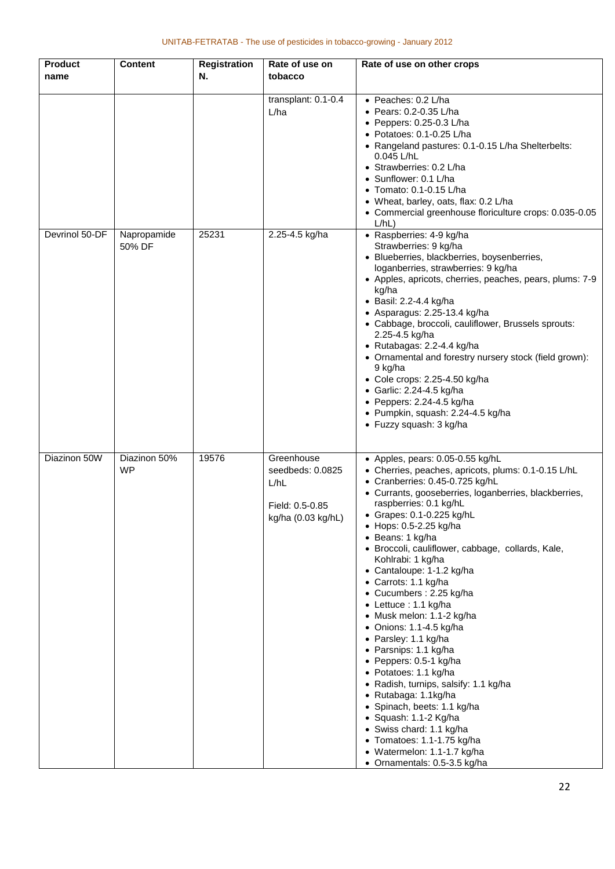| <b>Product</b><br>name | <b>Content</b>            | <b>Registration</b><br>Ν. | Rate of use on<br>tobacco                                                       | Rate of use on other crops                                                                                                                                                                                                                                                                                                                                                                                                                                                                                                                                                                                                                                                                                                                                                                                                                                                              |
|------------------------|---------------------------|---------------------------|---------------------------------------------------------------------------------|-----------------------------------------------------------------------------------------------------------------------------------------------------------------------------------------------------------------------------------------------------------------------------------------------------------------------------------------------------------------------------------------------------------------------------------------------------------------------------------------------------------------------------------------------------------------------------------------------------------------------------------------------------------------------------------------------------------------------------------------------------------------------------------------------------------------------------------------------------------------------------------------|
|                        |                           |                           | transplant: 0.1-0.4<br>L/ha                                                     | • Peaches: 0.2 L/ha<br>• Pears: 0.2-0.35 L/ha<br>$\bullet$ Peppers: 0.25-0.3 L/ha<br>• Potatoes: 0.1-0.25 L/ha<br>• Rangeland pastures: 0.1-0.15 L/ha Shelterbelts:<br>0.045 L/hL<br>• Strawberries: 0.2 L/ha<br>• Sunflower: 0.1 L/ha<br>• Tomato: 0.1-0.15 L/ha<br>• Wheat, barley, oats, flax: 0.2 L/ha<br>• Commercial greenhouse floriculture crops: 0.035-0.05<br>L/hL                                                                                                                                                                                                                                                                                                                                                                                                                                                                                                            |
| Devrinol 50-DF         | Napropamide<br>50% DF     | 25231                     | 2.25-4.5 kg/ha                                                                  | • Raspberries: 4-9 kg/ha<br>Strawberries: 9 kg/ha<br>· Blueberries, blackberries, boysenberries,<br>loganberries, strawberries: 9 kg/ha<br>• Apples, apricots, cherries, peaches, pears, plums: 7-9<br>kg/ha<br>• Basil: 2.2-4.4 kg/ha<br>• Asparagus: 2.25-13.4 kg/ha<br>• Cabbage, broccoli, cauliflower, Brussels sprouts:<br>2.25-4.5 kg/ha<br>· Rutabagas: 2.2-4.4 kg/ha<br>• Ornamental and forestry nursery stock (field grown):<br>9 kg/ha<br>• Cole crops: 2.25-4.50 kg/ha<br>• Garlic: 2.24-4.5 kg/ha<br>$\bullet$ Peppers: 2.24-4.5 kg/ha<br>· Pumpkin, squash: 2.24-4.5 kg/ha<br>• Fuzzy squash: 3 kg/ha                                                                                                                                                                                                                                                                    |
| Diazinon 50W           | Diazinon 50%<br><b>WP</b> | 19576                     | Greenhouse<br>seedbeds: 0.0825<br>L/hL<br>Field: 0.5-0.85<br>kg/ha (0.03 kg/hL) | • Apples, pears: 0.05-0.55 kg/hL<br>• Cherries, peaches, apricots, plums: 0.1-0.15 L/hL<br>• Cranberries: 0.45-0.725 kg/hL<br>• Currants, gooseberries, loganberries, blackberries,<br>raspberries: 0.1 kg/hL<br>• Grapes: 0.1-0.225 kg/hL<br>• Hops: 0.5-2.25 kg/ha<br>• Beans: 1 kg/ha<br>· Broccoli, cauliflower, cabbage, collards, Kale,<br>Kohlrabi: 1 kg/ha<br>• Cantaloupe: 1-1.2 kg/ha<br>• Carrots: 1.1 kg/ha<br>• Cucumbers: 2.25 kg/ha<br>• Lettuce : 1.1 kg/ha<br>• Musk melon: 1.1-2 kg/ha<br>• Onions: 1.1-4.5 kg/ha<br>• Parsley: 1.1 kg/ha<br>• Parsnips: 1.1 kg/ha<br>• Peppers: 0.5-1 kg/ha<br>Potatoes: 1.1 kg/ha<br>• Radish, turnips, salsify: 1.1 kg/ha<br>• Rutabaga: 1.1kg/ha<br>• Spinach, beets: 1.1 kg/ha<br>· Squash: 1.1-2 Kg/ha<br>• Swiss chard: 1.1 kg/ha<br>• Tomatoes: 1.1-1.75 kg/ha<br>• Watermelon: 1.1-1.7 kg/ha<br>• Ornamentals: 0.5-3.5 kg/ha |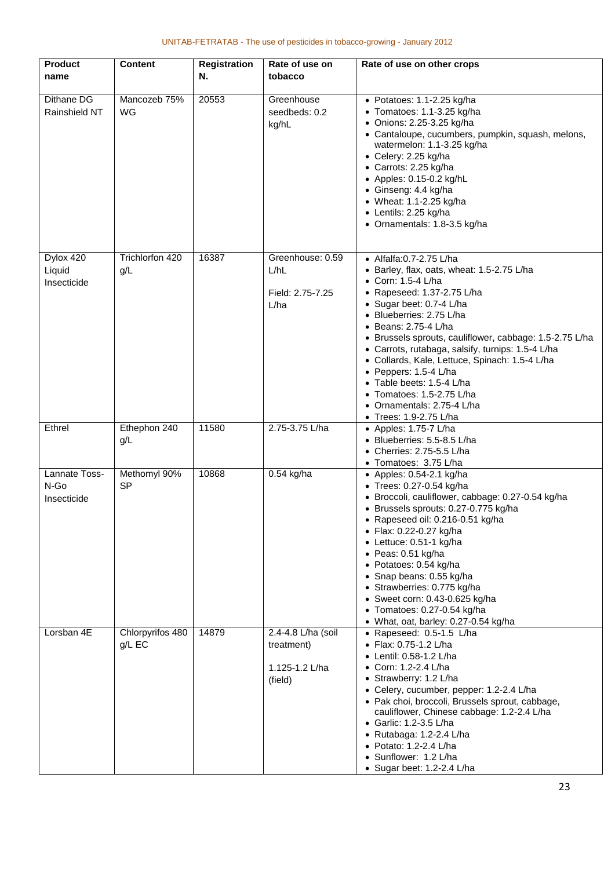| <b>Product</b><br>name               | <b>Content</b>               | <b>Registration</b><br>N. | Rate of use on<br>tobacco                                     | Rate of use on other crops                                                                                                                                                                                                                                                                                                                                                                                                                                                                                                          |
|--------------------------------------|------------------------------|---------------------------|---------------------------------------------------------------|-------------------------------------------------------------------------------------------------------------------------------------------------------------------------------------------------------------------------------------------------------------------------------------------------------------------------------------------------------------------------------------------------------------------------------------------------------------------------------------------------------------------------------------|
| Dithane DG<br>Rainshield NT          | Mancozeb 75%<br>WG           | 20553                     | Greenhouse<br>seedbeds: 0.2<br>kg/hL                          | • Potatoes: 1.1-2.25 kg/ha<br>• Tomatoes: 1.1-3.25 kg/ha<br>• Onions: 2.25-3.25 kg/ha<br>• Cantaloupe, cucumbers, pumpkin, squash, melons,<br>watermelon: 1.1-3.25 kg/ha<br>• Celery: 2.25 kg/ha<br>• Carrots: 2.25 kg/ha<br>• Apples: 0.15-0.2 kg/hL<br>• Ginseng: 4.4 kg/ha<br>• Wheat: 1.1-2.25 kg/ha<br>• Lentils: 2.25 kg/ha<br>• Ornamentals: 1.8-3.5 kg/ha                                                                                                                                                                   |
| Dylox 420<br>Liquid<br>Insecticide   | Trichlorfon 420<br>g/L       | 16387                     | Greenhouse: 0.59<br>L/hL<br>Field: 2.75-7.25<br>L/ha          | • Alfalfa: 0.7-2.75 L/ha<br>• Barley, flax, oats, wheat: 1.5-2.75 L/ha<br>• Corn: 1.5-4 L/ha<br>• Rapeseed: $1.37 - 2.75$ L/ha<br>• Sugar beet: 0.7-4 L/ha<br>• Blueberries: 2.75 L/ha<br>$\bullet$ Beans: 2.75-4 L/ha<br>• Brussels sprouts, cauliflower, cabbage: 1.5-2.75 L/ha<br>• Carrots, rutabaga, salsify, turnips: 1.5-4 L/ha<br>· Collards, Kale, Lettuce, Spinach: 1.5-4 L/ha<br>• Peppers: 1.5-4 L/ha<br>• Table beets: 1.5-4 L/ha<br>• Tomatoes: 1.5-2.75 L/ha<br>• Ornamentals: 2.75-4 L/ha<br>• Trees: 1.9-2.75 L/ha |
| Ethrel                               | Ethephon 240<br>g/L          | 11580                     | 2.75-3.75 L/ha                                                | $\bullet$ Apples: 1.75-7 L/ha<br>· Blueberries: 5.5-8.5 L/ha<br>• Cherries: 2.75-5.5 L/ha<br>• Tomatoes: 3.75 L/ha                                                                                                                                                                                                                                                                                                                                                                                                                  |
| Lannate Toss-<br>N-Go<br>Insecticide | Methomyl 90%<br><b>SP</b>    | 10868                     | $0.54$ kg/ha                                                  | $\bullet$ Apples: 0.54-2.1 kg/ha<br>• Trees: 0.27-0.54 kg/ha<br>· Broccoli, cauliflower, cabbage: 0.27-0.54 kg/ha<br>• Brussels sprouts: 0.27-0.775 kg/ha<br>• Rapeseed oil: $0.216 - 0.51$ kg/ha<br>• Flax: 0.22-0.27 kg/ha<br>• Lettuce: 0.51-1 kg/ha<br>$\bullet$ Peas: 0.51 kg/ha<br>• Potatoes: 0.54 kg/ha<br>• Snap beans: 0.55 kg/ha<br>· Strawberries: 0.775 kg/ha<br>• Sweet corn: 0.43-0.625 kg/ha<br>Tomatoes: 0.27-0.54 kg/ha<br>• What, oat, barley: 0.27-0.54 kg/ha                                                   |
| Lorsban 4E                           | Chlorpyrifos 480<br>$g/L$ EC | 14879                     | 2.4-4.8 L/ha (soil<br>treatment)<br>1.125-1.2 L/ha<br>(field) | • Rapeseed: 0.5-1.5 L/ha<br>• Flax: 0.75-1.2 L/ha<br>● Lentil: 0.58-1.2 L/ha<br>Corn: 1.2-2.4 L/ha<br>• Strawberry: 1.2 L/ha<br>• Celery, cucumber, pepper: 1.2-2.4 L/ha<br>• Pak choi, broccoli, Brussels sprout, cabbage,<br>cauliflower, Chinese cabbage: 1.2-2.4 L/ha<br>• Garlic: 1.2-3.5 L/ha<br>• Rutabaga: 1.2-2.4 L/ha<br>• Potato: 1.2-2.4 L/ha<br>• Sunflower: 1.2 L/ha<br>• Sugar beet: 1.2-2.4 L/ha                                                                                                                    |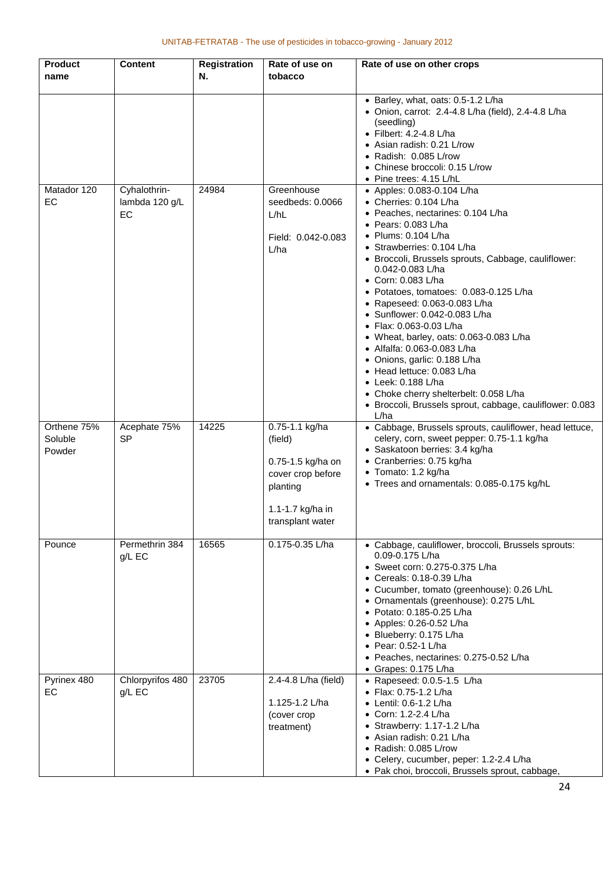| <b>Product</b><br>name           | <b>Content</b>                       | <b>Registration</b><br>Ν. | Rate of use on<br>tobacco                                                                                               | Rate of use on other crops                                                                                                                                                                                                                                                                                                                                                                                                                                                                                                                                                                                                                                                                                 |
|----------------------------------|--------------------------------------|---------------------------|-------------------------------------------------------------------------------------------------------------------------|------------------------------------------------------------------------------------------------------------------------------------------------------------------------------------------------------------------------------------------------------------------------------------------------------------------------------------------------------------------------------------------------------------------------------------------------------------------------------------------------------------------------------------------------------------------------------------------------------------------------------------------------------------------------------------------------------------|
|                                  |                                      |                           |                                                                                                                         | • Barley, what, oats: 0.5-1.2 L/ha<br>• Onion, carrot: 2.4-4.8 L/ha (field), 2.4-4.8 L/ha<br>(seedling)<br>• Filbert: 4.2-4.8 L/ha<br>• Asian radish: 0.21 L/row<br>• Radish: 0.085 L/row<br>• Chinese broccoli: 0.15 L/row<br>• Pine trees: 4.15 L/hL                                                                                                                                                                                                                                                                                                                                                                                                                                                     |
| Matador 120<br>EC                | Cyhalothrin-<br>lambda 120 g/L<br>EC | 24984                     | Greenhouse<br>seedbeds: 0.0066<br>L/hL<br>Field: 0.042-0.083<br>L/ha                                                    | • Apples: 0.083-0.104 L/ha<br>• Cherries: 0.104 L/ha<br>• Peaches, nectarines: 0.104 L/ha<br>• Pears: $0.083$ L/ha<br>$\bullet$ Plums: 0.104 L/ha<br>• Strawberries: 0.104 L/ha<br>• Broccoli, Brussels sprouts, Cabbage, cauliflower:<br>0.042-0.083 L/ha<br>• Corn: 0.083 L/ha<br>• Potatoes, tomatoes: 0.083-0.125 L/ha<br>• Rapeseed: 0.063-0.083 L/ha<br>• Sunflower: 0.042-0.083 L/ha<br>• Flax: 0.063-0.03 L/ha<br>• Wheat, barley, oats: 0.063-0.083 L/ha<br>• Alfalfa: 0.063-0.083 L/ha<br>• Onions, garlic: 0.188 L/ha<br>• Head lettuce: 0.083 L/ha<br>$\bullet$ Leek: 0.188 L/ha<br>• Choke cherry shelterbelt: 0.058 L/ha<br>· Broccoli, Brussels sprout, cabbage, cauliflower: 0.083<br>L/ha |
| Orthene 75%<br>Soluble<br>Powder | Acephate 75%<br><b>SP</b>            | 14225                     | 0.75-1.1 kg/ha<br>(field)<br>0.75-1.5 kg/ha on<br>cover crop before<br>planting<br>1.1-1.7 kg/ha in<br>transplant water | • Cabbage, Brussels sprouts, cauliflower, head lettuce,<br>celery, corn, sweet pepper: 0.75-1.1 kg/ha<br>• Saskatoon berries: 3.4 kg/ha<br>• Cranberries: 0.75 kg/ha<br>• Tomato: 1.2 kg/ha<br>• Trees and ornamentals: 0.085-0.175 kg/hL                                                                                                                                                                                                                                                                                                                                                                                                                                                                  |
| Pounce                           | Permethrin 384<br>g/L EC             | 16565                     | 0.175-0.35 L/ha                                                                                                         | • Cabbage, cauliflower, broccoli, Brussels sprouts:<br>0.09-0.175 L/ha<br>• Sweet corn: 0.275-0.375 L/ha<br>• Cereals: 0.18-0.39 L/ha<br>• Cucumber, tomato (greenhouse): 0.26 L/hL<br>• Ornamentals (greenhouse): 0.275 L/hL<br>• Potato: 0.185-0.25 L/ha<br>• Apples: 0.26-0.52 L/ha<br>• Blueberry: 0.175 L/ha<br>• Pear: 0.52-1 L/ha<br>• Peaches, nectarines: 0.275-0.52 L/ha<br>$\bullet$ Grapes: 0.175 L/ha                                                                                                                                                                                                                                                                                         |
| Pyrinex 480<br>EC                | Chlorpyrifos 480<br>$g/L$ EC         | 23705                     | 2.4-4.8 L/ha (field)<br>1.125-1.2 L/ha<br>(cover crop<br>treatment)                                                     | • Rapeseed: 0.0.5-1.5 L/ha<br>• Flax: 0.75-1.2 L/ha<br>• Lentil: 0.6-1.2 L/ha<br>• Corn: 1.2-2.4 L/ha<br>• Strawberry: $1.17-1.2$ L/ha<br>• Asian radish: 0.21 L/ha<br>• Radish: 0.085 L/row<br>• Celery, cucumber, peper: 1.2-2.4 L/ha<br>• Pak choi, broccoli, Brussels sprout, cabbage,                                                                                                                                                                                                                                                                                                                                                                                                                 |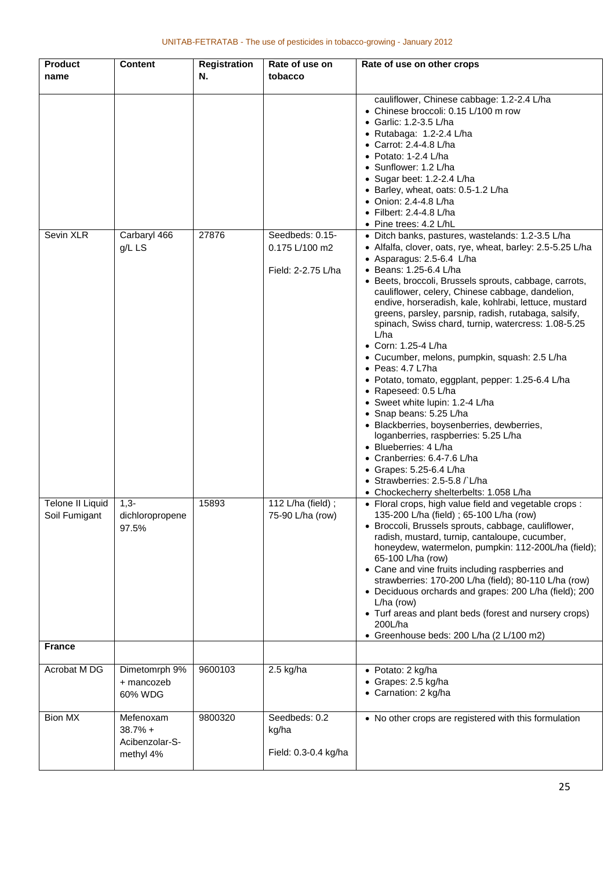| <b>Product</b>          | <b>Content</b>  | <b>Registration</b> | Rate of use on       | Rate of use on other crops                                                                                |
|-------------------------|-----------------|---------------------|----------------------|-----------------------------------------------------------------------------------------------------------|
| name                    |                 | Ν.                  | tobacco              |                                                                                                           |
|                         |                 |                     |                      |                                                                                                           |
|                         |                 |                     |                      | cauliflower, Chinese cabbage: 1.2-2.4 L/ha                                                                |
|                         |                 |                     |                      | • Chinese broccoli: 0.15 L/100 m row                                                                      |
|                         |                 |                     |                      | • Garlic: 1.2-3.5 L/ha                                                                                    |
|                         |                 |                     |                      | • Rutabaga: 1.2-2.4 L/ha                                                                                  |
|                         |                 |                     |                      | • Carrot: 2.4-4.8 L/ha                                                                                    |
|                         |                 |                     |                      | $\bullet$ Potato: 1-2.4 L/ha                                                                              |
|                         |                 |                     |                      | • Sunflower: 1.2 L/ha                                                                                     |
|                         |                 |                     |                      | • Sugar beet: 1.2-2.4 L/ha                                                                                |
|                         |                 |                     |                      | • Barley, wheat, oats: 0.5-1.2 L/ha<br>• Onion: 2.4-4.8 L/ha                                              |
|                         |                 |                     |                      | $\bullet$ Filbert: 2.4-4.8 L/ha                                                                           |
|                         |                 |                     |                      | • Pine trees: 4.2 L/hL                                                                                    |
| Sevin XLR               | Carbaryl 466    | 27876               | Seedbeds: 0.15-      | • Ditch banks, pastures, wastelands: 1.2-3.5 L/ha                                                         |
|                         | g/L LS          |                     | 0.175 L/100 m2       | • Alfalfa, clover, oats, rye, wheat, barley: 2.5-5.25 L/ha                                                |
|                         |                 |                     |                      | • Asparagus: 2.5-6.4 L/ha                                                                                 |
|                         |                 |                     | Field: 2-2.75 L/ha   | • Beans: 1.25-6.4 L/ha                                                                                    |
|                         |                 |                     |                      | • Beets, broccoli, Brussels sprouts, cabbage, carrots,                                                    |
|                         |                 |                     |                      | cauliflower, celery, Chinese cabbage, dandelion,                                                          |
|                         |                 |                     |                      | endive, horseradish, kale, kohlrabi, lettuce, mustard                                                     |
|                         |                 |                     |                      | greens, parsley, parsnip, radish, rutabaga, salsify,                                                      |
|                         |                 |                     |                      | spinach, Swiss chard, turnip, watercress: 1.08-5.25                                                       |
|                         |                 |                     |                      | L/ha                                                                                                      |
|                         |                 |                     |                      | • Corn: 1.25-4 L/ha                                                                                       |
|                         |                 |                     |                      | • Cucumber, melons, pumpkin, squash: 2.5 L/ha                                                             |
|                         |                 |                     |                      | $\bullet$ Peas: 4.7 L7ha                                                                                  |
|                         |                 |                     |                      | • Potato, tomato, eggplant, pepper: 1.25-6.4 L/ha                                                         |
|                         |                 |                     |                      | • Rapeseed: 0.5 L/ha                                                                                      |
|                         |                 |                     |                      | • Sweet white lupin: 1.2-4 L/ha<br>• Snap beans: 5.25 L/ha                                                |
|                         |                 |                     |                      | · Blackberries, boysenberries, dewberries,                                                                |
|                         |                 |                     |                      | loganberries, raspberries: 5.25 L/ha                                                                      |
|                         |                 |                     |                      | • Blueberries: 4 L/ha                                                                                     |
|                         |                 |                     |                      | • Cranberries: 6.4-7.6 L/ha                                                                               |
|                         |                 |                     |                      | • Grapes: 5.25-6.4 L/ha                                                                                   |
|                         |                 |                     |                      | • Strawberries: 2.5-5.8 / L/ha                                                                            |
|                         |                 |                     |                      | • Chockecherry shelterbelts: 1.058 L/ha                                                                   |
| <b>Telone II Liquid</b> | $1,3-$          | 15893               | 112 L/ha (field);    | • Floral crops, high value field and vegetable crops :                                                    |
| Soil Fumigant           | dichloropropene |                     | 75-90 L/ha (row)     | 135-200 L/ha (field) ; 65-100 L/ha (row)                                                                  |
|                         | 97.5%           |                     |                      | • Broccoli, Brussels sprouts, cabbage, cauliflower,                                                       |
|                         |                 |                     |                      | radish, mustard, turnip, cantaloupe, cucumber,                                                            |
|                         |                 |                     |                      | honeydew, watermelon, pumpkin: 112-200L/ha (field);                                                       |
|                         |                 |                     |                      | 65-100 L/ha (row)                                                                                         |
|                         |                 |                     |                      | • Cane and vine fruits including raspberries and<br>strawberries: 170-200 L/ha (field); 80-110 L/ha (row) |
|                         |                 |                     |                      | • Deciduous orchards and grapes: 200 L/ha (field); 200                                                    |
|                         |                 |                     |                      | $L/ha$ (row)                                                                                              |
|                         |                 |                     |                      | • Turf areas and plant beds (forest and nursery crops)                                                    |
|                         |                 |                     |                      | 200L/ha                                                                                                   |
|                         |                 |                     |                      | • Greenhouse beds: 200 L/ha (2 L/100 m2)                                                                  |
| <b>France</b>           |                 |                     |                      |                                                                                                           |
| Acrobat M DG            | Dimetomrph 9%   | 9600103             | 2.5 kg/ha            | • Potato: 2 kg/ha                                                                                         |
|                         | + mancozeb      |                     |                      | • Grapes: 2.5 kg/ha                                                                                       |
|                         | 60% WDG         |                     |                      | • Carnation: 2 kg/ha                                                                                      |
|                         |                 |                     |                      |                                                                                                           |
| <b>Bion MX</b>          | Mefenoxam       | 9800320             | Seedbeds: 0.2        | • No other crops are registered with this formulation                                                     |
|                         | $38.7% +$       |                     | kg/ha                |                                                                                                           |
|                         | Acibenzolar-S-  |                     |                      |                                                                                                           |
|                         | methyl 4%       |                     | Field: 0.3-0.4 kg/ha |                                                                                                           |
|                         |                 |                     |                      |                                                                                                           |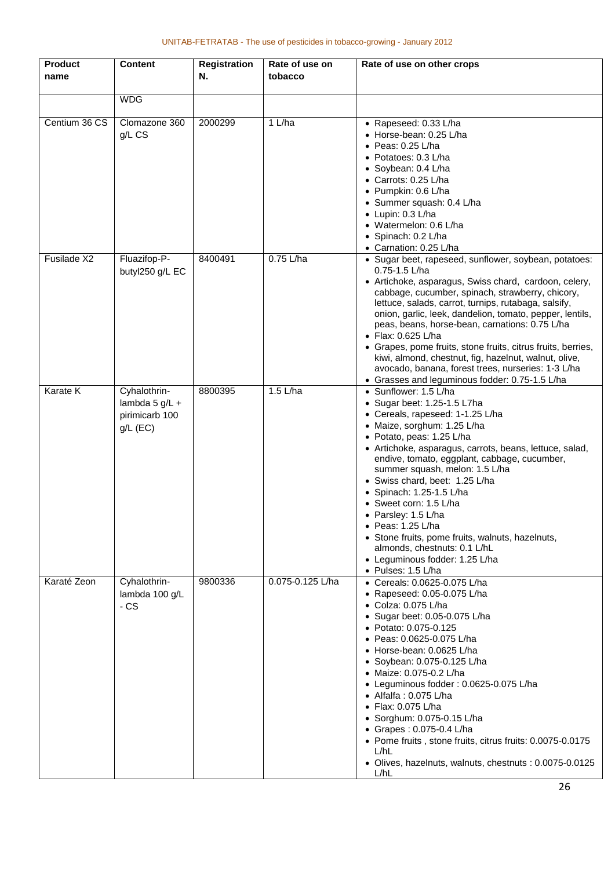| <b>Product</b><br>name | <b>Content</b>                                                   | <b>Registration</b><br>Ν. | Rate of use on<br>tobacco | Rate of use on other crops                                                                                                                                                                                                                                                                                                                                                                                                                                                                                                                                                                                           |
|------------------------|------------------------------------------------------------------|---------------------------|---------------------------|----------------------------------------------------------------------------------------------------------------------------------------------------------------------------------------------------------------------------------------------------------------------------------------------------------------------------------------------------------------------------------------------------------------------------------------------------------------------------------------------------------------------------------------------------------------------------------------------------------------------|
|                        | <b>WDG</b>                                                       |                           |                           |                                                                                                                                                                                                                                                                                                                                                                                                                                                                                                                                                                                                                      |
| Centium 36 CS          | Clomazone 360<br>$g/L$ CS                                        | 2000299                   | 1 L/ha                    | • Rapeseed: 0.33 L/ha<br>• Horse-bean: 0.25 L/ha<br>$\bullet$ Peas: 0.25 L/ha<br>• Potatoes: 0.3 L/ha<br>• Soybean: 0.4 L/ha<br>• Carrots: 0.25 L/ha<br>• Pumpkin: 0.6 L/ha<br>• Summer squash: 0.4 L/ha<br>• Lupin: 0.3 L/ha<br>• Watermelon: 0.6 L/ha<br>• Spinach: 0.2 L/ha<br>• Carnation: 0.25 L/ha                                                                                                                                                                                                                                                                                                             |
| Fusilade X2            | Fluazifop-P-<br>butyl250 g/L EC                                  | 8400491                   | 0.75 L/ha                 | • Sugar beet, rapeseed, sunflower, soybean, potatoes:<br>$0.75 - 1.5$ L/ha<br>• Artichoke, asparagus, Swiss chard, cardoon, celery,<br>cabbage, cucumber, spinach, strawberry, chicory,<br>lettuce, salads, carrot, turnips, rutabaga, salsify,<br>onion, garlic, leek, dandelion, tomato, pepper, lentils,<br>peas, beans, horse-bean, carnations: 0.75 L/ha<br>• Flax: 0.625 L/ha<br>• Grapes, pome fruits, stone fruits, citrus fruits, berries,<br>kiwi, almond, chestnut, fig, hazelnut, walnut, olive,<br>avocado, banana, forest trees, nurseries: 1-3 L/ha<br>• Grasses and leguminous fodder: 0.75-1.5 L/ha |
| Karate K               | Cyhalothrin-<br>lambda 5 g/L $+$<br>pirimicarb 100<br>$g/L$ (EC) | 8800395                   | 1.5 L/ha                  | • Sunflower: 1.5 L/ha<br>• Sugar beet: 1.25-1.5 L7ha<br>• Cereals, rapeseed: 1-1.25 L/ha<br>• Maize, sorghum: 1.25 L/ha<br>• Potato, peas: 1.25 L/ha<br>• Artichoke, asparagus, carrots, beans, lettuce, salad,<br>endive, tomato, eggplant, cabbage, cucumber,<br>summer squash, melon: 1.5 L/ha<br>· Swiss chard, beet: 1.25 L/ha<br>• Spinach: 1.25-1.5 L/ha<br>• Sweet corn: 1.5 L/ha<br>• Parsley: 1.5 L/ha<br>$\bullet$ Peas: 1.25 L/ha<br>• Stone fruits, pome fruits, walnuts, hazelnuts,<br>almonds, chestnuts: 0.1 L/hL<br>• Leguminous fodder: 1.25 L/ha<br>• Pulses: 1.5 L/ha                            |
| Karaté Zeon            | Cyhalothrin-<br>lambda 100 g/L<br>$-CS$                          | 9800336                   | 0.075-0.125 L/ha          | • Cereals: 0.0625-0.075 L/ha<br>• Rapeseed: 0.05-0.075 L/ha<br>• Colza: 0.075 L/ha<br>• Sugar beet: 0.05-0.075 L/ha<br>• Potato: 0.075-0.125<br>• Peas: 0.0625-0.075 L/ha<br>• Horse-bean: 0.0625 L/ha<br>• Soybean: 0.075-0.125 L/ha<br>• Maize: 0.075-0.2 L/ha<br>• Leguminous fodder: 0.0625-0.075 L/ha<br>$\bullet$ Alfalfa : 0.075 L/ha<br>• Flax: 0.075 L/ha<br>• Sorghum: 0.075-0.15 L/ha<br>• Grapes: $0.075 - 0.4$ L/ha<br>• Pome fruits, stone fruits, citrus fruits: 0.0075-0.0175<br>L/hL<br>· Olives, hazelnuts, walnuts, chestnuts : 0.0075-0.0125<br>L/hL                                             |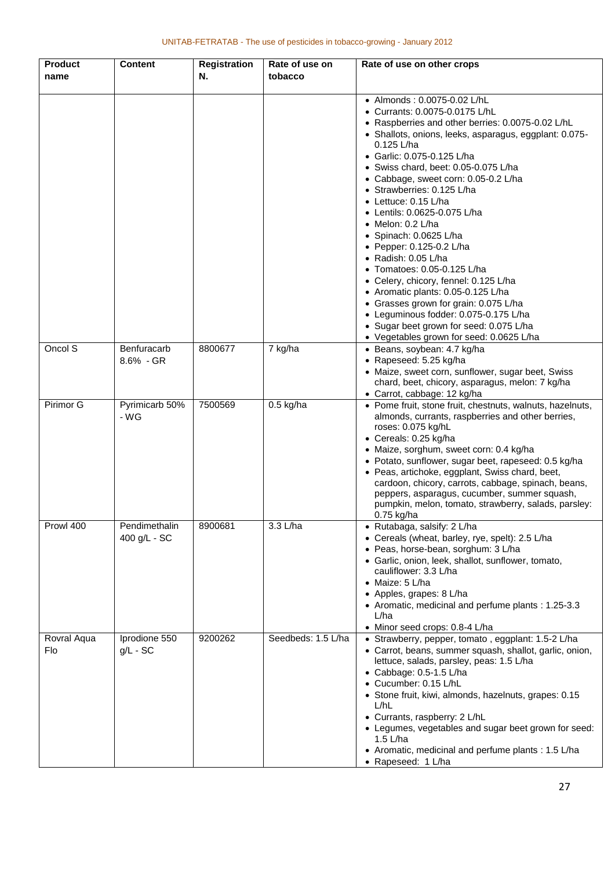| <b>Product</b><br>name | <b>Content</b>                | <b>Registration</b><br>N. | Rate of use on<br>tobacco | Rate of use on other crops                                                                                                                                                                                                                                                                                                                                                                                                                                                                                                                                                                                                                                                                                                                                                                                  |
|------------------------|-------------------------------|---------------------------|---------------------------|-------------------------------------------------------------------------------------------------------------------------------------------------------------------------------------------------------------------------------------------------------------------------------------------------------------------------------------------------------------------------------------------------------------------------------------------------------------------------------------------------------------------------------------------------------------------------------------------------------------------------------------------------------------------------------------------------------------------------------------------------------------------------------------------------------------|
|                        |                               |                           |                           | • Almonds: 0.0075-0.02 L/hL<br>• Currants: 0.0075-0.0175 L/hL<br>• Raspberries and other berries: 0.0075-0.02 L/hL<br>• Shallots, onions, leeks, asparagus, eggplant: 0.075-<br>0.125 L/ha<br>• Garlic: 0.075-0.125 L/ha<br>• Swiss chard, beet: 0.05-0.075 L/ha<br>• Cabbage, sweet corn: 0.05-0.2 L/ha<br>• Strawberries: 0.125 L/ha<br>$\bullet$ Lettuce: 0.15 L/ha<br>• Lentils: 0.0625-0.075 L/ha<br>$\bullet$ Melon: 0.2 L/ha<br>• Spinach: 0.0625 L/ha<br>• Pepper: $0.125 - 0.2$ L/ha<br>• Radish: 0.05 L/ha<br>• Tomatoes: 0.05-0.125 L/ha<br>• Celery, chicory, fennel: 0.125 L/ha<br>• Aromatic plants: 0.05-0.125 L/ha<br>• Grasses grown for grain: 0.075 L/ha<br>• Leguminous fodder: 0.075-0.175 L/ha<br>• Sugar beet grown for seed: 0.075 L/ha<br>• Vegetables grown for seed: 0.0625 L/ha |
| Oncol S                | Benfuracarb<br>8.6% - GR      | 8800677                   | 7 kg/ha                   | · Beans, soybean: 4.7 kg/ha<br>• Rapeseed: 5.25 kg/ha<br>• Maize, sweet corn, sunflower, sugar beet, Swiss<br>chard, beet, chicory, asparagus, melon: 7 kg/ha<br>• Carrot, cabbage: 12 kg/ha                                                                                                                                                                                                                                                                                                                                                                                                                                                                                                                                                                                                                |
| Pirimor G              | Pyrimicarb 50%<br>- WG        | 7500569                   | $0.5$ kg/ha               | • Pome fruit, stone fruit, chestnuts, walnuts, hazelnuts,<br>almonds, currants, raspberries and other berries,<br>roses: 0.075 kg/hL<br>• Cereals: 0.25 kg/ha<br>• Maize, sorghum, sweet corn: 0.4 kg/ha<br>• Potato, sunflower, sugar beet, rapeseed: 0.5 kg/ha<br>• Peas, artichoke, eggplant, Swiss chard, beet,<br>cardoon, chicory, carrots, cabbage, spinach, beans,<br>peppers, asparagus, cucumber, summer squash,<br>pumpkin, melon, tomato, strawberry, salads, parsley:<br>$0.75$ kg/ha                                                                                                                                                                                                                                                                                                          |
| Prowl 400              | Pendimethalin<br>400 g/L - SC | 8900681                   | 3.3 L/ha                  | • Rutabaga, salsify: 2 L/ha<br>• Cereals (wheat, barley, rye, spelt): 2.5 L/ha<br>· Peas, horse-bean, sorghum: 3 L/ha<br>• Garlic, onion, leek, shallot, sunflower, tomato,<br>cauliflower: 3.3 L/ha<br>$\bullet$ Maize: 5 L/ha<br>• Apples, grapes: 8 L/ha<br>• Aromatic, medicinal and perfume plants: 1.25-3.3<br>L/ha<br>• Minor seed crops: 0.8-4 L/ha                                                                                                                                                                                                                                                                                                                                                                                                                                                 |
| Rovral Aqua<br>Flo     | Iprodione 550<br>$g/L$ - SC   | 9200262                   | Seedbeds: 1.5 L/ha        | • Strawberry, pepper, tomato, eggplant: 1.5-2 L/ha<br>• Carrot, beans, summer squash, shallot, garlic, onion,<br>lettuce, salads, parsley, peas: 1.5 L/ha<br>$\bullet$ Cabbage: 0.5-1.5 L/ha<br>• Cucumber: 0.15 L/hL<br>• Stone fruit, kiwi, almonds, hazelnuts, grapes: 0.15<br>L/hL<br>• Currants, raspberry: 2 L/hL<br>• Legumes, vegetables and sugar beet grown for seed:<br>$1.5$ L/ha<br>• Aromatic, medicinal and perfume plants : 1.5 L/ha<br>• Rapeseed: 1 L/ha                                                                                                                                                                                                                                                                                                                                  |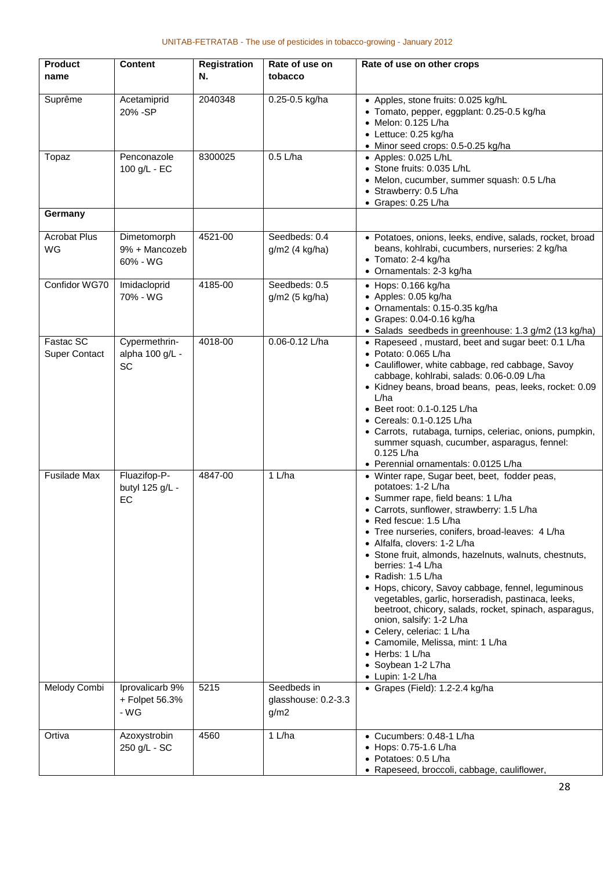| <b>Product</b><br>name            | <b>Content</b>                                | <b>Registration</b><br>N. | Rate of use on<br>tobacco                  | Rate of use on other crops                                                                                                                                                                                                                                                                                                                                                                                                                                                                                                                                                                                                                                                                                              |
|-----------------------------------|-----------------------------------------------|---------------------------|--------------------------------------------|-------------------------------------------------------------------------------------------------------------------------------------------------------------------------------------------------------------------------------------------------------------------------------------------------------------------------------------------------------------------------------------------------------------------------------------------------------------------------------------------------------------------------------------------------------------------------------------------------------------------------------------------------------------------------------------------------------------------------|
| Suprême                           | Acetamiprid<br>20% - SP                       | 2040348                   | 0.25-0.5 kg/ha                             | • Apples, stone fruits: 0.025 kg/hL<br>• Tomato, pepper, eggplant: 0.25-0.5 kg/ha<br>• Melon: 0.125 L/ha<br>• Lettuce: 0.25 kg/ha<br>• Minor seed crops: 0.5-0.25 kg/ha                                                                                                                                                                                                                                                                                                                                                                                                                                                                                                                                                 |
| Topaz                             | Penconazole<br>100 g/L - EC                   | 8300025                   | $0.5$ L/ha                                 | • Apples: 0.025 L/hL<br>• Stone fruits: 0.035 L/hL<br>• Melon, cucumber, summer squash: 0.5 L/ha<br>• Strawberry: 0.5 L/ha<br>• Grapes: 0.25 L/ha                                                                                                                                                                                                                                                                                                                                                                                                                                                                                                                                                                       |
| Germany                           |                                               |                           |                                            |                                                                                                                                                                                                                                                                                                                                                                                                                                                                                                                                                                                                                                                                                                                         |
| <b>Acrobat Plus</b><br>WG         | Dimetomorph<br>9% + Mancozeb<br>60% - WG      | 4521-00                   | Seedbeds: 0.4<br>g/m2 (4 kg/ha)            | · Potatoes, onions, leeks, endive, salads, rocket, broad<br>beans, kohlrabi, cucumbers, nurseries: 2 kg/ha<br>• Tomato: 2-4 kg/ha<br>• Ornamentals: 2-3 kg/ha                                                                                                                                                                                                                                                                                                                                                                                                                                                                                                                                                           |
| Confidor WG70                     | Imidacloprid<br>70% - WG                      | 4185-00                   | Seedbeds: 0.5<br>g/m2 (5 kg/ha)            | $\bullet$ Hops: 0.166 kg/ha<br>• Apples: 0.05 kg/ha<br>• Ornamentals: 0.15-0.35 kg/ha<br>$\bullet$ Grapes: 0.04-0.16 kg/ha<br>· Salads seedbeds in greenhouse: 1.3 g/m2 (13 kg/ha)                                                                                                                                                                                                                                                                                                                                                                                                                                                                                                                                      |
| Fastac SC<br><b>Super Contact</b> | Cypermethrin-<br>alpha 100 g/L -<br><b>SC</b> | 4018-00                   | 0.06-0.12 L/ha                             | • Rapeseed, mustard, beet and sugar beet: 0.1 L/ha<br>• Potato: 0.065 L/ha<br>• Cauliflower, white cabbage, red cabbage, Savoy<br>cabbage, kohlrabi, salads: 0.06-0.09 L/ha<br>• Kidney beans, broad beans, peas, leeks, rocket: 0.09<br>L/ha<br>• Beet root: 0.1-0.125 L/ha<br>• Cereals: 0.1-0.125 L/ha<br>• Carrots, rutabaga, turnips, celeriac, onions, pumpkin,<br>summer squash, cucumber, asparagus, fennel:<br>0.125 L/ha<br>• Perennial ornamentals: 0.0125 L/ha                                                                                                                                                                                                                                              |
| <b>Fusilade Max</b>               | Fluazifop-P-<br>butyl 125 g/L -<br>EC         | 4847-00                   | 1 L/ha                                     | • Winter rape, Sugar beet, beet, fodder peas,<br>potatoes: 1-2 L/ha<br>• Summer rape, field beans: 1 L/ha<br>• Carrots, sunflower, strawberry: 1.5 L/ha<br>• Red fescue: 1.5 L/ha<br>• Tree nurseries, conifers, broad-leaves: 4 L/ha<br>• Alfalfa, clovers: 1-2 L/ha<br>• Stone fruit, almonds, hazelnuts, walnuts, chestnuts,<br>berries: 1-4 L/ha<br>• Radish: $1.5$ L/ha<br>• Hops, chicory, Savoy cabbage, fennel, leguminous<br>vegetables, garlic, horseradish, pastinaca, leeks,<br>beetroot, chicory, salads, rocket, spinach, asparagus,<br>onion, salsify: 1-2 L/ha<br>• Celery, celeriac: 1 L/ha<br>• Camomile, Melissa, mint: 1 L/ha<br>$\bullet$ Herbs: 1 L/ha<br>• Soybean 1-2 L7ha<br>• Lupin: 1-2 L/ha |
| Melody Combi                      | Iprovalicarb 9%<br>+ Folpet 56.3%<br>- WG     | 5215                      | Seedbeds in<br>glasshouse: 0.2-3.3<br>g/m2 | • Grapes (Field): 1.2-2.4 kg/ha                                                                                                                                                                                                                                                                                                                                                                                                                                                                                                                                                                                                                                                                                         |
| Ortiva                            | Azoxystrobin<br>250 g/L - SC                  | 4560                      | 1 L/ha                                     | • Cucumbers: 0.48-1 L/ha<br>• Hops: 0.75-1.6 L/ha<br>• Potatoes: 0.5 L/ha<br>• Rapeseed, broccoli, cabbage, cauliflower,                                                                                                                                                                                                                                                                                                                                                                                                                                                                                                                                                                                                |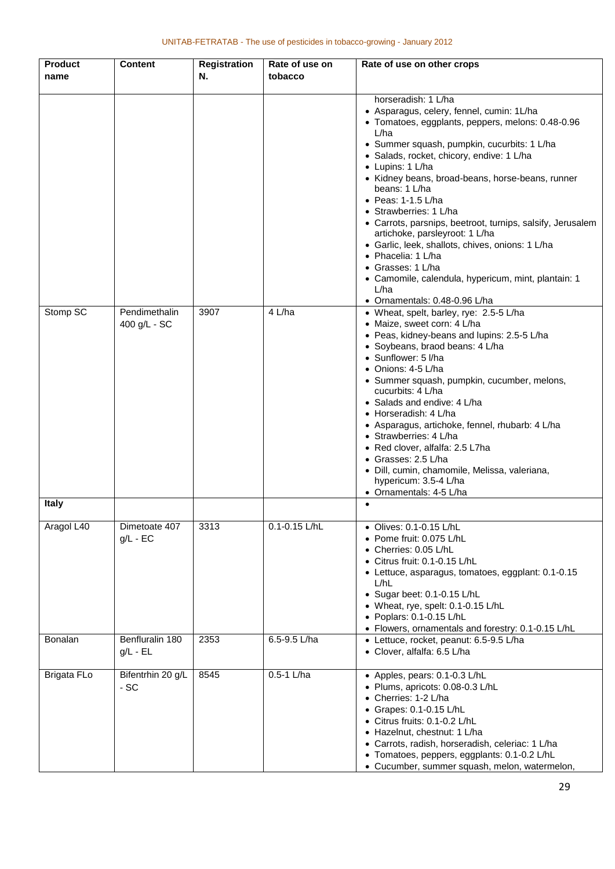| <b>Product</b><br>name | <b>Content</b>                  | <b>Registration</b><br>N. | Rate of use on<br>tobacco | Rate of use on other crops                                                                                                                                                                                                                                                                                                                                                                                                                                                                                                                                                                                                                                                |
|------------------------|---------------------------------|---------------------------|---------------------------|---------------------------------------------------------------------------------------------------------------------------------------------------------------------------------------------------------------------------------------------------------------------------------------------------------------------------------------------------------------------------------------------------------------------------------------------------------------------------------------------------------------------------------------------------------------------------------------------------------------------------------------------------------------------------|
|                        |                                 |                           |                           | horseradish: 1 L/ha<br>• Asparagus, celery, fennel, cumin: 1L/ha<br>• Tomatoes, eggplants, peppers, melons: 0.48-0.96<br>L/ha<br>• Summer squash, pumpkin, cucurbits: 1 L/ha<br>• Salads, rocket, chicory, endive: 1 L/ha<br>• Lupins: 1 L/ha<br>• Kidney beans, broad-beans, horse-beans, runner<br>beans: 1 L/ha<br>$\bullet$ Peas: 1-1.5 L/ha<br>• Strawberries: 1 L/ha<br>• Carrots, parsnips, beetroot, turnips, salsify, Jerusalem<br>artichoke, parsleyroot: 1 L/ha<br>• Garlic, leek, shallots, chives, onions: 1 L/ha<br>• Phacelia: 1 L/ha<br>• Grasses: 1 L/ha<br>• Camomile, calendula, hypericum, mint, plantain: 1<br>L/ha<br>• Ornamentals: 0.48-0.96 L/ha |
| Stomp SC               | Pendimethalin<br>400 g/L - SC   | 3907                      | 4 L/ha                    | • Wheat, spelt, barley, rye: 2.5-5 L/ha<br>• Maize, sweet corn: 4 L/ha<br>• Peas, kidney-beans and lupins: 2.5-5 L/ha<br>· Soybeans, braod beans: 4 L/ha<br>• Sunflower: 5 I/ha<br>• Onions: 4-5 L/ha<br>• Summer squash, pumpkin, cucumber, melons,<br>cucurbits: 4 L/ha<br>• Salads and endive: 4 L/ha<br>• Horseradish: 4 L/ha<br>• Asparagus, artichoke, fennel, rhubarb: 4 L/ha<br>• Strawberries: 4 L/ha<br>• Red clover, alfalfa: 2.5 L7ha<br>• Grasses: 2.5 L/ha<br>· Dill, cumin, chamomile, Melissa, valeriana,<br>hypericum: 3.5-4 L/ha<br>• Ornamentals: 4-5 L/ha                                                                                             |
| <b>Italy</b>           |                                 |                           |                           |                                                                                                                                                                                                                                                                                                                                                                                                                                                                                                                                                                                                                                                                           |
| Aragol L40             | Dimetoate 407<br>$g/L - EC$     | 3313                      | 0.1-0.15 L/hL             | • Olives: 0.1-0.15 L/hL<br>• Pome fruit: 0.075 L/hL<br>• Cherries: 0.05 L/hL<br>• Citrus fruit: 0.1-0.15 L/hL<br>• Lettuce, asparagus, tomatoes, eggplant: 0.1-0.15<br>L/hL<br>• Sugar beet: $0.1 - 0.15$ L/hL<br>• Wheat, rye, spelt: 0.1-0.15 L/hL<br>• Poplars: 0.1-0.15 L/hL<br>• Flowers, ornamentals and forestry: 0.1-0.15 L/hL                                                                                                                                                                                                                                                                                                                                    |
| Bonalan                | Benfluralin 180<br>$g/L$ - $EL$ | 2353                      | 6.5-9.5 L/ha              | • Lettuce, rocket, peanut: 6.5-9.5 L/ha<br>• Clover, alfalfa: 6.5 L/ha                                                                                                                                                                                                                                                                                                                                                                                                                                                                                                                                                                                                    |
| <b>Brigata FLo</b>     | Bifentrhin 20 g/L<br>- SC       | 8545                      | $0.5-1$ L/ha              | • Apples, pears: 0.1-0.3 L/hL<br>· Plums, apricots: 0.08-0.3 L/hL<br>• Cherries: 1-2 L/ha<br>• Grapes: 0.1-0.15 L/hL<br>• Citrus fruits: 0.1-0.2 L/hL<br>• Hazelnut, chestnut: 1 L/ha<br>• Carrots, radish, horseradish, celeriac: 1 L/ha<br>• Tomatoes, peppers, eggplants: 0.1-0.2 L/hL<br>• Cucumber, summer squash, melon, watermelon,                                                                                                                                                                                                                                                                                                                                |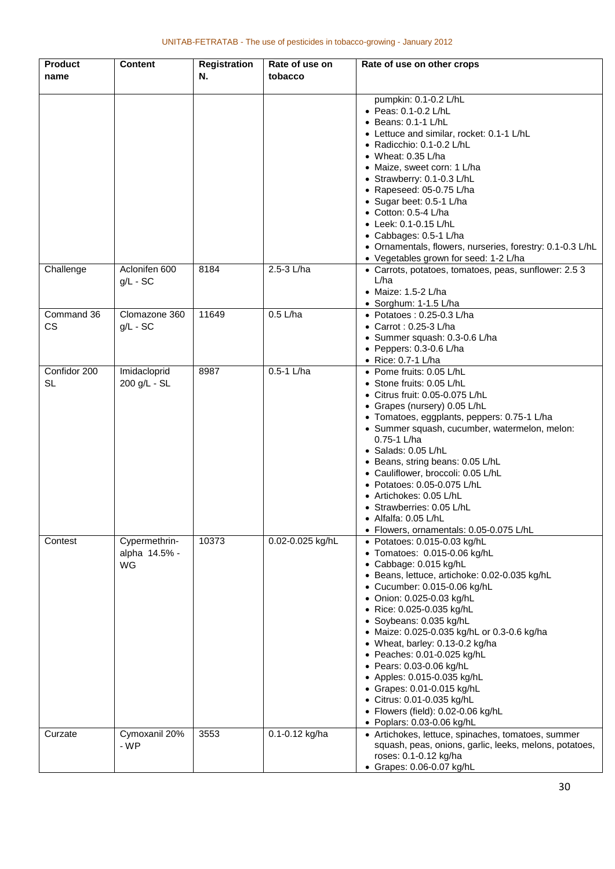| <b>Product</b><br>name    | <b>Content</b>                       | <b>Registration</b><br>Ν. | Rate of use on<br>tobacco | Rate of use on other crops                                                                                                                                                                                                                                                                                                                                                                                                                                                                                                                                                       |
|---------------------------|--------------------------------------|---------------------------|---------------------------|----------------------------------------------------------------------------------------------------------------------------------------------------------------------------------------------------------------------------------------------------------------------------------------------------------------------------------------------------------------------------------------------------------------------------------------------------------------------------------------------------------------------------------------------------------------------------------|
|                           |                                      |                           |                           | pumpkin: 0.1-0.2 L/hL<br>• Peas: 0.1-0.2 L/hL<br>• Beans: 0.1-1 L/hL<br>• Lettuce and similar, rocket: 0.1-1 L/hL<br>• Radicchio: $0.1 - 0.2$ L/hL<br>• Wheat: $0.35$ L/ha<br>• Maize, sweet corn: 1 L/ha<br>• Strawberry: 0.1-0.3 L/hL<br>• Rapeseed: 05-0.75 L/ha<br>• Sugar beet: 0.5-1 L/ha<br>$\bullet$ Cotton: 0.5-4 L/ha<br>• Leek: 0.1-0.15 L/hL<br>• Cabbages: 0.5-1 L/ha<br>• Ornamentals, flowers, nurseries, forestry: 0.1-0.3 L/hL<br>• Vegetables grown for seed: 1-2 L/ha                                                                                         |
| Challenge                 | Aclonifen 600<br>$g/L - SC$          | 8184                      | 2.5-3 L/ha                | • Carrots, potatoes, tomatoes, peas, sunflower: 2.5 3<br>L/ha<br>$\bullet$ Maize: 1.5-2 L/ha<br>• Sorghum: $1-1.5$ L/ha                                                                                                                                                                                                                                                                                                                                                                                                                                                          |
| Command 36<br>CS          | Clomazone 360<br>$g/L - SC$          | 11649                     | $0.5$ L/ha                | $\bullet$ Potatoes: 0.25-0.3 L/ha<br>• Carrot: 0.25-3 L/ha<br>· Summer squash: 0.3-0.6 L/ha<br>$\bullet$ Peppers: 0.3-0.6 L/ha<br>• Rice: 0.7-1 L/ha                                                                                                                                                                                                                                                                                                                                                                                                                             |
| Confidor 200<br><b>SL</b> | Imidacloprid<br>200 g/L - SL         | 8987                      | $0.5-1$ L/ha              | • Pome fruits: 0.05 L/hL<br>• Stone fruits: 0.05 L/hL<br>• Citrus fruit: 0.05-0.075 L/hL<br>• Grapes (nursery) 0.05 L/hL<br>• Tomatoes, eggplants, peppers: 0.75-1 L/ha<br>• Summer squash, cucumber, watermelon, melon:<br>$0.75 - 1$ L/ha<br>• Salads: 0.05 L/hL<br>• Beans, string beans: 0.05 L/hL<br>• Cauliflower, broccoli: 0.05 L/hL<br>• Potatoes: 0.05-0.075 L/hL<br>• Artichokes: 0.05 L/hL<br>• Strawberries: 0.05 L/hL<br>• Alfalfa: 0.05 L/hL<br>• Flowers, ornamentals: 0.05-0.075 L/hL                                                                           |
| Contest                   | Cypermethrin-<br>alpha 14.5% -<br>WG | 10373                     | 0.02-0.025 kg/hL          | • Potatoes: 0.015-0.03 kg/hL<br>$\bullet$ Tomatoes: 0.015-0.06 kg/hL<br>• Cabbage: 0.015 kg/hL<br>• Beans, lettuce, artichoke: 0.02-0.035 kg/hL<br>• Cucumber: 0.015-0.06 kg/hL<br>• Onion: 0.025-0.03 kg/hL<br>● Rice: 0.025-0.035 kg/hL<br>· Soybeans: 0.035 kg/hL<br>• Maize: 0.025-0.035 kg/hL or 0.3-0.6 kg/ha<br>• Wheat, barley: 0.13-0.2 kg/ha<br>• Peaches: 0.01-0.025 kg/hL<br>• Pears: 0.03-0.06 kg/hL<br>• Apples: 0.015-0.035 kg/hL<br>• Grapes: 0.01-0.015 kg/hL<br>• Citrus: 0.01-0.035 kg/hL<br>• Flowers (field): 0.02-0.06 kg/hL<br>• Poplars: 0.03-0.06 kg/hL |
| Curzate                   | Cymoxanil 20%<br>- WP                | 3553                      | 0.1-0.12 kg/ha            | • Artichokes, lettuce, spinaches, tomatoes, summer<br>squash, peas, onions, garlic, leeks, melons, potatoes,<br>roses: 0.1-0.12 kg/ha<br>• Grapes: 0.06-0.07 kg/hL                                                                                                                                                                                                                                                                                                                                                                                                               |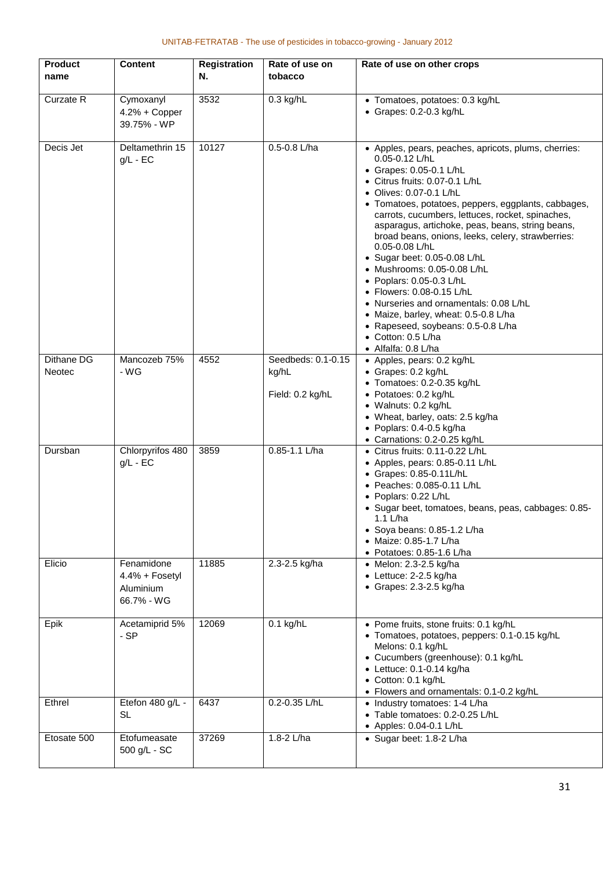| <b>Product</b><br>name | <b>Content</b>                                          | <b>Registration</b><br>Ν. | Rate of use on<br>tobacco                       | Rate of use on other crops                                                                                                                                                                                                                                                                                                                                                                                                                                                                                                                                                                                                                                                                            |
|------------------------|---------------------------------------------------------|---------------------------|-------------------------------------------------|-------------------------------------------------------------------------------------------------------------------------------------------------------------------------------------------------------------------------------------------------------------------------------------------------------------------------------------------------------------------------------------------------------------------------------------------------------------------------------------------------------------------------------------------------------------------------------------------------------------------------------------------------------------------------------------------------------|
| Curzate R              | Cymoxanyl<br>4.2% + Copper<br>39.75% - WP               | 3532                      | $0.3$ kg/hL                                     | • Tomatoes, potatoes: 0.3 kg/hL<br>• Grapes: 0.2-0.3 kg/hL                                                                                                                                                                                                                                                                                                                                                                                                                                                                                                                                                                                                                                            |
| Decis Jet              | Deltamethrin 15<br>$g/L - EC$                           | 10127                     | 0.5-0.8 L/ha                                    | • Apples, pears, peaches, apricots, plums, cherries:<br>$0.05 - 0.12$ L/hL<br>• Grapes: 0.05-0.1 L/hL<br>• Citrus fruits: 0.07-0.1 L/hL<br>• Olives: 0.07-0.1 L/hL<br>• Tomatoes, potatoes, peppers, eggplants, cabbages,<br>carrots, cucumbers, lettuces, rocket, spinaches,<br>asparagus, artichoke, peas, beans, string beans,<br>broad beans, onions, leeks, celery, strawberries:<br>0.05-0.08 L/hL<br>• Sugar beet: 0.05-0.08 L/hL<br>• Mushrooms: 0.05-0.08 L/hL<br>• Poplars: 0.05-0.3 L/hL<br>• Flowers: 0.08-0.15 L/hL<br>• Nurseries and ornamentals: 0.08 L/hL<br>• Maize, barley, wheat: 0.5-0.8 L/ha<br>• Rapeseed, soybeans: 0.5-0.8 L/ha<br>• Cotton: 0.5 L/ha<br>• Alfalfa: 0.8 L/ha |
| Dithane DG<br>Neotec   | Mancozeb 75%<br>- WG                                    | 4552                      | Seedbeds: 0.1-0.15<br>kg/hL<br>Field: 0.2 kg/hL | • Apples, pears: 0.2 kg/hL<br>· Grapes: 0.2 kg/hL<br>• Tomatoes: 0.2-0.35 kg/hL<br>• Potatoes: 0.2 kg/hL<br>• Walnuts: 0.2 kg/hL<br>• Wheat, barley, oats: 2.5 kg/ha<br>• Poplars: 0.4-0.5 kg/ha<br>• Carnations: 0.2-0.25 kg/hL                                                                                                                                                                                                                                                                                                                                                                                                                                                                      |
| Dursban                | Chlorpyrifos 480<br>$g/L - EC$                          | 3859                      | $0.85 - 1.1$ L/ha                               | • Citrus fruits: 0.11-0.22 L/hL<br>• Apples, pears: 0.85-0.11 L/hL<br>• Grapes: 0.85-0.11L/hL<br>• Peaches: 0.085-0.11 L/hL<br>• Poplars: 0.22 L/hL<br>• Sugar beet, tomatoes, beans, peas, cabbages: 0.85-<br>1.1 L/ha<br>• Soya beans: 0.85-1.2 L/ha<br>• Maize: 0.85-1.7 L/ha<br>$\bullet$ Potatoes: 0.85-1.6 L/ha                                                                                                                                                                                                                                                                                                                                                                                 |
| Elicio                 | Fenamidone<br>4.4% + Fosetyl<br>Aluminium<br>66.7% - WG | 11885                     | 2.3-2.5 kg/ha                                   | • Melon: 2.3-2.5 kg/ha<br>$\bullet$ Lettuce: 2-2.5 kg/ha<br>• Grapes: 2.3-2.5 kg/ha                                                                                                                                                                                                                                                                                                                                                                                                                                                                                                                                                                                                                   |
| Epik                   | Acetamiprid 5%<br>- SP                                  | 12069                     | $0.1$ kg/hL                                     | • Pome fruits, stone fruits: 0.1 kg/hL<br>• Tomatoes, potatoes, peppers: 0.1-0.15 kg/hL<br>Melons: 0.1 kg/hL<br>• Cucumbers (greenhouse): 0.1 kg/hL<br>$\bullet$ Lettuce: 0.1-0.14 kg/ha<br>• Cotton: 0.1 kg/hL<br>• Flowers and ornamentals: 0.1-0.2 kg/hL                                                                                                                                                                                                                                                                                                                                                                                                                                           |
| Ethrel                 | Etefon 480 g/L -<br><b>SL</b>                           | 6437                      | 0.2-0.35 L/hL                                   | • Industry tomatoes: 1-4 L/ha<br>• Table tomatoes: 0.2-0.25 L/hL<br>• Apples: 0.04-0.1 L/hL                                                                                                                                                                                                                                                                                                                                                                                                                                                                                                                                                                                                           |
| Etosate 500            | Etofumeasate<br>500 g/L - SC                            | 37269                     | 1.8-2 L/ha                                      | • Sugar beet: 1.8-2 L/ha                                                                                                                                                                                                                                                                                                                                                                                                                                                                                                                                                                                                                                                                              |

#### UNITAB-FETRATAB - The use of pesticides in tobacco-growing - January 2012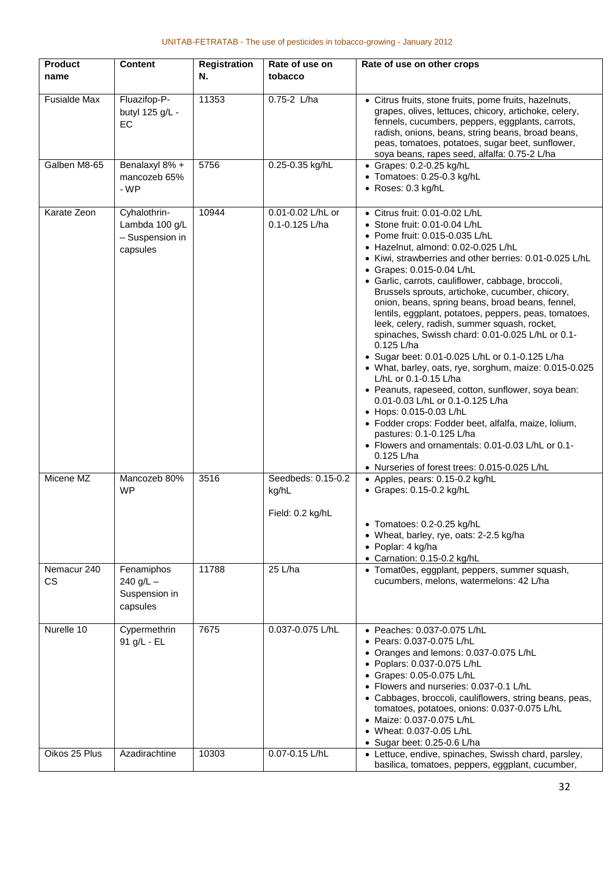| <b>Product</b>              | <b>Content</b>                                                | <b>Registration</b> | Rate of use on                                  | Rate of use on other crops                                                                                                                                                                                                                                                                                                                                                                                                                                                                                                                                                                                                                                                                                                                                                                                                                                                                                                                                                                                                                  |
|-----------------------------|---------------------------------------------------------------|---------------------|-------------------------------------------------|---------------------------------------------------------------------------------------------------------------------------------------------------------------------------------------------------------------------------------------------------------------------------------------------------------------------------------------------------------------------------------------------------------------------------------------------------------------------------------------------------------------------------------------------------------------------------------------------------------------------------------------------------------------------------------------------------------------------------------------------------------------------------------------------------------------------------------------------------------------------------------------------------------------------------------------------------------------------------------------------------------------------------------------------|
| name                        |                                                               | N.                  | tobacco                                         |                                                                                                                                                                                                                                                                                                                                                                                                                                                                                                                                                                                                                                                                                                                                                                                                                                                                                                                                                                                                                                             |
| <b>Fusialde Max</b>         | Fluazifop-P-<br>butyl 125 g/L -<br>EC                         | 11353               | $0.75-2$ L/ha                                   | • Citrus fruits, stone fruits, pome fruits, hazelnuts,<br>grapes, olives, lettuces, chicory, artichoke, celery,<br>fennels, cucumbers, peppers, eggplants, carrots,<br>radish, onions, beans, string beans, broad beans,<br>peas, tomatoes, potatoes, sugar beet, sunflower,<br>soya beans, rapes seed, alfalfa: 0.75-2 L/ha                                                                                                                                                                                                                                                                                                                                                                                                                                                                                                                                                                                                                                                                                                                |
| Galben M8-65                | Benalaxyl 8% +<br>mancozeb 65%<br>- WP                        | 5756                | 0.25-0.35 kg/hL                                 | $\bullet$ Grapes: 0.2-0.25 kg/hL<br>• Tomatoes: 0.25-0.3 kg/hL<br>· Roses: 0.3 kg/hL                                                                                                                                                                                                                                                                                                                                                                                                                                                                                                                                                                                                                                                                                                                                                                                                                                                                                                                                                        |
| Karate Zeon                 | Cyhalothrin-<br>Lambda 100 g/L<br>- Suspension in<br>capsules | 10944               | 0.01-0.02 L/hL or<br>0.1-0.125 L/ha             | • Citrus fruit: 0.01-0.02 L/hL<br>• Stone fruit: 0.01-0.04 L/hL<br>• Pome fruit: 0.015-0.035 L/hL<br>• Hazelnut, almond: 0.02-0.025 L/hL<br>• Kiwi, strawberries and other berries: 0.01-0.025 L/hL<br>• Grapes: 0.015-0.04 L/hL<br>• Garlic, carrots, cauliflower, cabbage, broccoli,<br>Brussels sprouts, artichoke, cucumber, chicory,<br>onion, beans, spring beans, broad beans, fennel,<br>lentils, eggplant, potatoes, peppers, peas, tomatoes,<br>leek, celery, radish, summer squash, rocket,<br>spinaches, Swissh chard: 0.01-0.025 L/hL or 0.1-<br>0.125 L/ha<br>• Sugar beet: 0.01-0.025 L/hL or 0.1-0.125 L/ha<br>• What, barley, oats, rye, sorghum, maize: 0.015-0.025<br>L/hL or 0.1-0.15 L/ha<br>• Peanuts, rapeseed, cotton, sunflower, soya bean:<br>0.01-0.03 L/hL or 0.1-0.125 L/ha<br>• Hops: 0.015-0.03 L/hL<br>· Fodder crops: Fodder beet, alfalfa, maize, lolium,<br>pastures: 0.1-0.125 L/ha<br>• Flowers and ornamentals: 0.01-0.03 L/hL or 0.1-<br>0.125 L/ha<br>• Nurseries of forest trees: 0.015-0.025 L/hL |
| Micene MZ                   | Mancozeb 80%<br><b>WP</b>                                     | 3516                | Seedbeds: 0.15-0.2<br>kg/hL<br>Field: 0.2 kg/hL | • Apples, pears: 0.15-0.2 kg/hL<br>• Grapes: 0.15-0.2 kg/hL<br>• Tomatoes: 0.2-0.25 kg/hL<br>• Wheat, barley, rye, oats: 2-2.5 kg/ha<br>• Poplar: 4 kg/ha<br>• Carnation: 0.15-0.2 kg/hL                                                                                                                                                                                                                                                                                                                                                                                                                                                                                                                                                                                                                                                                                                                                                                                                                                                    |
| Nemacur 240<br><b>CS</b>    | Fenamiphos<br>$240$ g/L $-$<br>Suspension in<br>capsules      | 11788               | 25 L/ha                                         | • Tomat0es, eggplant, peppers, summer squash,<br>cucumbers, melons, watermelons: 42 L/ha                                                                                                                                                                                                                                                                                                                                                                                                                                                                                                                                                                                                                                                                                                                                                                                                                                                                                                                                                    |
| Nurelle 10<br>Oikos 25 Plus | Cypermethrin<br>91 g/L - EL<br>Azadirachtine                  | 7675<br>10303       | 0.037-0.075 L/hL<br>0.07-0.15 L/hL              | • Peaches: 0.037-0.075 L/hL<br>• Pears: 0.037-0.075 L/hL<br>• Oranges and lemons: 0.037-0.075 L/hL<br>• Poplars: 0.037-0.075 L/hL<br>• Grapes: 0.05-0.075 L/hL<br>• Flowers and nurseries: 0.037-0.1 L/hL<br>• Cabbages, broccoli, cauliflowers, string beans, peas,<br>tomatoes, potatoes, onions: 0.037-0.075 L/hL<br>• Maize: 0.037-0.075 L/hL<br>• Wheat: 0.037-0.05 L/hL<br>• Sugar beet: 0.25-0.6 L/ha<br>• Lettuce, endive, spinaches, Swissh chard, parsley,                                                                                                                                                                                                                                                                                                                                                                                                                                                                                                                                                                        |
|                             |                                                               |                     |                                                 | basilica, tomatoes, peppers, eggplant, cucumber,                                                                                                                                                                                                                                                                                                                                                                                                                                                                                                                                                                                                                                                                                                                                                                                                                                                                                                                                                                                            |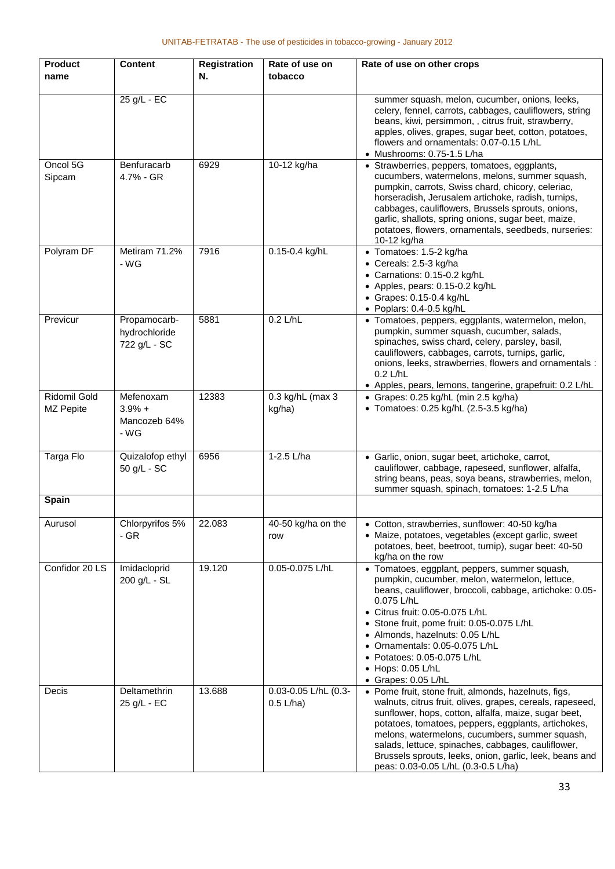| <b>Product</b><br>name    | <b>Content</b>                                | <b>Registration</b><br>N. | Rate of use on<br>tobacco           | Rate of use on other crops                                                                                                                                                                                                                                                                                                                                                                                                                 |
|---------------------------|-----------------------------------------------|---------------------------|-------------------------------------|--------------------------------------------------------------------------------------------------------------------------------------------------------------------------------------------------------------------------------------------------------------------------------------------------------------------------------------------------------------------------------------------------------------------------------------------|
|                           | 25 g/L - EC                                   |                           |                                     | summer squash, melon, cucumber, onions, leeks,<br>celery, fennel, carrots, cabbages, cauliflowers, string<br>beans, kiwi, persimmon, , citrus fruit, strawberry,<br>apples, olives, grapes, sugar beet, cotton, potatoes,<br>flowers and ornamentals: 0.07-0.15 L/hL<br>• Mushrooms: 0.75-1.5 L/ha                                                                                                                                         |
| Oncol 5G<br>Sipcam        | Benfuracarb<br>4.7% - GR                      | 6929                      | 10-12 kg/ha                         | • Strawberries, peppers, tomatoes, eggplants,<br>cucumbers, watermelons, melons, summer squash,<br>pumpkin, carrots, Swiss chard, chicory, celeriac,<br>horseradish, Jerusalem artichoke, radish, turnips,<br>cabbages, cauliflowers, Brussels sprouts, onions,<br>garlic, shallots, spring onions, sugar beet, maize,<br>potatoes, flowers, ornamentals, seedbeds, nurseries:<br>10-12 kg/ha                                              |
| Polyram DF                | Metiram 71.2%<br>- WG                         | 7916                      | 0.15-0.4 kg/hL                      | • Tomatoes: 1.5-2 kg/ha<br>• Cereals: 2.5-3 kg/ha<br>• Carnations: 0.15-0.2 kg/hL<br>• Apples, pears: 0.15-0.2 kg/hL<br>• Grapes: 0.15-0.4 kg/hL<br>· Poplars: 0.4-0.5 kg/hL                                                                                                                                                                                                                                                               |
| Previcur                  | Propamocarb-<br>hydrochloride<br>722 g/L - SC | 5881                      | $0.2$ L/hL                          | • Tomatoes, peppers, eggplants, watermelon, melon,<br>pumpkin, summer squash, cucumber, salads,<br>spinaches, swiss chard, celery, parsley, basil,<br>cauliflowers, cabbages, carrots, turnips, garlic,<br>onions, leeks, strawberries, flowers and ornamentals :<br>$0.2$ L/hL<br>• Apples, pears, lemons, tangerine, grapefruit: 0.2 L/hL                                                                                                |
| Ridomil Gold<br>MZ Pepite | Mefenoxam<br>$3.9% +$<br>Mancozeb 64%<br>- WG | 12383                     | 0.3 kg/hL (max 3<br>kg/ha)          | • Grapes: 0.25 kg/hL (min 2.5 kg/ha)<br>• Tomatoes: 0.25 kg/hL (2.5-3.5 kg/ha)                                                                                                                                                                                                                                                                                                                                                             |
| Targa Flo                 | Quizalofop ethyl<br>50 g/L - SC               | 6956                      | 1-2.5 L/ha                          | • Garlic, onion, sugar beet, artichoke, carrot,<br>cauliflower, cabbage, rapeseed, sunflower, alfalfa,<br>string beans, peas, soya beans, strawberries, melon,<br>summer squash, spinach, tomatoes: 1-2.5 L/ha                                                                                                                                                                                                                             |
| Spain                     |                                               |                           |                                     |                                                                                                                                                                                                                                                                                                                                                                                                                                            |
| Aurusol                   | Chlorpyrifos 5%<br>- GR                       | 22.083                    | 40-50 kg/ha on the<br>row           | • Cotton, strawberries, sunflower: 40-50 kg/ha<br>• Maize, potatoes, vegetables (except garlic, sweet<br>potatoes, beet, beetroot, turnip), sugar beet: 40-50<br>kg/ha on the row                                                                                                                                                                                                                                                          |
| Confidor 20 LS            | Imidacloprid<br>200 g/L - SL                  | 19.120                    | 0.05-0.075 L/hL                     | • Tomatoes, eggplant, peppers, summer squash,<br>pumpkin, cucumber, melon, watermelon, lettuce,<br>beans, cauliflower, broccoli, cabbage, artichoke: 0.05-<br>0.075 L/hL<br>• Citrus fruit: 0.05-0.075 L/hL<br>• Stone fruit, pome fruit: 0.05-0.075 L/hL<br>• Almonds, hazelnuts: 0.05 L/hL<br>• Ornamentals: 0.05-0.075 L/hL<br>• Potatoes: 0.05-0.075 L/hL<br>• Hops: 0.05 L/hL<br>• Grapes: 0.05 L/hL                                  |
| Decis                     | Deltamethrin<br>25 g/L - EC                   | 13.688                    | 0.03-0.05 L/hL (0.3-<br>$0.5$ L/ha) | • Pome fruit, stone fruit, almonds, hazelnuts, figs,<br>walnuts, citrus fruit, olives, grapes, cereals, rapeseed,<br>sunflower, hops, cotton, alfalfa, maize, sugar beet,<br>potatoes, tomatoes, peppers, eggplants, artichokes,<br>melons, watermelons, cucumbers, summer squash,<br>salads, lettuce, spinaches, cabbages, cauliflower,<br>Brussels sprouts, leeks, onion, garlic, leek, beans and<br>peas: 0.03-0.05 L/hL (0.3-0.5 L/ha) |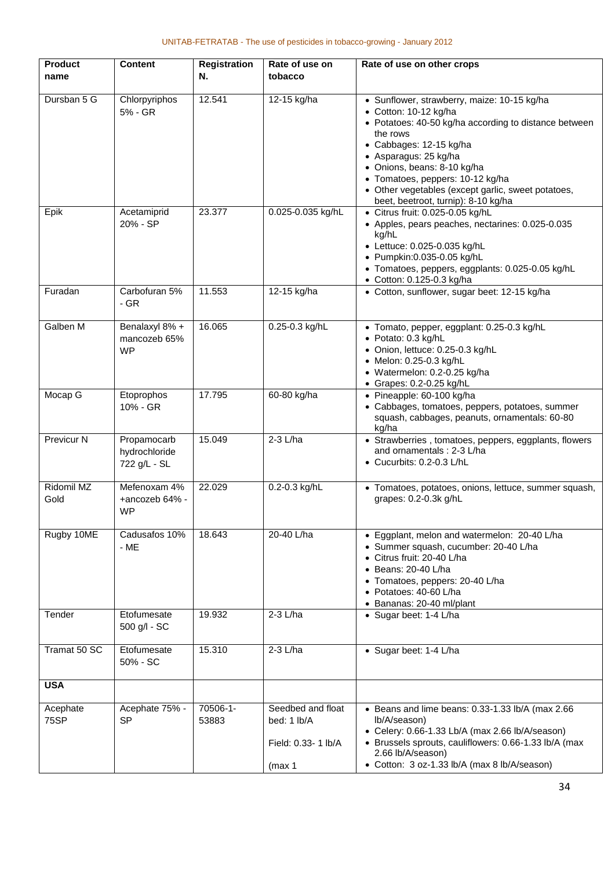| <b>Product</b>          | <b>Content</b>                               | <b>Registration</b> | Rate of use on                                                    | Rate of use on other crops                                                                                                                                                                                                                        |
|-------------------------|----------------------------------------------|---------------------|-------------------------------------------------------------------|---------------------------------------------------------------------------------------------------------------------------------------------------------------------------------------------------------------------------------------------------|
| name                    |                                              | N.                  | tobacco                                                           |                                                                                                                                                                                                                                                   |
|                         |                                              |                     |                                                                   |                                                                                                                                                                                                                                                   |
| Dursban 5 G             | Chlorpyriphos<br>5% - GR                     | 12.541              | 12-15 kg/ha                                                       | • Sunflower, strawberry, maize: 10-15 kg/ha<br>• Cotton: 10-12 kg/ha<br>• Potatoes: 40-50 kg/ha according to distance between<br>the rows<br>• Cabbages: 12-15 kg/ha<br>• Asparagus: 25 kg/ha<br>• Onions, beans: 8-10 kg/ha                      |
|                         |                                              |                     |                                                                   | • Tomatoes, peppers: 10-12 kg/ha<br>• Other vegetables (except garlic, sweet potatoes,<br>beet, beetroot, turnip): 8-10 kg/ha                                                                                                                     |
| Epik                    | Acetamiprid<br>20% - SP                      | 23.377              | 0.025-0.035 kg/hL                                                 | · Citrus fruit: 0.025-0.05 kg/hL<br>• Apples, pears peaches, nectarines: 0.025-0.035<br>kg/hL<br>• Lettuce: 0.025-0.035 kg/hL<br>· Pumpkin:0.035-0.05 kg/hL<br>• Tomatoes, peppers, eggplants: 0.025-0.05 kg/hL<br>• Cotton: 0.125-0.3 kg/ha      |
| Furadan                 | Carbofuran 5%<br>$-$ GR                      | 11.553              | 12-15 kg/ha                                                       | • Cotton, sunflower, sugar beet: 12-15 kg/ha                                                                                                                                                                                                      |
| Galben M                | Benalaxyl 8% +<br>mancozeb 65%<br><b>WP</b>  | 16.065              | 0.25-0.3 kg/hL                                                    | • Tomato, pepper, eggplant: 0.25-0.3 kg/hL<br>· Potato: 0.3 kg/hL<br>• Onion, lettuce: 0.25-0.3 kg/hL<br>• Melon: 0.25-0.3 kg/hL<br>· Watermelon: 0.2-0.25 kg/ha<br>• Grapes: 0.2-0.25 kg/hL                                                      |
| Mocap G                 | Etoprophos<br>10% - GR                       | 17.795              | 60-80 kg/ha                                                       | • Pineapple: 60-100 kg/ha<br>• Cabbages, tomatoes, peppers, potatoes, summer<br>squash, cabbages, peanuts, ornamentals: 60-80<br>kg/ha                                                                                                            |
| Previcur N              | Propamocarb<br>hydrochloride<br>722 g/L - SL | 15.049              | 2-3 L/ha                                                          | • Strawberries, tomatoes, peppers, eggplants, flowers<br>and ornamentals: 2-3 L/ha<br>• Cucurbits: 0.2-0.3 L/hL                                                                                                                                   |
| Ridomil MZ<br>Gold      | Mefenoxam 4%<br>+ancozeb 64% -<br><b>WP</b>  | 22.029              | 0.2-0.3 kg/hL                                                     | • Tomatoes, potatoes, onions, lettuce, summer squash,<br>grapes: 0.2-0.3k g/hL                                                                                                                                                                    |
| Rugby 10ME              | Cadusafos 10%<br>$-ME$                       | 18.643              | 20-40 L/ha                                                        | • Eggplant, melon and watermelon: 20-40 L/ha<br>· Summer squash, cucumber: 20-40 L/ha<br>• Citrus fruit: 20-40 L/ha<br>$\bullet$ Beans: 20-40 L/ha<br>• Tomatoes, peppers: 20-40 L/ha<br>• Potatoes: 40-60 L/ha<br>· Bananas: 20-40 ml/plant      |
| Tender                  | Etofumesate<br>500 g/l - SC                  | 19.932              | 2-3 L/ha                                                          | • Sugar beet: 1-4 L/ha                                                                                                                                                                                                                            |
| Tramat 50 SC            | Etofumesate<br>50% - SC                      | 15.310              | $2-3$ L/ha                                                        | • Sugar beet: 1-4 L/ha                                                                                                                                                                                                                            |
| <b>USA</b>              |                                              |                     |                                                                   |                                                                                                                                                                                                                                                   |
| Acephate<br><b>75SP</b> | Acephate 75% -<br><b>SP</b>                  | 70506-1-<br>53883   | Seedbed and float<br>bed: 1 lb/A<br>Field: 0.33- 1 lb/A<br>(max 1 | • Beans and lime beans: 0.33-1.33 lb/A (max 2.66<br>lb/A/season)<br>• Celery: 0.66-1.33 Lb/A (max 2.66 lb/A/season)<br>• Brussels sprouts, cauliflowers: 0.66-1.33 lb/A (max<br>2.66 lb/A/season)<br>• Cotton: 3 oz-1.33 lb/A (max 8 lb/A/season) |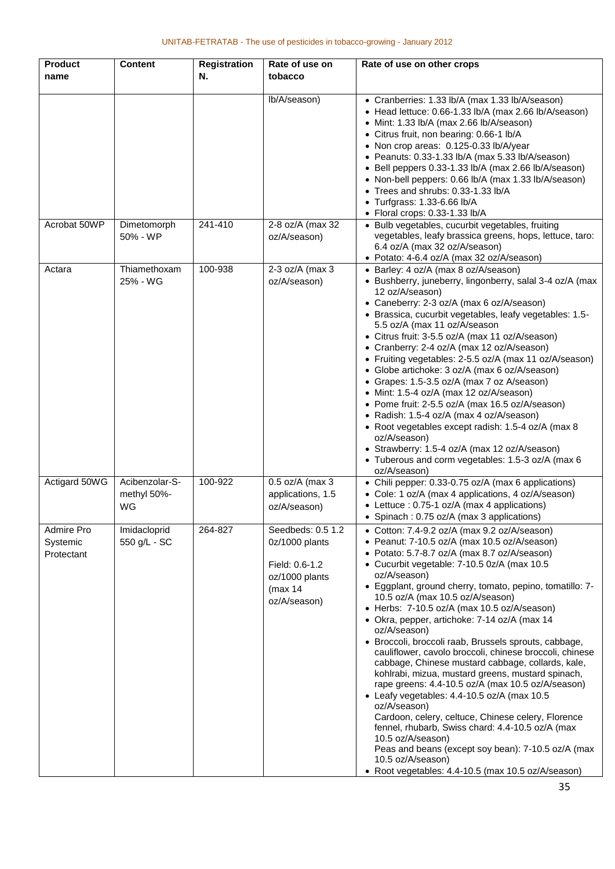| <b>Product</b> | <b>Content</b>    | <b>Registration</b> | Rate of use on    | Rate of use on other crops                                                                                |
|----------------|-------------------|---------------------|-------------------|-----------------------------------------------------------------------------------------------------------|
| name           |                   | N.                  | tobacco           |                                                                                                           |
|                |                   |                     |                   |                                                                                                           |
|                |                   |                     | lb/A/season)      | • Cranberries: 1.33 lb/A (max 1.33 lb/A/season)                                                           |
|                |                   |                     |                   | • Head lettuce: 0.66-1.33 lb/A (max 2.66 lb/A/season)                                                     |
|                |                   |                     |                   | • Mint: 1.33 lb/A (max 2.66 lb/A/season)                                                                  |
|                |                   |                     |                   | • Citrus fruit, non bearing: 0.66-1 lb/A<br>• Non crop areas: 0.125-0.33 lb/A/year                        |
|                |                   |                     |                   | • Peanuts: 0.33-1.33 lb/A (max 5.33 lb/A/season)                                                          |
|                |                   |                     |                   | • Bell peppers 0.33-1.33 lb/A (max 2.66 lb/A/season)                                                      |
|                |                   |                     |                   | • Non-bell peppers: 0.66 lb/A (max 1.33 lb/A/season)                                                      |
|                |                   |                     |                   | • Trees and shrubs: 0.33-1.33 lb/A                                                                        |
|                |                   |                     |                   | • Turfgrass: 1.33-6.66 lb/A                                                                               |
|                |                   |                     |                   | • Floral crops: 0.33-1.33 lb/A                                                                            |
| Acrobat 50WP   | Dimetomorph       | 241-410             | 2-8 oz/A (max 32  | • Bulb vegetables, cucurbit vegetables, fruiting                                                          |
|                | 50% - WP          |                     | oz/A/season)      | vegetables, leafy brassica greens, hops, lettuce, taro:                                                   |
|                |                   |                     |                   | 6.4 oz/A (max 32 oz/A/season)                                                                             |
| Actara         | Thiamethoxam      | 100-938             | 2-3 oz/A (max 3   | • Potato: 4-6.4 oz/A (max 32 oz/A/season)<br>• Barley: 4 oz/A (max 8 oz/A/season)                         |
|                | 25% - WG          |                     | oz/A/season)      | • Bushberry, juneberry, lingonberry, salal 3-4 oz/A (max                                                  |
|                |                   |                     |                   | 12 oz/A/season)                                                                                           |
|                |                   |                     |                   | • Caneberry: 2-3 oz/A (max 6 oz/A/season)                                                                 |
|                |                   |                     |                   | · Brassica, cucurbit vegetables, leafy vegetables: 1.5-                                                   |
|                |                   |                     |                   | 5.5 oz/A (max 11 oz/A/season                                                                              |
|                |                   |                     |                   | • Citrus fruit: 3-5.5 oz/A (max 11 oz/A/season)                                                           |
|                |                   |                     |                   | • Cranberry: 2-4 oz/A (max 12 oz/A/season)                                                                |
|                |                   |                     |                   | • Fruiting vegetables: 2-5.5 oz/A (max 11 oz/A/season)                                                    |
|                |                   |                     |                   | • Globe artichoke: 3 oz/A (max 6 oz/A/season)<br>• Grapes: 1.5-3.5 oz/A (max 7 oz A/season)               |
|                |                   |                     |                   | • Mint: 1.5-4 oz/A (max 12 oz/A/season)                                                                   |
|                |                   |                     |                   | • Pome fruit: 2-5.5 oz/A (max 16.5 oz/A/season)                                                           |
|                |                   |                     |                   | • Radish: 1.5-4 oz/A (max 4 oz/A/season)                                                                  |
|                |                   |                     |                   | • Root vegetables except radish: 1.5-4 oz/A (max 8                                                        |
|                |                   |                     |                   | oz/A/season)                                                                                              |
|                |                   |                     |                   | • Strawberry: 1.5-4 oz/A (max 12 oz/A/season)                                                             |
|                |                   |                     |                   | • Tuberous and corm vegetables: 1.5-3 oz/A (max 6                                                         |
|                | Acibenzolar-S-    |                     |                   | oz/A/season)                                                                                              |
| Actigard 50WG  |                   | 100-922             | 0.5 oz/A (max 3   | • Chili pepper: 0.33-0.75 oz/A (max 6 applications)<br>• Cole: 1 oz/A (max 4 applications, 4 oz/A/season) |
|                | methyl 50%-<br>WG |                     | applications, 1.5 | • Lettuce : 0.75-1 oz/A (max 4 applications)                                                              |
|                |                   |                     | oz/A/season)      | • Spinach : 0.75 oz/A (max 3 applications)                                                                |
| Admire Pro     | Imidacloprid      | 264-827             | Seedbeds: 0.5 1.2 | • Cotton: 7.4-9.2 oz/A (max 9.2 oz/A/season)                                                              |
| Systemic       | 550 g/L - SC      |                     | 0z/1000 plants    | • Peanut: 7-10.5 oz/A (max 10.5 oz/A/season)                                                              |
| Protectant     |                   |                     |                   | • Potato: 5.7-8.7 oz/A (max 8.7 oz/A/season)                                                              |
|                |                   |                     | Field: 0.6-1.2    | • Cucurbit vegetable: 7-10.5 0z/A (max 10.5                                                               |
|                |                   |                     | oz/1000 plants    | oz/A/season)                                                                                              |
|                |                   |                     | (max 14           | • Eggplant, ground cherry, tomato, pepino, tomatillo: 7-                                                  |
|                |                   |                     | oz/A/season)      | 10.5 oz/A (max 10.5 oz/A/season)                                                                          |
|                |                   |                     |                   | • Herbs: 7-10.5 oz/A (max 10.5 oz/A/season)                                                               |
|                |                   |                     |                   | • Okra, pepper, artichoke: 7-14 oz/A (max 14<br>oz/A/season)                                              |
|                |                   |                     |                   | · Broccoli, broccoli raab, Brussels sprouts, cabbage,                                                     |
|                |                   |                     |                   | cauliflower, cavolo broccoli, chinese broccoli, chinese                                                   |
|                |                   |                     |                   | cabbage, Chinese mustard cabbage, collards, kale,                                                         |
|                |                   |                     |                   | kohlrabi, mizua, mustard greens, mustard spinach,                                                         |
|                |                   |                     |                   | rape greens: 4.4-10.5 oz/A (max 10.5 oz/A/season)                                                         |
|                |                   |                     |                   | • Leafy vegetables: 4.4-10.5 oz/A (max 10.5                                                               |
|                |                   |                     |                   | oz/A/season)<br>Cardoon, celery, celtuce, Chinese celery, Florence                                        |
|                |                   |                     |                   | fennel, rhubarb, Swiss chard: 4.4-10.5 oz/A (max                                                          |
|                |                   |                     |                   | 10.5 oz/A/season)                                                                                         |
|                |                   |                     |                   | Peas and beans (except soy bean): 7-10.5 oz/A (max                                                        |
|                |                   |                     |                   | 10.5 oz/A/season)                                                                                         |
|                |                   |                     |                   | • Root vegetables: 4.4-10.5 (max 10.5 oz/A/season)                                                        |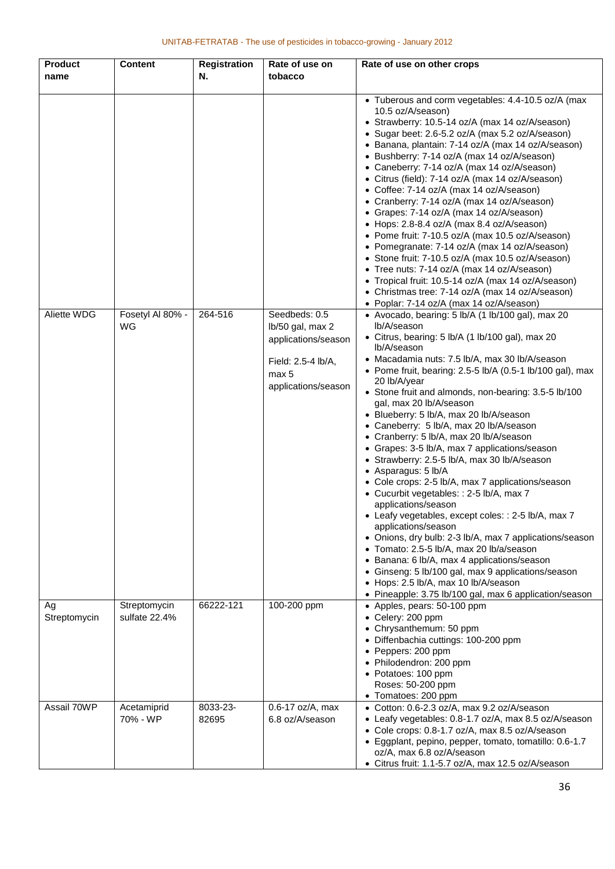| <b>Product</b><br>name | <b>Content</b>                | <b>Registration</b><br>N. | Rate of use on<br>tobacco                                                                                      | Rate of use on other crops                                                                                                                                                                                                                                                                                                                                                                                                                                                                                                                                                                                                                                                                                                                                                                                                                                                                                                                                                                                                                                                                                                                                                                                                                                                                                                                                                                                                                                                                                                                                                                                                                                                                                                                                                                                                                                                                                                                                                                                                         |
|------------------------|-------------------------------|---------------------------|----------------------------------------------------------------------------------------------------------------|------------------------------------------------------------------------------------------------------------------------------------------------------------------------------------------------------------------------------------------------------------------------------------------------------------------------------------------------------------------------------------------------------------------------------------------------------------------------------------------------------------------------------------------------------------------------------------------------------------------------------------------------------------------------------------------------------------------------------------------------------------------------------------------------------------------------------------------------------------------------------------------------------------------------------------------------------------------------------------------------------------------------------------------------------------------------------------------------------------------------------------------------------------------------------------------------------------------------------------------------------------------------------------------------------------------------------------------------------------------------------------------------------------------------------------------------------------------------------------------------------------------------------------------------------------------------------------------------------------------------------------------------------------------------------------------------------------------------------------------------------------------------------------------------------------------------------------------------------------------------------------------------------------------------------------------------------------------------------------------------------------------------------------|
| Aliette WDG            | Fosetyl Al 80% -<br>WG        | 264-516                   | Seedbeds: 0.5<br>lb/50 gal, max 2<br>applications/season<br>Field: 2.5-4 lb/A,<br>max 5<br>applications/season | • Tuberous and corm vegetables: 4.4-10.5 oz/A (max<br>10.5 oz/A/season)<br>• Strawberry: 10.5-14 oz/A (max 14 oz/A/season)<br>• Sugar beet: 2.6-5.2 oz/A (max 5.2 oz/A/season)<br>• Banana, plantain: 7-14 oz/A (max 14 oz/A/season)<br>• Bushberry: 7-14 oz/A (max 14 oz/A/season)<br>• Caneberry: 7-14 oz/A (max 14 oz/A/season)<br>• Citrus (field): 7-14 oz/A (max 14 oz/A/season)<br>• Coffee: 7-14 oz/A (max 14 oz/A/season)<br>• Cranberry: 7-14 oz/A (max 14 oz/A/season)<br>• Grapes: 7-14 oz/A (max 14 oz/A/season)<br>• Hops: 2.8-8.4 oz/A (max 8.4 oz/A/season)<br>• Pome fruit: 7-10.5 oz/A (max 10.5 oz/A/season)<br>• Pomegranate: 7-14 oz/A (max 14 oz/A/season)<br>• Stone fruit: 7-10.5 oz/A (max 10.5 oz/A/season)<br>• Tree nuts: 7-14 oz/A (max 14 oz/A/season)<br>• Tropical fruit: 10.5-14 oz/A (max 14 oz/A/season)<br>• Christmas tree: 7-14 oz/A (max 14 oz/A/season)<br>• Poplar: 7-14 oz/A (max 14 oz/A/season)<br>• Avocado, bearing: 5 lb/A (1 lb/100 gal), max 20<br>lb/A/season<br>• Citrus, bearing: 5 lb/A (1 lb/100 gal), max 20<br>lb/A/season<br>• Macadamia nuts: 7.5 lb/A, max 30 lb/A/season<br>• Pome fruit, bearing: 2.5-5 lb/A (0.5-1 lb/100 gal), max<br>20 lb/A/year<br>• Stone fruit and almonds, non-bearing: 3.5-5 lb/100<br>gal, max 20 lb/A/season<br>• Blueberry: 5 lb/A, max 20 lb/A/season<br>• Caneberry: 5 lb/A, max 20 lb/A/season<br>• Cranberry: 5 lb/A, max 20 lb/A/season<br>• Grapes: 3-5 lb/A, max 7 applications/season<br>• Strawberry: 2.5-5 lb/A, max 30 lb/A/season<br>• Asparagus: 5 lb/A<br>• Cole crops: 2-5 lb/A, max 7 applications/season<br>• Cucurbit vegetables: : 2-5 lb/A, max 7<br>applications/season<br>• Leafy vegetables, except coles: : 2-5 lb/A, max 7<br>applications/season<br>• Onions, dry bulb: 2-3 lb/A, max 7 applications/season<br>Tomato: 2.5-5 lb/A, max 20 lb/a/season<br>$\bullet$<br>• Banana: 6 lb/A, max 4 applications/season<br>• Ginseng: 5 lb/100 gal, max 9 applications/season<br>• Hops: 2.5 lb/A, max 10 lb/A/season |
| Ag<br>Streptomycin     | Streptomycin<br>sulfate 22.4% | 66222-121                 | 100-200 ppm                                                                                                    | • Pineapple: 3.75 lb/100 gal, max 6 application/season<br>• Apples, pears: 50-100 ppm<br>• Celery: 200 ppm<br>• Chrysanthemum: 50 ppm<br>• Diffenbachia cuttings: 100-200 ppm<br>• Peppers: 200 ppm<br>• Philodendron: 200 ppm<br>• Potatoes: 100 ppm<br>Roses: 50-200 ppm<br>• Tomatoes: 200 ppm                                                                                                                                                                                                                                                                                                                                                                                                                                                                                                                                                                                                                                                                                                                                                                                                                                                                                                                                                                                                                                                                                                                                                                                                                                                                                                                                                                                                                                                                                                                                                                                                                                                                                                                                  |
| Assail 70WP            | Acetamiprid<br>70% - WP       | 8033-23-<br>82695         | 0.6-17 oz/A, max<br>6.8 oz/A/season                                                                            | • Cotton: 0.6-2.3 oz/A, max 9.2 oz/A/season<br>• Leafy vegetables: 0.8-1.7 oz/A, max 8.5 oz/A/season<br>• Cole crops: 0.8-1.7 oz/A, max 8.5 oz/A/season<br>• Eggplant, pepino, pepper, tomato, tomatillo: 0.6-1.7<br>oz/A, max 6.8 oz/A/season<br>• Citrus fruit: 1.1-5.7 oz/A, max 12.5 oz/A/season                                                                                                                                                                                                                                                                                                                                                                                                                                                                                                                                                                                                                                                                                                                                                                                                                                                                                                                                                                                                                                                                                                                                                                                                                                                                                                                                                                                                                                                                                                                                                                                                                                                                                                                               |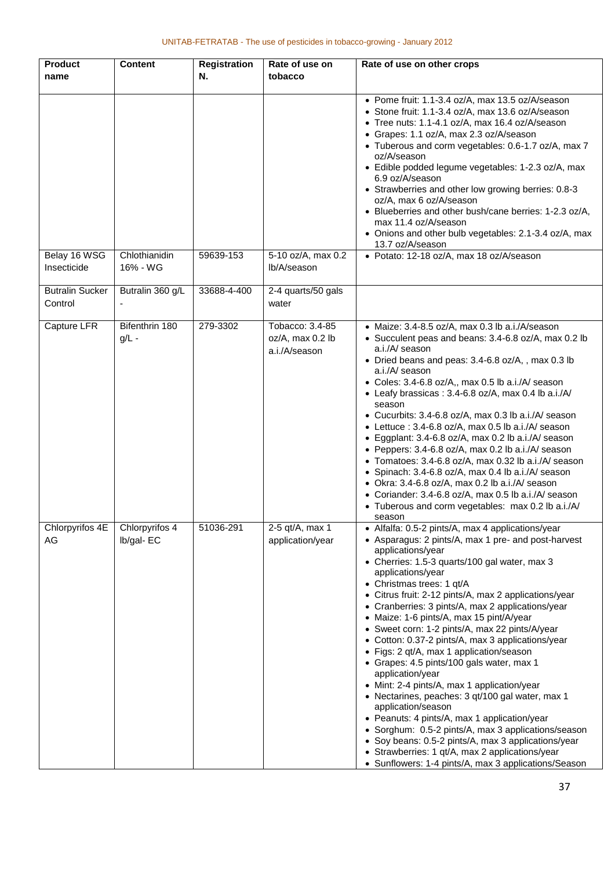| <b>Product</b>                    | <b>Content</b>              | <b>Registration</b> | Rate of use on                                       | Rate of use on other crops                                                                                                                                                                                                                                                                                                                                                                                                                                                                                                                                                                                                                                                                                                                                                                                                                                                                                                                                                                                       |
|-----------------------------------|-----------------------------|---------------------|------------------------------------------------------|------------------------------------------------------------------------------------------------------------------------------------------------------------------------------------------------------------------------------------------------------------------------------------------------------------------------------------------------------------------------------------------------------------------------------------------------------------------------------------------------------------------------------------------------------------------------------------------------------------------------------------------------------------------------------------------------------------------------------------------------------------------------------------------------------------------------------------------------------------------------------------------------------------------------------------------------------------------------------------------------------------------|
| name                              |                             | N.                  | tobacco                                              |                                                                                                                                                                                                                                                                                                                                                                                                                                                                                                                                                                                                                                                                                                                                                                                                                                                                                                                                                                                                                  |
|                                   |                             |                     |                                                      | • Pome fruit: 1.1-3.4 oz/A, max 13.5 oz/A/season<br>• Stone fruit: 1.1-3.4 oz/A, max 13.6 oz/A/season<br>• Tree nuts: 1.1-4.1 oz/A, max 16.4 oz/A/season<br>• Grapes: 1.1 oz/A, max 2.3 oz/A/season<br>• Tuberous and corm vegetables: 0.6-1.7 oz/A, max 7<br>oz/A/season<br>• Edible podded legume vegetables: 1-2.3 oz/A, max<br>6.9 oz/A/season<br>• Strawberries and other low growing berries: 0.8-3<br>oz/A, max 6 oz/A/season<br>• Blueberries and other bush/cane berries: 1-2.3 oz/A,<br>max 11.4 oz/A/season<br>• Onions and other bulb vegetables: 2.1-3.4 oz/A, max<br>13.7 oz/A/season                                                                                                                                                                                                                                                                                                                                                                                                              |
| Belay 16 WSG<br>Insecticide       | Chlothianidin<br>16% - WG   | 59639-153           | 5-10 oz/A, max 0.2<br>lb/A/season                    | • Potato: 12-18 oz/A, max 18 oz/A/season                                                                                                                                                                                                                                                                                                                                                                                                                                                                                                                                                                                                                                                                                                                                                                                                                                                                                                                                                                         |
| <b>Butralin Sucker</b><br>Control | Butralin 360 g/L            | 33688-4-400         | 2-4 quarts/50 gals<br>water                          |                                                                                                                                                                                                                                                                                                                                                                                                                                                                                                                                                                                                                                                                                                                                                                                                                                                                                                                                                                                                                  |
| Capture LFR                       | Bifenthrin 180<br>$g/L -$   | 279-3302            | Tobacco: 3.4-85<br>oz/A, max 0.2 lb<br>a.i./A/season | • Maize: 3.4-8.5 oz/A, max 0.3 lb a.i./A/season<br>• Succulent peas and beans: 3.4-6.8 oz/A, max 0.2 lb<br>a.i./A/ season<br>• Dried beans and peas: 3.4-6.8 oz/A,, max 0.3 lb<br>a.i./A/ season<br>• Coles: 3.4-6.8 oz/A,, max 0.5 lb a.i./A/ season<br>• Leafy brassicas: 3.4-6.8 oz/A, max 0.4 lb a.i./A/<br>season<br>• Cucurbits: 3.4-6.8 oz/A, max 0.3 lb a.i./A/ season<br>• Lettuce : 3.4-6.8 oz/A, max 0.5 lb a.i./A/ season<br>• Eggplant: 3.4-6.8 oz/A, max 0.2 lb a.i./A/ season<br>• Peppers: 3.4-6.8 oz/A, max 0.2 lb a.i./A/ season<br>• Tomatoes: 3.4-6.8 oz/A, max 0.32 lb a.i./A/ season<br>• Spinach: 3.4-6.8 oz/A, max 0.4 lb a.i./A/ season<br>• Okra: 3.4-6.8 oz/A, max 0.2 lb a.i./A/ season<br>• Coriander: 3.4-6.8 oz/A, max 0.5 lb a.i./A/ season<br>• Tuberous and corm vegetables: max 0.2 lb a.i./A/<br>season                                                                                                                                                                      |
| Chlorpyrifos 4E<br>AG             | Chlorpyrifos 4<br>Ib/gal-EC | 51036-291           | 2-5 qt/A, max 1<br>application/year                  | • Alfalfa: 0.5-2 pints/A, max 4 applications/year<br>• Asparagus: 2 pints/A, max 1 pre- and post-harvest<br>applications/year<br>• Cherries: 1.5-3 quarts/100 gal water, max 3<br>applications/year<br>• Christmas trees: 1 qt/A<br>• Citrus fruit: 2-12 pints/A, max 2 applications/year<br>• Cranberries: 3 pints/A, max 2 applications/year<br>• Maize: 1-6 pints/A, max 15 pint/A/year<br>• Sweet corn: 1-2 pints/A, max 22 pints/A/year<br>• Cotton: 0.37-2 pints/A, max 3 applications/year<br>• Figs: 2 qt/A, max 1 application/season<br>• Grapes: 4.5 pints/100 gals water, max 1<br>application/year<br>• Mint: 2-4 pints/A, max 1 application/year<br>• Nectarines, peaches: 3 qt/100 gal water, max 1<br>application/season<br>• Peanuts: 4 pints/A, max 1 application/year<br>• Sorghum: 0.5-2 pints/A, max 3 applications/season<br>• Soy beans: 0.5-2 pints/A, max 3 applications/year<br>• Strawberries: 1 qt/A, max 2 applications/year<br>• Sunflowers: 1-4 pints/A, max 3 applications/Season |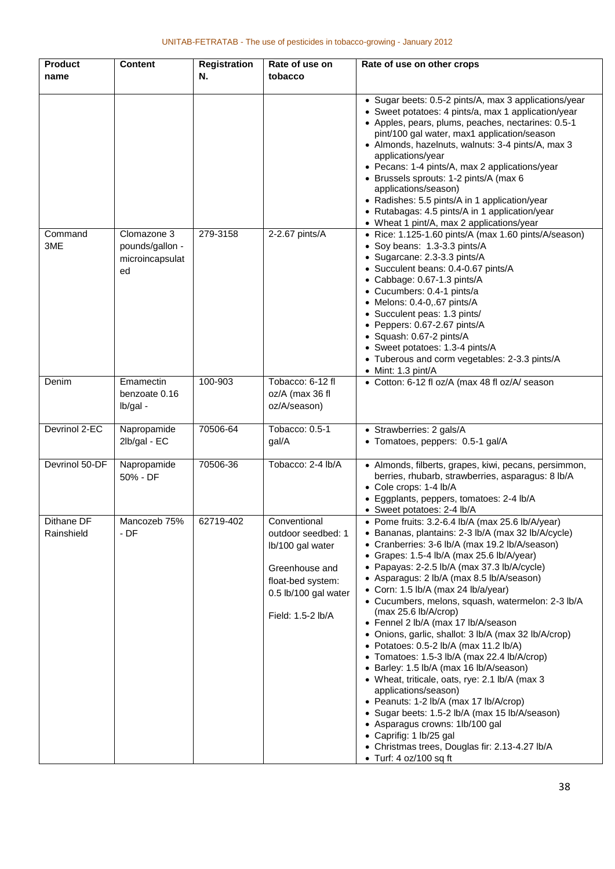| <b>Product</b><br>name   | <b>Content</b>                                          | <b>Registration</b><br>N. | Rate of use on<br>tobacco                                                                                                                  | Rate of use on other crops                                                                                                                                                                                                                                                                                                                                                                                                                                                                                                                                                                                                                                                                                                                                                                                                                                                                                                                                                                    |
|--------------------------|---------------------------------------------------------|---------------------------|--------------------------------------------------------------------------------------------------------------------------------------------|-----------------------------------------------------------------------------------------------------------------------------------------------------------------------------------------------------------------------------------------------------------------------------------------------------------------------------------------------------------------------------------------------------------------------------------------------------------------------------------------------------------------------------------------------------------------------------------------------------------------------------------------------------------------------------------------------------------------------------------------------------------------------------------------------------------------------------------------------------------------------------------------------------------------------------------------------------------------------------------------------|
|                          |                                                         |                           |                                                                                                                                            | • Sugar beets: 0.5-2 pints/A, max 3 applications/year<br>• Sweet potatoes: 4 pints/a, max 1 application/year<br>• Apples, pears, plums, peaches, nectarines: 0.5-1<br>pint/100 gal water, max1 application/season<br>• Almonds, hazelnuts, walnuts: 3-4 pints/A, max 3<br>applications/year<br>• Pecans: 1-4 pints/A, max 2 applications/year<br>• Brussels sprouts: 1-2 pints/A (max 6<br>applications/season)<br>• Radishes: 5.5 pints/A in 1 application/year<br>• Rutabagas: 4.5 pints/A in 1 application/year<br>• Wheat 1 pint/A, max 2 applications/year                                                                                                                                                                                                                                                                                                                                                                                                                               |
| Command<br>3ME           | Clomazone 3<br>pounds/gallon -<br>microincapsulat<br>ed | 279-3158                  | 2-2.67 pints/A                                                                                                                             | • Rice: 1.125-1.60 pints/A (max 1.60 pints/A/season)<br>• Soy beans: 1.3-3.3 pints/A<br>• Sugarcane: 2.3-3.3 pints/A<br>• Succulent beans: 0.4-0.67 pints/A<br>• Cabbage: 0.67-1.3 pints/A<br>• Cucumbers: 0.4-1 pints/a<br>$\bullet$ Melons: 0.4-0,.67 pints/A<br>• Succulent peas: 1.3 pints/<br>• Peppers: 0.67-2.67 pints/A<br>· Squash: 0.67-2 pints/A<br>• Sweet potatoes: 1.3-4 pints/A<br>• Tuberous and corm vegetables: 2-3.3 pints/A<br>• Mint: 1.3 pint/A                                                                                                                                                                                                                                                                                                                                                                                                                                                                                                                         |
| Denim                    | Emamectin<br>benzoate 0.16<br>lb/gal -                  | 100-903                   | Tobacco: 6-12 fl<br>oz/A (max 36 fl<br>oz/A/season)                                                                                        | • Cotton: 6-12 fl oz/A (max 48 fl oz/A/ season                                                                                                                                                                                                                                                                                                                                                                                                                                                                                                                                                                                                                                                                                                                                                                                                                                                                                                                                                |
| Devrinol 2-EC            | Napropamide<br>2lb/gal - EC                             | 70506-64                  | Tobacco: 0.5-1<br>gal/A                                                                                                                    | • Strawberries: 2 gals/A<br>• Tomatoes, peppers: 0.5-1 gal/A                                                                                                                                                                                                                                                                                                                                                                                                                                                                                                                                                                                                                                                                                                                                                                                                                                                                                                                                  |
| Devrinol 50-DF           | Napropamide<br>50% - DF                                 | 70506-36                  | Tobacco: 2-4 lb/A                                                                                                                          | • Almonds, filberts, grapes, kiwi, pecans, persimmon,<br>berries, rhubarb, strawberries, asparagus: 8 lb/A<br>• Cole crops: 1-4 lb/A<br>· Eggplants, peppers, tomatoes: 2-4 lb/A<br>• Sweet potatoes: 2-4 lb/A                                                                                                                                                                                                                                                                                                                                                                                                                                                                                                                                                                                                                                                                                                                                                                                |
| Dithane DF<br>Rainshield | Mancozeb 75%<br>- DF                                    | 62719-402                 | Conventional<br>outdoor seedbed: 1<br>lb/100 gal water<br>Greenhouse and<br>float-bed system:<br>0.5 lb/100 gal water<br>Field: 1.5-2 lb/A | • Pome fruits: 3.2-6.4 lb/A (max 25.6 lb/A/year)<br>• Bananas, plantains: 2-3 lb/A (max 32 lb/A/cycle)<br>Cranberries: 3-6 lb/A (max 19.2 lb/A/season)<br>• Grapes: $1.5-4$ lb/A (max 25.6 lb/A/year)<br>• Papayas: 2-2.5 lb/A (max 37.3 lb/A/cycle)<br>• Asparagus: 2 lb/A (max 8.5 lb/A/season)<br>• Corn: 1.5 lb/A (max 24 lb/a/year)<br>• Cucumbers, melons, squash, watermelon: 2-3 lb/A<br>(max 25.6 lb/A/crop)<br>• Fennel 2 lb/A (max 17 lb/A/season<br>Onions, garlic, shallot: 3 lb/A (max 32 lb/A/crop)<br>$\bullet$<br>• Potatoes: $0.5-2$ lb/A (max 11.2 lb/A)<br>• Tomatoes: 1.5-3 lb/A (max 22.4 lb/A/crop)<br>• Barley: 1.5 lb/A (max 16 lb/A/season)<br>• Wheat, triticale, oats, rye: 2.1 lb/A (max 3<br>applications/season)<br>• Peanuts: 1-2 lb/A (max 17 lb/A/crop)<br>• Sugar beets: 1.5-2 lb/A (max 15 lb/A/season)<br>• Asparagus crowns: 1lb/100 gal<br>• Caprifig: 1 lb/25 gal<br>• Christmas trees, Douglas fir: 2.13-4.27 lb/A<br>$\bullet$ Turf: 4 oz/100 sq ft |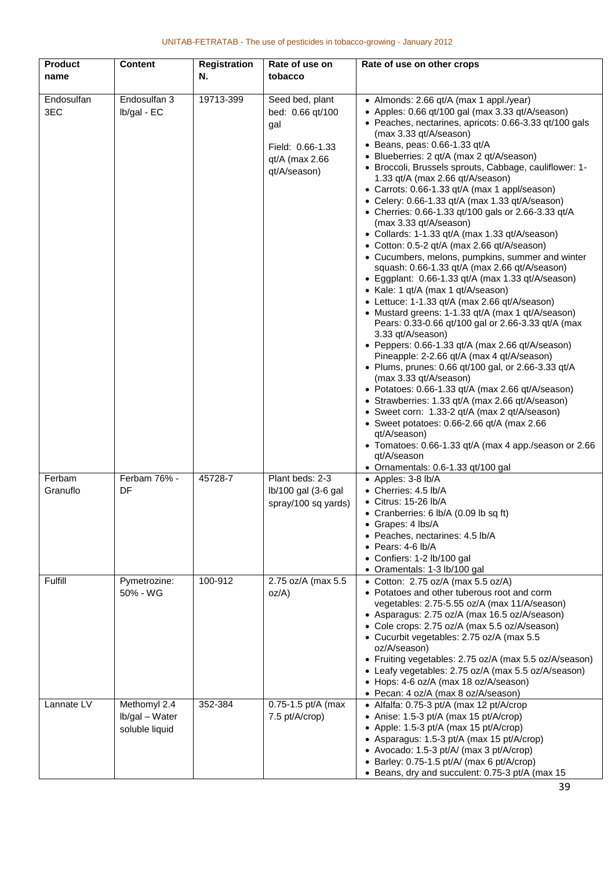| <b>Product</b>                | <b>Content</b>                                   | <b>Registration</b> | Rate of use on                                                                                   | Rate of use on other crops                                                                                                                                                                                                                                                                                                                                                                                                                                                                                                                                                                                                                                                                                                                                                                                                                                                                                                                                                                                                                                                                                                                                                                                                                                                                                                                                                                                                                                                                                                                                              |
|-------------------------------|--------------------------------------------------|---------------------|--------------------------------------------------------------------------------------------------|-------------------------------------------------------------------------------------------------------------------------------------------------------------------------------------------------------------------------------------------------------------------------------------------------------------------------------------------------------------------------------------------------------------------------------------------------------------------------------------------------------------------------------------------------------------------------------------------------------------------------------------------------------------------------------------------------------------------------------------------------------------------------------------------------------------------------------------------------------------------------------------------------------------------------------------------------------------------------------------------------------------------------------------------------------------------------------------------------------------------------------------------------------------------------------------------------------------------------------------------------------------------------------------------------------------------------------------------------------------------------------------------------------------------------------------------------------------------------------------------------------------------------------------------------------------------------|
| name                          |                                                  | N.                  | tobacco                                                                                          |                                                                                                                                                                                                                                                                                                                                                                                                                                                                                                                                                                                                                                                                                                                                                                                                                                                                                                                                                                                                                                                                                                                                                                                                                                                                                                                                                                                                                                                                                                                                                                         |
| Endosulfan<br>3EC             | Endosulfan 3<br>Ib/gal - EC                      | 19713-399           | Seed bed, plant<br>bed: 0.66 qt/100<br>gal<br>Field: 0.66-1.33<br>qt/A (max 2.66<br>qt/A/season) | • Almonds: 2.66 qt/A (max 1 appl./year)<br>• Apples: 0.66 qt/100 gal (max 3.33 qt/A/season)<br>• Peaches, nectarines, apricots: 0.66-3.33 qt/100 gals<br>(max 3.33 qt/A/season)<br>$\bullet$ Beans, peas: 0.66-1.33 qt/A<br>· Blueberries: 2 qt/A (max 2 qt/A/season)<br>· Broccoli, Brussels sprouts, Cabbage, cauliflower: 1-<br>1.33 qt/A (max 2.66 qt/A/season)<br>• Carrots: 0.66-1.33 qt/A (max 1 appl/season)<br>• Celery: 0.66-1.33 qt/A (max 1.33 qt/A/season)<br>• Cherries: 0.66-1.33 qt/100 gals or 2.66-3.33 qt/A<br>(max 3.33 qt/A/season)<br>• Collards: 1-1.33 qt/A (max 1.33 qt/A/season)<br>• Cotton: 0.5-2 qt/A (max 2.66 qt/A/season)<br>• Cucumbers, melons, pumpkins, summer and winter<br>squash: 0.66-1.33 qt/A (max 2.66 qt/A/season)<br>• Eggplant: 0.66-1.33 qt/A (max 1.33 qt/A/season)<br>• Kale: 1 qt/A (max 1 qt/A/season)<br>• Lettuce: 1-1.33 qt/A (max 2.66 qt/A/season)<br>• Mustard greens: 1-1.33 qt/A (max 1 qt/A/season)<br>Pears: 0.33-0.66 qt/100 gal or 2.66-3.33 qt/A (max<br>3.33 qt/A/season)<br>• Peppers: 0.66-1.33 qt/A (max 2.66 qt/A/season)<br>Pineapple: 2-2.66 qt/A (max 4 qt/A/season)<br>• Plums, prunes: 0.66 qt/100 gal, or 2.66-3.33 qt/A<br>(max 3.33 qt/A/season)<br>• Potatoes: 0.66-1.33 qt/A (max 2.66 qt/A/season)<br>• Strawberries: 1.33 qt/A (max 2.66 qt/A/season)<br>• Sweet corn: 1.33-2 qt/A (max 2 qt/A/season)<br>• Sweet potatoes: $0.66 - 2.66$ qt/A (max 2.66<br>qt/A/season)<br>• Tomatoes: 0.66-1.33 qt/A (max 4 app./season or 2.66<br>qt/A/season<br>• Ornamentals: 0.6-1.33 qt/100 gal |
| Ferbam<br>Granuflo<br>Fulfill | Ferbam 76% -<br>DF<br>Pymetrozine:               | 45728-7<br>100-912  | Plant beds: 2-3<br>$lb/100$ gal $(3-6)$ gal<br>spray/100 sq yards)<br>2.75 oz/A (max 5.5         | • Apples: 3-8 lb/A<br>• Cherries: 4.5 lb/A<br>$\bullet$ Citrus: 15-26 lb/A<br>• Cranberries: 6 lb/A (0.09 lb sq ft)<br>• Grapes: 4 lbs/A<br>· Peaches, nectarines: 4.5 lb/A<br>$\bullet$ Pears: 4-6 lb/A<br>• Confiers: 1-2 lb/100 gal<br>Oramentals: 1-3 lb/100 gal<br>• Cotton: $2.75$ oz/A (max $5.5$ oz/A)                                                                                                                                                                                                                                                                                                                                                                                                                                                                                                                                                                                                                                                                                                                                                                                                                                                                                                                                                                                                                                                                                                                                                                                                                                                          |
|                               | 50% - WG                                         |                     | oz/A)                                                                                            | • Potatoes and other tuberous root and corm<br>vegetables: 2.75-5.55 oz/A (max 11/A/season)<br>• Asparagus: 2.75 oz/A (max 16.5 oz/A/season)<br>• Cole crops: 2.75 oz/A (max 5.5 oz/A/season)<br>• Cucurbit vegetables: 2.75 oz/A (max 5.5<br>oz/A/season)<br>• Fruiting vegetables: 2.75 oz/A (max 5.5 oz/A/season)<br>• Leafy vegetables: 2.75 oz/A (max 5.5 oz/A/season)<br>• Hops: 4-6 oz/A (max 18 oz/A/season)<br>• Pecan: 4 oz/A (max 8 oz/A/season)                                                                                                                                                                                                                                                                                                                                                                                                                                                                                                                                                                                                                                                                                                                                                                                                                                                                                                                                                                                                                                                                                                             |
| Lannate LV                    | Methomyl 2.4<br>Ib/gal - Water<br>soluble liquid | 352-384             | 0.75-1.5 pt/A (max<br>7.5 pt/A/crop)                                                             | • Alfalfa: 0.75-3 pt/A (max 12 pt/A/crop<br>• Anise: 1.5-3 pt/A (max 15 pt/A/crop)<br>• Apple: 1.5-3 pt/A (max 15 pt/A/crop)<br>• Asparagus: 1.5-3 pt/A (max 15 pt/A/crop)<br>• Avocado: 1.5-3 pt/A/ (max 3 pt/A/crop)<br>• Barley: 0.75-1.5 pt/A/ (max 6 pt/A/crop)<br>• Beans, dry and succulent: 0.75-3 pt/A (max 15                                                                                                                                                                                                                                                                                                                                                                                                                                                                                                                                                                                                                                                                                                                                                                                                                                                                                                                                                                                                                                                                                                                                                                                                                                                 |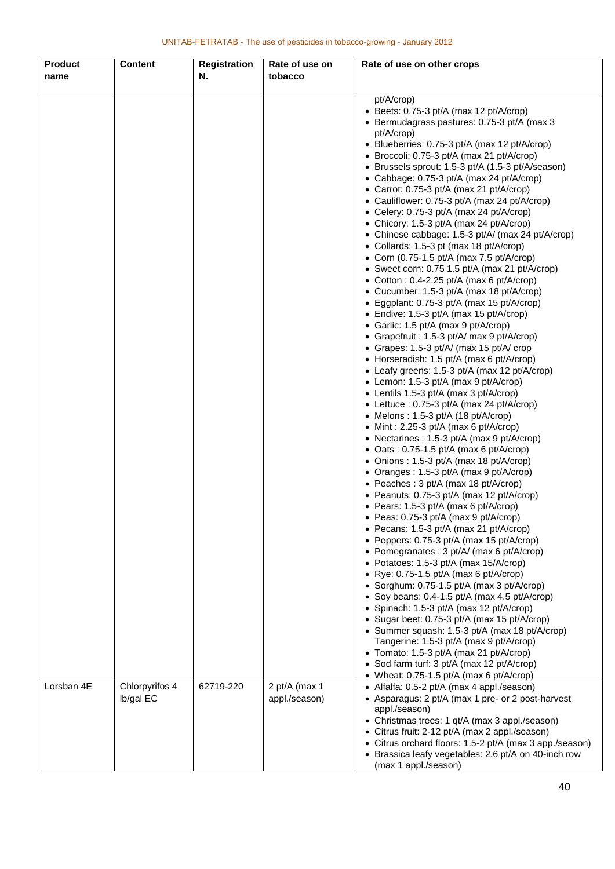| <b>Product</b> | <b>Content</b>              | <b>Registration</b> | Rate of use on                 | Rate of use on other crops                                                                                                                                                                                                                                                                                                                                                                                                                                                                                                                                                                                                                                                                                                                                                                                                                                                                                                                                                                                                                                                                                                                                                                                                                                                                                                                                                                                                                                                                                                                                                                                                  |
|----------------|-----------------------------|---------------------|--------------------------------|-----------------------------------------------------------------------------------------------------------------------------------------------------------------------------------------------------------------------------------------------------------------------------------------------------------------------------------------------------------------------------------------------------------------------------------------------------------------------------------------------------------------------------------------------------------------------------------------------------------------------------------------------------------------------------------------------------------------------------------------------------------------------------------------------------------------------------------------------------------------------------------------------------------------------------------------------------------------------------------------------------------------------------------------------------------------------------------------------------------------------------------------------------------------------------------------------------------------------------------------------------------------------------------------------------------------------------------------------------------------------------------------------------------------------------------------------------------------------------------------------------------------------------------------------------------------------------------------------------------------------------|
| name           |                             | N.                  | tobacco                        |                                                                                                                                                                                                                                                                                                                                                                                                                                                                                                                                                                                                                                                                                                                                                                                                                                                                                                                                                                                                                                                                                                                                                                                                                                                                                                                                                                                                                                                                                                                                                                                                                             |
|                |                             |                     |                                | pt/A/crop)<br>• Beets: $0.75-3$ pt/A (max 12 pt/A/crop)<br>• Bermudagrass pastures: 0.75-3 pt/A (max 3<br>pt/A/crop)<br>• Blueberries: 0.75-3 pt/A (max 12 pt/A/crop)<br>• Broccoli: 0.75-3 pt/A (max 21 pt/A/crop)<br>• Brussels sprout: 1.5-3 pt/A (1.5-3 pt/A/season)<br>• Cabbage: 0.75-3 pt/A (max 24 pt/A/crop)<br>• Carrot: 0.75-3 pt/A (max 21 pt/A/crop)<br>• Cauliflower: 0.75-3 pt/A (max 24 pt/A/crop)<br>• Celery: 0.75-3 pt/A (max 24 pt/A/crop)<br>• Chicory: 1.5-3 pt/A (max 24 pt/A/crop)<br>• Chinese cabbage: 1.5-3 pt/A/ (max 24 pt/A/crop)<br>• Collards: 1.5-3 pt (max 18 pt/A/crop)<br>• Corn (0.75-1.5 pt/A (max 7.5 pt/A/crop)<br>• Sweet corn: $0.75$ 1.5 pt/A (max 21 pt/A/crop)<br>• Cotton : 0.4-2.25 pt/A (max 6 pt/A/crop)<br>• Cucumber: 1.5-3 pt/A (max 18 pt/A/crop)<br>• Eggplant: 0.75-3 pt/A (max 15 pt/A/crop)<br>• Endive: 1.5-3 pt/A (max 15 pt/A/crop)<br>• Garlic: 1.5 pt/A (max 9 pt/A/crop)<br>• Grapefruit : 1.5-3 pt/A/ max 9 pt/A/crop)<br>• Grapes: 1.5-3 pt/A/ (max 15 pt/A/ crop<br>• Horseradish: 1.5 pt/A (max 6 pt/A/crop)<br>• Leafy greens: 1.5-3 pt/A (max 12 pt/A/crop)<br>• Lemon: 1.5-3 pt/A (max 9 pt/A/crop)<br>• Lentils 1.5-3 pt/A (max 3 pt/A/crop)<br>• Lettuce : 0.75-3 pt/A (max 24 pt/A/crop)<br>• Melons: $1.5-3$ pt/A (18 pt/A/crop)<br>• Mint: 2.25-3 pt/A (max 6 pt/A/crop)<br>• Nectarines : 1.5-3 pt/A (max 9 pt/A/crop)<br>• Oats: $0.75-1.5$ pt/A (max 6 pt/A/crop)<br>• Onions: 1.5-3 pt/A (max 18 pt/A/crop)<br>• Oranges: 1.5-3 pt/A (max 9 pt/A/crop)<br>• Peaches : 3 pt/A (max 18 pt/A/crop)<br>• Peanuts: 0.75-3 pt/A (max 12 pt/A/crop) |
|                |                             |                     |                                | • Pears: 1.5-3 pt/A (max 6 pt/A/crop)<br>• Peas: 0.75-3 pt/A (max 9 pt/A/crop)<br>• Pecans: 1.5-3 pt/A (max 21 pt/A/crop)<br>• Peppers: 0.75-3 pt/A (max 15 pt/A/crop)<br>• Pomegranates : 3 pt/A/ (max 6 pt/A/crop)<br>• Potatoes: 1.5-3 pt/A (max 15/A/crop)<br>• Rye: $0.75-1.5$ pt/A (max 6 pt/A/crop)<br>Sorghum: 0.75-1.5 pt/A (max 3 pt/A/crop)                                                                                                                                                                                                                                                                                                                                                                                                                                                                                                                                                                                                                                                                                                                                                                                                                                                                                                                                                                                                                                                                                                                                                                                                                                                                      |
|                |                             |                     |                                | Soy beans: 0.4-1.5 pt/A (max 4.5 pt/A/crop)<br>• Spinach: 1.5-3 pt/A (max 12 pt/A/crop)<br>• Sugar beet: 0.75-3 pt/A (max 15 pt/A/crop)<br>• Summer squash: 1.5-3 pt/A (max 18 pt/A/crop)<br>Tangerine: 1.5-3 pt/A (max 9 pt/A/crop)<br>• Tomato: 1.5-3 pt/A (max 21 pt/A/crop)<br>• Sod farm turf: 3 pt/A (max 12 pt/A/crop)<br>• Wheat: 0.75-1.5 pt/A (max 6 pt/A/crop)                                                                                                                                                                                                                                                                                                                                                                                                                                                                                                                                                                                                                                                                                                                                                                                                                                                                                                                                                                                                                                                                                                                                                                                                                                                   |
| Lorsban 4E     | Chlorpyrifos 4<br>Ib/gal EC | 62719-220           | 2 pt/A (max 1<br>appl./season) | • Alfalfa: 0.5-2 pt/A (max 4 appl./season)<br>• Asparagus: 2 pt/A (max 1 pre- or 2 post-harvest<br>appl./season)<br>• Christmas trees: 1 qt/A (max 3 appl./season)<br>• Citrus fruit: 2-12 pt/A (max 2 appl./season)<br>• Citrus orchard floors: 1.5-2 pt/A (max 3 app./season)<br>• Brassica leafy vegetables: 2.6 pt/A on 40-inch row<br>(max 1 appl./season)                                                                                                                                                                                                                                                                                                                                                                                                                                                                                                                                                                                                                                                                                                                                                                                                                                                                                                                                                                                                                                                                                                                                                                                                                                                             |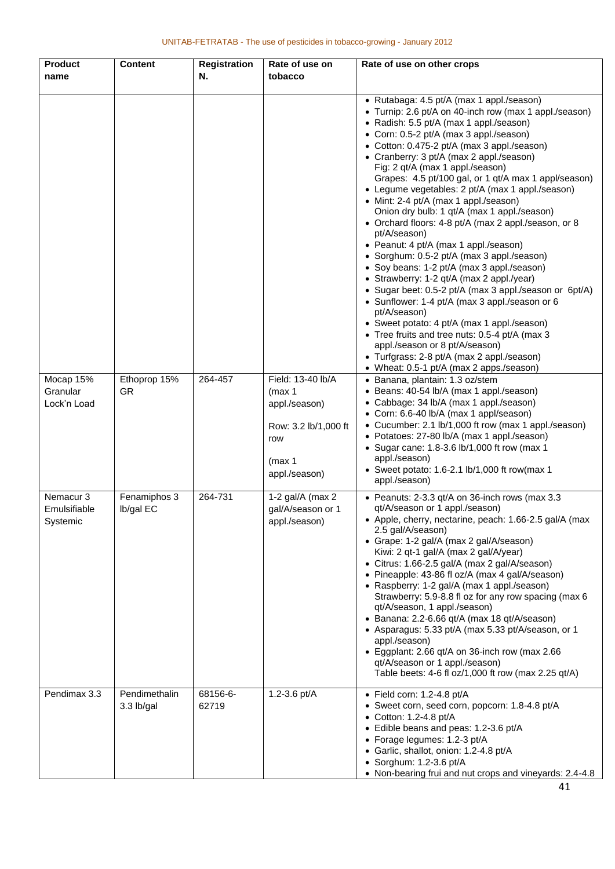| <b>Product</b><br>name                           | <b>Content</b>              | <b>Registration</b><br>Ν. | Rate of use on<br>tobacco                                 | Rate of use on other crops                                                                                                                                                                                                                                                                                                                                                                                                                                                                                                                                                                                                                                                                                                                                                                                                                                                                                                                                                                                                                                                                                                                                                                                                                                                                                           |
|--------------------------------------------------|-----------------------------|---------------------------|-----------------------------------------------------------|----------------------------------------------------------------------------------------------------------------------------------------------------------------------------------------------------------------------------------------------------------------------------------------------------------------------------------------------------------------------------------------------------------------------------------------------------------------------------------------------------------------------------------------------------------------------------------------------------------------------------------------------------------------------------------------------------------------------------------------------------------------------------------------------------------------------------------------------------------------------------------------------------------------------------------------------------------------------------------------------------------------------------------------------------------------------------------------------------------------------------------------------------------------------------------------------------------------------------------------------------------------------------------------------------------------------|
| Mocap 15%<br>Granular<br>Lock'n Load             | Ethoprop 15%<br><b>GR</b>   | 264-457                   | Field: 13-40 lb/A<br>(max 1<br>appl./season)              | • Rutabaga: 4.5 pt/A (max 1 appl./season)<br>• Turnip: 2.6 pt/A on 40-inch row (max 1 appl./season)<br>• Radish: 5.5 pt/A (max 1 appl./season)<br>• Corn: 0.5-2 pt/A (max 3 appl./season)<br>• Cotton: 0.475-2 pt/A (max 3 appl./season)<br>• Cranberry: 3 pt/A (max 2 appl./season)<br>Fig: 2 qt/A (max 1 appl./season)<br>Grapes: 4.5 pt/100 gal, or 1 qt/A max 1 appl/season)<br>• Legume vegetables: 2 pt/A (max 1 appl./season)<br>• Mint: 2-4 pt/A (max 1 appl./season)<br>Onion dry bulb: 1 qt/A (max 1 appl./season)<br>• Orchard floors: 4-8 pt/A (max 2 appl./season, or 8<br>pt/A/season)<br>• Peanut: 4 pt/A (max 1 appl./season)<br>• Sorghum: 0.5-2 pt/A (max 3 appl./season)<br>• Soy beans: 1-2 pt/A (max 3 appl./season)<br>• Strawberry: 1-2 qt/A (max 2 appl./year)<br>• Sugar beet: 0.5-2 pt/A (max 3 appl./season or 6pt/A)<br>• Sunflower: 1-4 pt/A (max 3 appl./season or 6<br>pt/A/season)<br>• Sweet potato: 4 pt/A (max 1 appl./season)<br>• Tree fruits and tree nuts: 0.5-4 pt/A (max 3<br>appl./season or 8 pt/A/season)<br>• Turfgrass: 2-8 pt/A (max 2 appl./season)<br>• Wheat: 0.5-1 pt/A (max 2 apps./season)<br>· Banana, plantain: 1.3 oz/stem<br>• Beans: 40-54 lb/A (max 1 appl./season)<br>• Cabbage: 34 lb/A (max 1 appl./season)<br>• Corn: 6.6-40 lb/A (max 1 appl/season) |
|                                                  |                             |                           | Row: 3.2 lb/1,000 ft<br>row<br>(max 1<br>appl./season)    | • Cucumber: 2.1 lb/1,000 ft row (max 1 appl./season)<br>• Potatoes: 27-80 lb/A (max 1 appl./season)<br>• Sugar cane: 1.8-3.6 lb/1,000 ft row (max 1<br>appl./season)<br>• Sweet potato: 1.6-2.1 $lb/1,000$ ft row(max 1<br>appl./season)                                                                                                                                                                                                                                                                                                                                                                                                                                                                                                                                                                                                                                                                                                                                                                                                                                                                                                                                                                                                                                                                             |
| Nemacur <sub>3</sub><br>Emulsifiable<br>Systemic | Fenamiphos 3<br>Ib/gal EC   | 264-731                   | 1-2 gal/ $A$ (max 2<br>gal/A/season or 1<br>appl./season) | • Peanuts: 2-3.3 qt/A on 36-inch rows (max 3.3<br>qt/A/season or 1 appl./season)<br>• Apple, cherry, nectarine, peach: 1.66-2.5 gal/A (max<br>2.5 gal/A/season)<br>• Grape: 1-2 gal/A (max 2 gal/A/season)<br>Kiwi: 2 qt-1 gal/A (max 2 gal/A/year)<br>• Citrus: 1.66-2.5 gal/A (max 2 gal/A/season)<br>• Pineapple: 43-86 fl oz/A (max 4 gal/A/season)<br>• Raspberry: 1-2 gal/A (max 1 appl./season)<br>Strawberry: 5.9-8.8 fl oz for any row spacing (max 6<br>qt/A/season, 1 appl./season)<br>• Banana: 2.2-6.66 qt/A (max 18 qt/A/season)<br>• Asparagus: 5.33 pt/A (max 5.33 pt/A/season, or 1<br>appl./season)<br>• Eggplant: 2.66 qt/A on 36-inch row (max 2.66<br>qt/A/season or 1 appl./season)<br>Table beets: 4-6 fl oz/1,000 ft row (max 2.25 qt/A)                                                                                                                                                                                                                                                                                                                                                                                                                                                                                                                                                     |
| Pendimax 3.3                                     | Pendimethalin<br>3.3 lb/gal | 68156-6-<br>62719         | 1.2-3.6 pt/A                                              | $\bullet$ Field corn: 1.2-4.8 pt/A<br>• Sweet corn, seed corn, popcorn: 1.8-4.8 pt/A<br>$\bullet$ Cotton: 1.2-4.8 pt/A<br>• Edible beans and peas: 1.2-3.6 pt/A<br>• Forage legumes: 1.2-3 pt/A<br>• Garlic, shallot, onion: 1.2-4.8 pt/A<br>$\bullet$ Sorghum: 1.2-3.6 pt/A<br>• Non-bearing frui and nut crops and vineyards: 2.4-4.8                                                                                                                                                                                                                                                                                                                                                                                                                                                                                                                                                                                                                                                                                                                                                                                                                                                                                                                                                                              |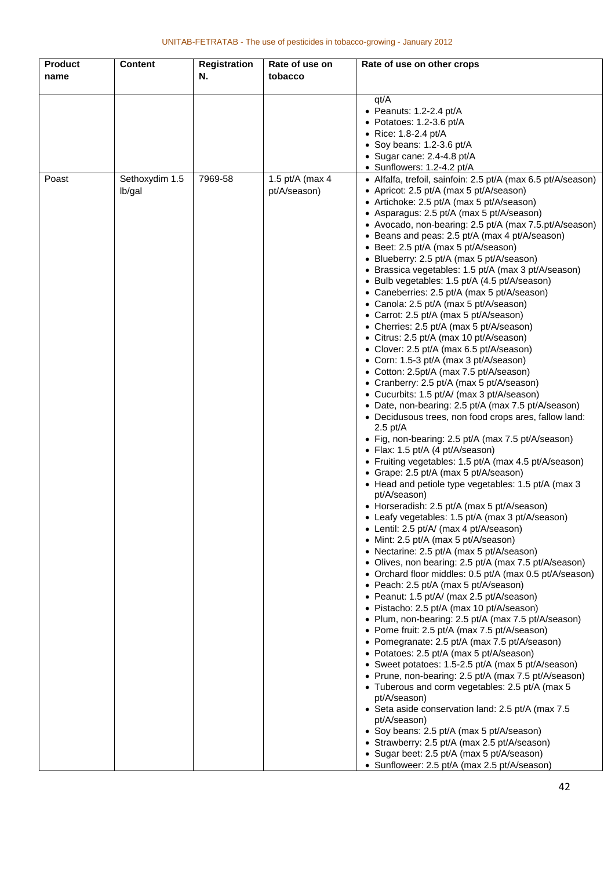| <b>Product</b> | <b>Content</b> | <b>Registration</b> | Rate of use on  | Rate of use on other crops                                                                      |
|----------------|----------------|---------------------|-----------------|-------------------------------------------------------------------------------------------------|
| name           |                | N.                  | tobacco         |                                                                                                 |
|                |                |                     |                 |                                                                                                 |
|                |                |                     |                 | qt/A                                                                                            |
|                |                |                     |                 | $\bullet$ Peanuts: 1.2-2.4 pt/A                                                                 |
|                |                |                     |                 | • Potatoes: 1.2-3.6 pt/A                                                                        |
|                |                |                     |                 | • Rice: 1.8-2.4 pt/A                                                                            |
|                |                |                     |                 | • Soy beans: $1.2-3.6$ pt/A                                                                     |
|                |                |                     |                 | • Sugar cane: 2.4-4.8 pt/A                                                                      |
|                |                |                     |                 | • Sunflowers: 1.2-4.2 pt/A                                                                      |
| Poast          | Sethoxydim 1.5 | 7969-58             | 1.5 pt/A (max 4 | • Alfalfa, trefoil, sainfoin: 2.5 pt/A (max 6.5 pt/A/season)                                    |
|                | lb/gal         |                     | pt/A/season)    | • Apricot: 2.5 pt/A (max 5 pt/A/season)                                                         |
|                |                |                     |                 | • Artichoke: 2.5 pt/A (max 5 pt/A/season)                                                       |
|                |                |                     |                 | • Asparagus: 2.5 pt/A (max 5 pt/A/season)                                                       |
|                |                |                     |                 | • Avocado, non-bearing: 2.5 pt/A (max 7.5 pt/A/season)                                          |
|                |                |                     |                 | • Beans and peas: 2.5 pt/A (max 4 pt/A/season)<br>• Beet: 2.5 pt/A (max 5 pt/A/season)          |
|                |                |                     |                 | • Blueberry: 2.5 pt/A (max 5 pt/A/season)                                                       |
|                |                |                     |                 | • Brassica vegetables: 1.5 pt/A (max 3 pt/A/season)                                             |
|                |                |                     |                 | • Bulb vegetables: 1.5 pt/A (4.5 pt/A/season)                                                   |
|                |                |                     |                 | • Caneberries: 2.5 pt/A (max 5 pt/A/season)                                                     |
|                |                |                     |                 | • Canola: 2.5 pt/A (max 5 pt/A/season)                                                          |
|                |                |                     |                 | • Carrot: 2.5 pt/A (max 5 pt/A/season)                                                          |
|                |                |                     |                 | • Cherries: 2.5 pt/A (max 5 pt/A/season)                                                        |
|                |                |                     |                 | • Citrus: 2.5 pt/A (max 10 pt/A/season)                                                         |
|                |                |                     |                 | • Clover: 2.5 pt/A (max 6.5 pt/A/season)                                                        |
|                |                |                     |                 | • Corn: 1.5-3 pt/A (max 3 pt/A/season)                                                          |
|                |                |                     |                 | • Cotton: 2.5pt/A (max 7.5 pt/A/season)                                                         |
|                |                |                     |                 | • Cranberry: 2.5 pt/A (max 5 pt/A/season)                                                       |
|                |                |                     |                 | • Cucurbits: 1.5 pt/A/ (max 3 pt/A/season)                                                      |
|                |                |                     |                 | • Date, non-bearing: 2.5 pt/A (max 7.5 pt/A/season)                                             |
|                |                |                     |                 | • Decidusous trees, non food crops ares, fallow land:                                           |
|                |                |                     |                 | $2.5$ pt/A<br>• Fig, non-bearing: 2.5 pt/A (max 7.5 pt/A/season)                                |
|                |                |                     |                 | • Flax: 1.5 pt/A (4 pt/A/season)                                                                |
|                |                |                     |                 | • Fruiting vegetables: 1.5 pt/A (max 4.5 pt/A/season)<br>• Grape: 2.5 pt/A (max 5 pt/A/season)  |
|                |                |                     |                 | • Head and petiole type vegetables: 1.5 pt/A (max 3                                             |
|                |                |                     |                 | pt/A/season)                                                                                    |
|                |                |                     |                 | • Horseradish: 2.5 pt/A (max 5 pt/A/season)<br>• Leafy vegetables: 1.5 pt/A (max 3 pt/A/season) |
|                |                |                     |                 | • Lentil: 2.5 pt/A/ (max 4 pt/A/season)                                                         |
|                |                |                     |                 | • Mint: 2.5 pt/A (max 5 pt/A/season)                                                            |
|                |                |                     |                 | • Nectarine: 2.5 pt/A (max 5 pt/A/season)                                                       |
|                |                |                     |                 | • Olives, non bearing: 2.5 pt/A (max 7.5 pt/A/season)                                           |
|                |                |                     |                 | • Orchard floor middles: 0.5 pt/A (max 0.5 pt/A/season)                                         |
|                |                |                     |                 | Peach: 2.5 pt/A (max 5 pt/A/season)                                                             |
|                |                |                     |                 | Peanut: 1.5 pt/A/ (max 2.5 pt/A/season)                                                         |
|                |                |                     |                 | Pistacho: 2.5 pt/A (max 10 pt/A/season)                                                         |
|                |                |                     |                 | • Plum, non-bearing: 2.5 pt/A (max 7.5 pt/A/season)                                             |
|                |                |                     |                 | • Pome fruit: 2.5 pt/A (max 7.5 pt/A/season)                                                    |
|                |                |                     |                 | • Pomegranate: 2.5 pt/A (max 7.5 pt/A/season)                                                   |
|                |                |                     |                 | • Potatoes: 2.5 pt/A (max 5 pt/A/season)                                                        |
|                |                |                     |                 | • Sweet potatoes: 1.5-2.5 pt/A (max 5 pt/A/season)                                              |
|                |                |                     |                 | • Prune, non-bearing: 2.5 pt/A (max 7.5 pt/A/season)                                            |
|                |                |                     |                 | • Tuberous and corm vegetables: 2.5 pt/A (max 5                                                 |
|                |                |                     |                 | pt/A/season)<br>• Seta aside conservation land: 2.5 pt/A (max 7.5                               |
|                |                |                     |                 | pt/A/season)                                                                                    |
|                |                |                     |                 | • Soy beans: 2.5 pt/A (max 5 pt/A/season)                                                       |
|                |                |                     |                 | • Strawberry: 2.5 pt/A (max 2.5 pt/A/season)                                                    |
|                |                |                     |                 | • Sugar beet: 2.5 pt/A (max 5 pt/A/season)                                                      |
|                |                |                     |                 | • Sunfloweer: 2.5 pt/A (max 2.5 pt/A/season)                                                    |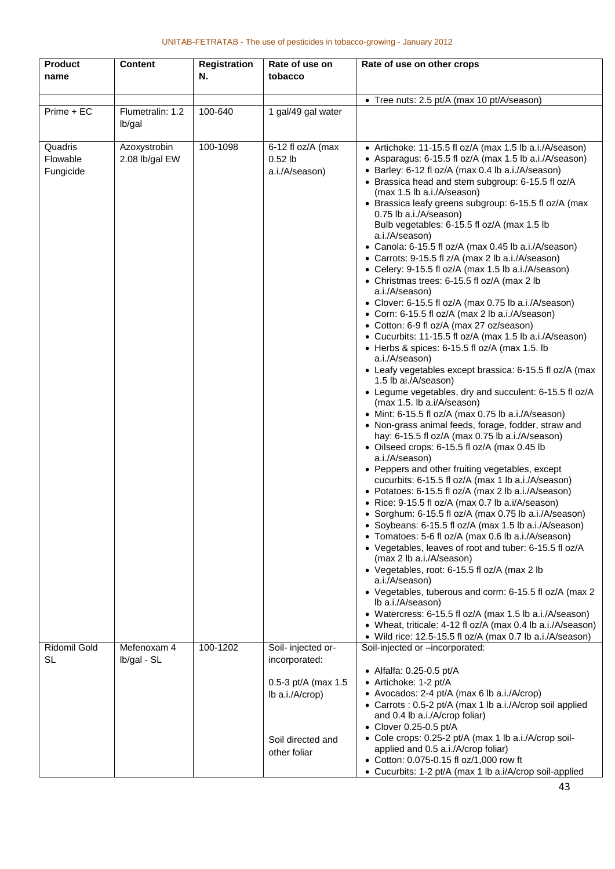| <b>Product</b><br>name           | <b>Content</b>                 | <b>Registration</b><br>N. | Rate of use on<br>tobacco                        | Rate of use on other crops                                                                                                                                                                                                                                                                                                                                                                                                                                                                                                                                                                                                                                                                                                                                                                                                                                                                                                                                                                                                                                                                                                                                                                                                                                                                                                                                                                                                                                                                                                                                                                                                                                                                                                                                                                                                                                                                                                                                                                                                                                                                                                                                                     |
|----------------------------------|--------------------------------|---------------------------|--------------------------------------------------|--------------------------------------------------------------------------------------------------------------------------------------------------------------------------------------------------------------------------------------------------------------------------------------------------------------------------------------------------------------------------------------------------------------------------------------------------------------------------------------------------------------------------------------------------------------------------------------------------------------------------------------------------------------------------------------------------------------------------------------------------------------------------------------------------------------------------------------------------------------------------------------------------------------------------------------------------------------------------------------------------------------------------------------------------------------------------------------------------------------------------------------------------------------------------------------------------------------------------------------------------------------------------------------------------------------------------------------------------------------------------------------------------------------------------------------------------------------------------------------------------------------------------------------------------------------------------------------------------------------------------------------------------------------------------------------------------------------------------------------------------------------------------------------------------------------------------------------------------------------------------------------------------------------------------------------------------------------------------------------------------------------------------------------------------------------------------------------------------------------------------------------------------------------------------------|
|                                  |                                |                           |                                                  | • Tree nuts: 2.5 pt/A (max 10 pt/A/season)                                                                                                                                                                                                                                                                                                                                                                                                                                                                                                                                                                                                                                                                                                                                                                                                                                                                                                                                                                                                                                                                                                                                                                                                                                                                                                                                                                                                                                                                                                                                                                                                                                                                                                                                                                                                                                                                                                                                                                                                                                                                                                                                     |
| Prime + EC                       | Flumetralin: 1.2<br>lb/gal     | 100-640                   | 1 gal/49 gal water                               |                                                                                                                                                                                                                                                                                                                                                                                                                                                                                                                                                                                                                                                                                                                                                                                                                                                                                                                                                                                                                                                                                                                                                                                                                                                                                                                                                                                                                                                                                                                                                                                                                                                                                                                                                                                                                                                                                                                                                                                                                                                                                                                                                                                |
| Quadris<br>Flowable<br>Fungicide | Azoxystrobin<br>2.08 lb/gal EW | 100-1098                  | 6-12 fl oz/A (max<br>$0.52$ lb<br>a.i./A/season) | • Artichoke: 11-15.5 fl oz/A (max 1.5 lb a.i./A/season)<br>• Asparagus: 6-15.5 fl oz/A (max 1.5 lb a.i./A/season)<br>• Barley: 6-12 fl oz/A (max 0.4 lb a.i./A/season)<br>• Brassica head and stem subgroup: 6-15.5 fl oz/A<br>(max 1.5 lb a.i./A/season)<br>• Brassica leafy greens subgroup: 6-15.5 fl oz/A (max<br>0.75 lb a.i./A/season)<br>Bulb vegetables: 6-15.5 fl oz/A (max 1.5 lb<br>a.i./A/season)<br>• Canola: 6-15.5 fl oz/A (max 0.45 lb a.i./A/season)<br>• Carrots: 9-15.5 fl z/A (max 2 lb a.i./A/season)<br>• Celery: 9-15.5 fl oz/A (max 1.5 lb a.i./A/season)<br>• Christmas trees: 6-15.5 fl oz/A (max 2 lb<br>a.i./A/season)<br>• Clover: 6-15.5 fl oz/A (max 0.75 lb a.i./A/season)<br>• Corn: 6-15.5 fl oz/A (max 2 lb a.i./A/season)<br>• Cotton: 6-9 fl oz/A (max 27 oz/season)<br>• Cucurbits: 11-15.5 fl oz/A (max 1.5 lb a.i./A/season)<br>• Herbs & spices: 6-15.5 fl oz/A (max 1.5. lb<br>a.i./A/season)<br>• Leafy vegetables except brassica: 6-15.5 fl oz/A (max<br>1.5 lb ai./A/season)<br>• Legume vegetables, dry and succulent: 6-15.5 fl oz/A<br>(max 1.5. lb a.i/A/season)<br>• Mint: 6-15.5 fl oz/A (max 0.75 lb a.i./A/season)<br>• Non-grass animal feeds, forage, fodder, straw and<br>hay: 6-15.5 fl oz/A (max 0.75 lb a.i./A/season)<br>• Oilseed crops: 6-15.5 fl oz/A (max 0.45 lb<br>a.i./A/season)<br>• Peppers and other fruiting vegetables, except<br>cucurbits: 6-15.5 fl oz/A (max 1 lb a.i./A/season)<br>• Potatoes: 6-15.5 fl oz/A (max 2 lb a.i./A/season)<br>• Rice: 9-15.5 fl oz/A (max 0.7 lb a.i/A/season)<br>• Sorghum: 6-15.5 fl oz/A (max 0.75 lb a.i./A/season)<br>• Soybeans: 6-15.5 fl oz/A (max 1.5 lb a.i./A/season)<br>• Tomatoes: 5-6 fl oz/A (max 0.6 lb a.i./A/season)<br>• Vegetables, leaves of root and tuber: 6-15.5 fl oz/A<br>(max 2 lb a.i./A/season)<br>• Vegetables, root: 6-15.5 fl oz/A (max 2 lb<br>a.i./A/season)<br>• Vegetables, tuberous and corm: 6-15.5 fl oz/A (max 2<br>Ib a.i./A/season)<br>• Watercress: 6-15.5 fl oz/A (max 1.5 lb a.i./A/season)<br>• Wheat, triticale: 4-12 fl oz/A (max 0.4 lb a.i./A/season)<br>• Wild rice: 12.5-15.5 fl oz/A (max 0.7 lb a.i./A/season) |
| Ridomil Gold<br><b>SL</b>        | Mefenoxam 4<br>Ib/gal - SL     | 100-1202                  | Soil- injected or-<br>incorporated:              | Soil-injected or -incorporated:<br>• Alfalfa: $0.25 - 0.5$ pt/A                                                                                                                                                                                                                                                                                                                                                                                                                                                                                                                                                                                                                                                                                                                                                                                                                                                                                                                                                                                                                                                                                                                                                                                                                                                                                                                                                                                                                                                                                                                                                                                                                                                                                                                                                                                                                                                                                                                                                                                                                                                                                                                |
|                                  |                                |                           | 0.5-3 pt/A (max 1.5<br>$lb$ a.i./ $A$ /crop $)$  | • Artichoke: 1-2 pt/A<br>• Avocados: 2-4 pt/A (max 6 lb a.i./A/crop)<br>• Carrots : 0.5-2 pt/A (max 1 lb a.i./A/crop soil applied<br>and 0.4 lb a.i./A/crop foliar)<br>• Clover 0.25-0.5 pt/A                                                                                                                                                                                                                                                                                                                                                                                                                                                                                                                                                                                                                                                                                                                                                                                                                                                                                                                                                                                                                                                                                                                                                                                                                                                                                                                                                                                                                                                                                                                                                                                                                                                                                                                                                                                                                                                                                                                                                                                  |
|                                  |                                |                           | Soil directed and<br>other foliar                | • Cole crops: 0.25-2 pt/A (max 1 lb a.i./A/crop soil-<br>applied and 0.5 a.i./A/crop foliar)<br>• Cotton: 0.075-0.15 fl oz/1,000 row ft<br>• Cucurbits: 1-2 pt/A (max 1 lb a.i/A/crop soil-applied                                                                                                                                                                                                                                                                                                                                                                                                                                                                                                                                                                                                                                                                                                                                                                                                                                                                                                                                                                                                                                                                                                                                                                                                                                                                                                                                                                                                                                                                                                                                                                                                                                                                                                                                                                                                                                                                                                                                                                             |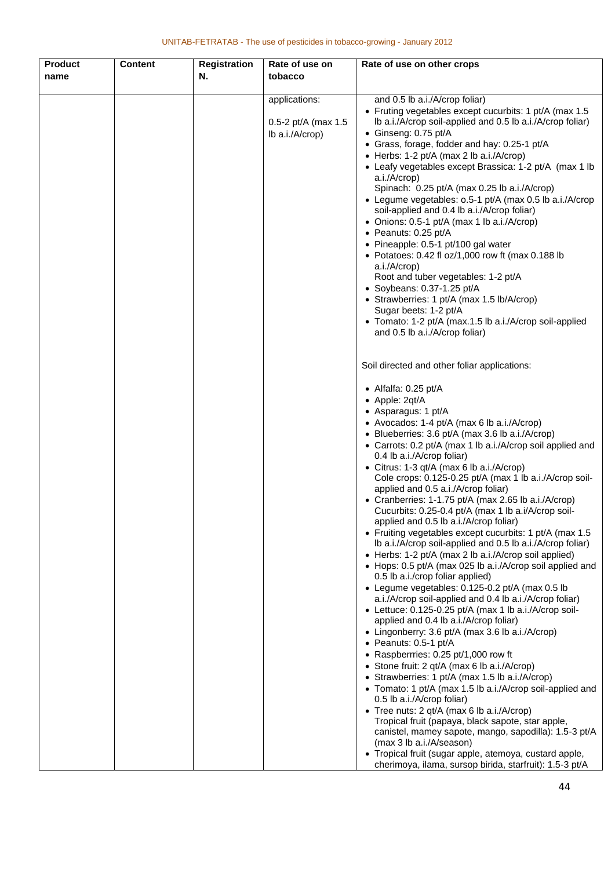| <b>Product</b> | <b>Content</b> | <b>Registration</b> | Rate of use on        | Rate of use on other crops                                                                                         |
|----------------|----------------|---------------------|-----------------------|--------------------------------------------------------------------------------------------------------------------|
| name           |                | N.                  | tobacco               |                                                                                                                    |
|                |                |                     |                       |                                                                                                                    |
|                |                |                     | applications:         | and 0.5 lb a.i./A/crop foliar)<br>• Fruting vegetables except cucurbits: 1 pt/A (max 1.5                           |
|                |                |                     | 0.5-2 pt/A (max $1.5$ | Ib a.i./A/crop soil-applied and 0.5 lb a.i./A/crop foliar)                                                         |
|                |                |                     | lb a.i./A/crop)       | • Ginseng: 0.75 pt/A                                                                                               |
|                |                |                     |                       | • Grass, forage, fodder and hay: 0.25-1 pt/A                                                                       |
|                |                |                     |                       | • Herbs: 1-2 pt/A (max 2 lb a.i./A/crop)                                                                           |
|                |                |                     |                       | • Leafy vegetables except Brassica: 1-2 pt/A (max 1 lb<br>a.i./A/crop)                                             |
|                |                |                     |                       | Spinach: 0.25 pt/A (max 0.25 lb a.i./A/crop)                                                                       |
|                |                |                     |                       | • Legume vegetables: 0.5-1 pt/A (max 0.5 lb a.i./A/crop                                                            |
|                |                |                     |                       | soil-applied and 0.4 lb a.i./A/crop foliar)                                                                        |
|                |                |                     |                       | • Onions: 0.5-1 pt/A (max 1 lb a.i./A/crop)                                                                        |
|                |                |                     |                       | • Peanuts: 0.25 pt/A                                                                                               |
|                |                |                     |                       | • Pineapple: 0.5-1 pt/100 gal water<br>• Potatoes: 0.42 fl oz/1,000 row ft (max 0.188 lb                           |
|                |                |                     |                       | a.i./A/crop)                                                                                                       |
|                |                |                     |                       | Root and tuber vegetables: 1-2 pt/A                                                                                |
|                |                |                     |                       | $\bullet$ Soybeans: 0.37-1.25 pt/A                                                                                 |
|                |                |                     |                       | • Strawberries: 1 pt/A (max 1.5 lb/A/crop)                                                                         |
|                |                |                     |                       | Sugar beets: 1-2 pt/A<br>• Tomato: 1-2 pt/A (max.1.5 lb a.i./A/crop soil-applied                                   |
|                |                |                     |                       | and 0.5 lb a.i./A/crop foliar)                                                                                     |
|                |                |                     |                       |                                                                                                                    |
|                |                |                     |                       |                                                                                                                    |
|                |                |                     |                       | Soil directed and other foliar applications:                                                                       |
|                |                |                     |                       | • Alfalfa: $0.25$ pt/A                                                                                             |
|                |                |                     |                       | • Apple: 2qt/A                                                                                                     |
|                |                |                     |                       | • Asparagus: 1 pt/A                                                                                                |
|                |                |                     |                       | • Avocados: 1-4 pt/A (max 6 lb a.i./A/crop)<br>• Blueberries: 3.6 pt/A (max 3.6 lb a.i./A/crop)                    |
|                |                |                     |                       | • Carrots: 0.2 pt/A (max 1 lb a.i./A/crop soil applied and                                                         |
|                |                |                     |                       | 0.4 lb a.i./A/crop foliar)                                                                                         |
|                |                |                     |                       | • Citrus: 1-3 qt/A (max 6 lb a.i./A/crop)                                                                          |
|                |                |                     |                       | Cole crops: 0.125-0.25 pt/A (max 1 lb a.i./A/crop soil-                                                            |
|                |                |                     |                       | applied and 0.5 a.i./A/crop foliar)<br>• Cranberries: 1-1.75 pt/A (max 2.65 lb a.i./A/crop)                        |
|                |                |                     |                       | Cucurbits: 0.25-0.4 pt/A (max 1 lb a.i/A/crop soil-                                                                |
|                |                |                     |                       | applied and 0.5 lb a.i./A/crop foliar)                                                                             |
|                |                |                     |                       | • Fruiting vegetables except cucurbits: 1 pt/A (max 1.5)                                                           |
|                |                |                     |                       | Ib a.i./A/crop soil-applied and 0.5 lb a.i./A/crop foliar)                                                         |
|                |                |                     |                       | • Herbs: 1-2 pt/A (max 2 lb a.i./A/crop soil applied)<br>• Hops: 0.5 pt/A (max 025 lb a.i./A/crop soil applied and |
|                |                |                     |                       | 0.5 lb a.i./crop foliar applied)                                                                                   |
|                |                |                     |                       | • Legume vegetables: 0.125-0.2 pt/A (max 0.5 lb                                                                    |
|                |                |                     |                       | a.i./A/crop soil-applied and 0.4 lb a.i./A/crop foliar)                                                            |
|                |                |                     |                       | • Lettuce: 0.125-0.25 pt/A (max 1 lb a.i./A/crop soil-                                                             |
|                |                |                     |                       | applied and 0.4 lb a.i./A/crop foliar)<br>• Lingonberry: 3.6 pt/A (max 3.6 lb a.i./A/crop)                         |
|                |                |                     |                       | • Peanuts: 0.5-1 pt/A                                                                                              |
|                |                |                     |                       | • Raspberrries: 0.25 pt/1,000 row ft                                                                               |
|                |                |                     |                       | • Stone fruit: 2 qt/A (max 6 lb a.i./A/crop)                                                                       |
|                |                |                     |                       | • Strawberries: 1 pt/A (max 1.5 lb a.i./A/crop)                                                                    |
|                |                |                     |                       | • Tomato: 1 pt/A (max 1.5 lb a.i./A/crop soil-applied and<br>0.5 lb a.i./A/crop foliar)                            |
|                |                |                     |                       | • Tree nuts: 2 qt/A (max 6 lb a.i./A/crop)                                                                         |
|                |                |                     |                       | Tropical fruit (papaya, black sapote, star apple,                                                                  |
|                |                |                     |                       | canistel, mamey sapote, mango, sapodilla): 1.5-3 pt/A                                                              |
|                |                |                     |                       | (max 3 lb a.i./A/season)                                                                                           |
|                |                |                     |                       | • Tropical fruit (sugar apple, atemoya, custard apple,<br>cherimoya, ilama, sursop birida, starfruit): 1.5-3 pt/A  |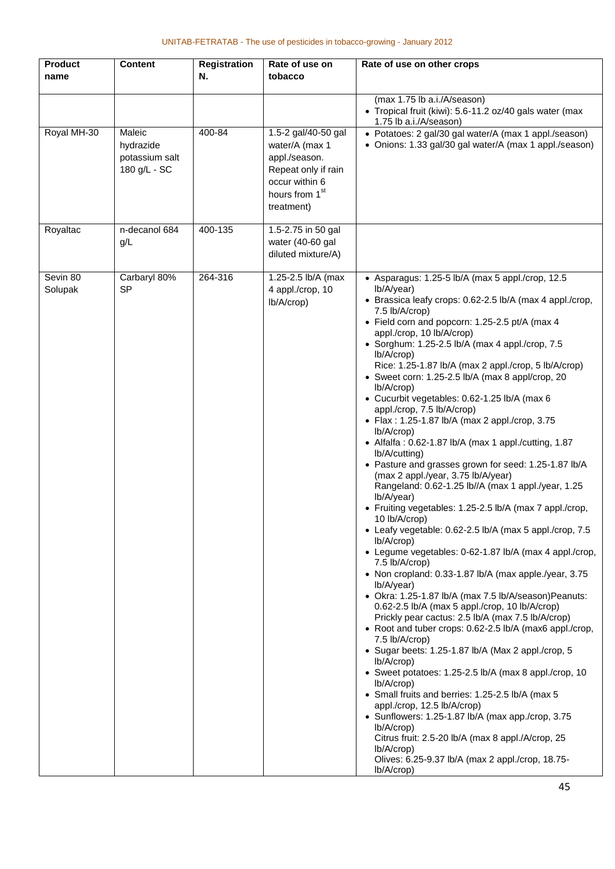| <b>Product</b>      | <b>Content</b>                                        | <b>Registration</b> | Rate of use on                                                                                                                              | Rate of use on other crops                                                                                                                                                                                                                                                                                                                                                                                                                                                                                                                                                                                                                                                                                                                                                                                                                                                                                                                                                                                                                                                                                                                                                                                                                                                                                                                                                                                                                                                                                                                                                                                                                                                                                                                                                                                            |
|---------------------|-------------------------------------------------------|---------------------|---------------------------------------------------------------------------------------------------------------------------------------------|-----------------------------------------------------------------------------------------------------------------------------------------------------------------------------------------------------------------------------------------------------------------------------------------------------------------------------------------------------------------------------------------------------------------------------------------------------------------------------------------------------------------------------------------------------------------------------------------------------------------------------------------------------------------------------------------------------------------------------------------------------------------------------------------------------------------------------------------------------------------------------------------------------------------------------------------------------------------------------------------------------------------------------------------------------------------------------------------------------------------------------------------------------------------------------------------------------------------------------------------------------------------------------------------------------------------------------------------------------------------------------------------------------------------------------------------------------------------------------------------------------------------------------------------------------------------------------------------------------------------------------------------------------------------------------------------------------------------------------------------------------------------------------------------------------------------------|
| name                |                                                       | N.                  | tobacco                                                                                                                                     |                                                                                                                                                                                                                                                                                                                                                                                                                                                                                                                                                                                                                                                                                                                                                                                                                                                                                                                                                                                                                                                                                                                                                                                                                                                                                                                                                                                                                                                                                                                                                                                                                                                                                                                                                                                                                       |
|                     |                                                       |                     |                                                                                                                                             | (max 1.75 lb a.i./A/season)<br>• Tropical fruit (kiwi): 5.6-11.2 oz/40 gals water (max<br>1.75 lb a.i./A/season)                                                                                                                                                                                                                                                                                                                                                                                                                                                                                                                                                                                                                                                                                                                                                                                                                                                                                                                                                                                                                                                                                                                                                                                                                                                                                                                                                                                                                                                                                                                                                                                                                                                                                                      |
| Royal MH-30         | Maleic<br>hydrazide<br>potassium salt<br>180 g/L - SC | 400-84              | 1.5-2 gal/40-50 gal<br>water/A (max 1<br>appl./season.<br>Repeat only if rain<br>occur within 6<br>hours from 1 <sup>st</sup><br>treatment) | • Potatoes: 2 gal/30 gal water/A (max 1 appl./season)<br>• Onions: 1.33 gal/30 gal water/A (max 1 appl./season)                                                                                                                                                                                                                                                                                                                                                                                                                                                                                                                                                                                                                                                                                                                                                                                                                                                                                                                                                                                                                                                                                                                                                                                                                                                                                                                                                                                                                                                                                                                                                                                                                                                                                                       |
| Royaltac            | n-decanol 684<br>g/L                                  | 400-135             | 1.5-2.75 in 50 gal<br>water (40-60 gal<br>diluted mixture/A)                                                                                |                                                                                                                                                                                                                                                                                                                                                                                                                                                                                                                                                                                                                                                                                                                                                                                                                                                                                                                                                                                                                                                                                                                                                                                                                                                                                                                                                                                                                                                                                                                                                                                                                                                                                                                                                                                                                       |
| Sevin 80<br>Solupak | Carbaryl 80%<br><b>SP</b>                             | 264-316             | 1.25-2.5 lb/A (max<br>4 appl./crop, 10<br>$lb/A$ / $crop)$                                                                                  | • Asparagus: 1.25-5 lb/A (max 5 appl./crop, 12.5<br>lb/A/year)<br>• Brassica leafy crops: 0.62-2.5 lb/A (max 4 appl./crop,<br>7.5 lb/A/crop)<br>• Field corn and popcorn: 1.25-2.5 pt/A (max 4<br>appl./crop, 10 lb/A/crop)<br>• Sorghum: $1.25-2.5$ lb/A (max 4 appl./crop, $7.5$<br>$lb/A$ / $crop$<br>Rice: 1.25-1.87 lb/A (max 2 appl./crop, 5 lb/A/crop)<br>• Sweet corn: 1.25-2.5 lb/A (max 8 appl/crop, 20<br>lb/A/crop)<br>• Cucurbit vegetables: 0.62-1.25 lb/A (max 6<br>appl./crop, 7.5 lb/A/crop)<br>• Flax: 1.25-1.87 lb/A (max 2 appl./crop, 3.75<br>lb/A/crop)<br>• Alfalfa: $0.62$ -1.87 lb/A (max 1 appl./cutting, 1.87<br>lb/A/cutting)<br>• Pasture and grasses grown for seed: 1.25-1.87 lb/A<br>(max 2 appl./year, 3.75 lb/A/year)<br>Rangeland: 0.62-1.25 lb//A (max 1 appl./year, 1.25<br>lb/A/year)<br>• Fruiting vegetables: 1.25-2.5 lb/A (max 7 appl./crop,<br>10 lb/A/crop)<br>• Leafy vegetable: 0.62-2.5 lb/A (max 5 appl./crop, 7.5<br>lb/A/crop)<br>• Legume vegetables: 0-62-1.87 lb/A (max 4 appl./crop,<br>7.5 lb/A/crop)<br>• Non cropland: 0.33-1.87 lb/A (max apple./year, 3.75<br>lb/A/year)<br>• Okra: 1.25-1.87 lb/A (max 7.5 lb/A/season)Peanuts:<br>0.62-2.5 lb/A (max 5 appl./crop, 10 lb/A/crop)<br>Prickly pear cactus: 2.5 lb/A (max 7.5 lb/A/crop)<br>• Root and tuber crops: 0.62-2.5 lb/A (max6 appl./crop,<br>7.5 lb/A/crop)<br>• Sugar beets: 1.25-1.87 lb/A (Max 2 appl./crop, 5<br>lb/A/crop)<br>• Sweet potatoes: 1.25-2.5 lb/A (max 8 appl./crop, 10<br>lb/A/crop)<br>• Small fruits and berries: 1.25-2.5 lb/A (max 5<br>appl./crop, 12.5 lb/A/crop)<br>• Sunflowers: 1.25-1.87 lb/A (max app./crop, 3.75<br>lb/A/crop)<br>Citrus fruit: 2.5-20 lb/A (max 8 appl./A/crop, 25<br>lb/A/crop)<br>Olives: 6.25-9.37 lb/A (max 2 appl./crop, 18.75-<br>lb/A/crop) |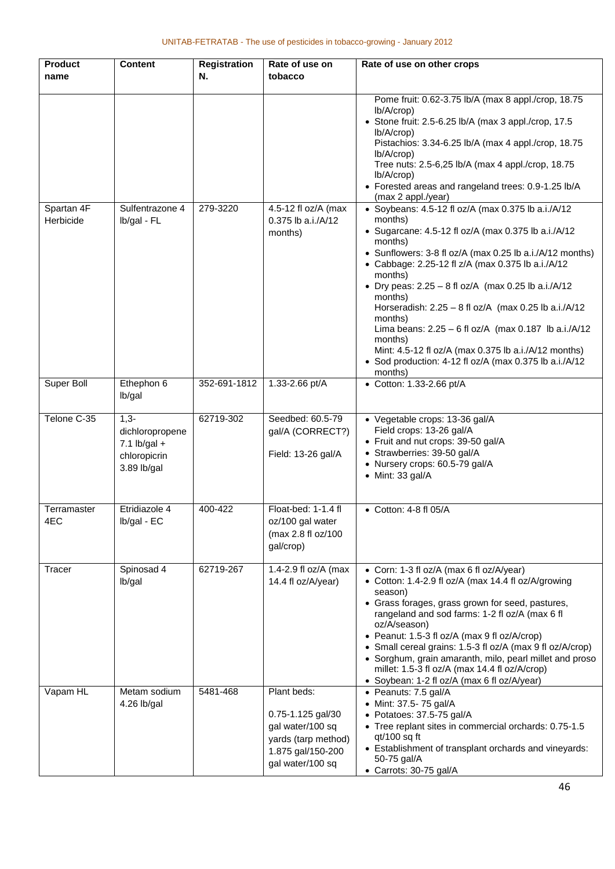| <b>Product</b><br>name  | <b>Content</b>                                                             | <b>Registration</b><br>N. | Rate of use on<br>tobacco                                                                                            | Rate of use on other crops                                                                                                                                                                                                                                                                                                                                                                                                                                                                                                                                                                                          |
|-------------------------|----------------------------------------------------------------------------|---------------------------|----------------------------------------------------------------------------------------------------------------------|---------------------------------------------------------------------------------------------------------------------------------------------------------------------------------------------------------------------------------------------------------------------------------------------------------------------------------------------------------------------------------------------------------------------------------------------------------------------------------------------------------------------------------------------------------------------------------------------------------------------|
|                         |                                                                            |                           |                                                                                                                      | Pome fruit: 0.62-3.75 lb/A (max 8 appl./crop, 18.75<br>lb/A/crop)<br>• Stone fruit: 2.5-6.25 lb/A (max 3 appl./crop, 17.5<br>lb/A/crop)<br>Pistachios: 3.34-6.25 lb/A (max 4 appl./crop, 18.75<br>lb/A/crop)<br>Tree nuts: 2.5-6,25 lb/A (max 4 appl./crop, 18.75<br>lb/A/crop)<br>• Forested areas and rangeland trees: 0.9-1.25 lb/A<br>(max 2 appl./year)                                                                                                                                                                                                                                                        |
| Spartan 4F<br>Herbicide | Sulfentrazone 4<br>Ib/gal - FL                                             | 279-3220                  | 4.5-12 fl oz/A (max<br>0.375 lb a.i./A/12<br>months)                                                                 | • Soybeans: 4.5-12 fl oz $\overline{A}$ (max 0.375 lb a.i./A/12<br>months)<br>• Sugarcane: 4.5-12 fl oz/A (max 0.375 lb a.i./A/12<br>months)<br>• Sunflowers: 3-8 fl oz/A (max 0.25 lb a.i./A/12 months)<br>• Cabbage: 2.25-12 fl z/A (max 0.375 lb a.i./A/12<br>months)<br>• Dry peas: $2.25 - 8$ fl oz/A (max 0.25 lb a.i./A/12<br>months)<br>Horseradish: $2.25 - 8$ fl oz/A (max 0.25 lb a.i./A/12<br>months)<br>Lima beans: $2.25 - 6$ fl oz/A (max 0.187 lb a.i./A/12<br>months)<br>Mint: 4.5-12 fl oz/A (max 0.375 lb a.i./A/12 months)<br>• Sod production: 4-12 fl oz/A (max 0.375 lb a.i./A/12<br>months) |
| Super Boll              | Ethephon 6<br>lb/gal                                                       | 352-691-1812              | 1.33-2.66 pt/A                                                                                                       | • Cotton: 1.33-2.66 pt/A                                                                                                                                                                                                                                                                                                                                                                                                                                                                                                                                                                                            |
| Telone C-35             | $1,3-$<br>dichloropropene<br>$7.1$ lb/gal +<br>chloropicrin<br>3.89 lb/gal | 62719-302                 | Seedbed: 60.5-79<br>gal/A (CORRECT?)<br>Field: 13-26 gal/A                                                           | • Vegetable crops: 13-36 gal/A<br>Field crops: 13-26 gal/A<br>• Fruit and nut crops: 39-50 gal/A<br>• Strawberries: 39-50 gal/A<br>• Nursery crops: 60.5-79 gal/A<br>• Mint: 33 gal/A                                                                                                                                                                                                                                                                                                                                                                                                                               |
| Terramaster<br>4EC      | Etridiazole 4<br>Ib/gal - EC                                               | 400-422                   | Float-bed: 1-1.4 fl<br>oz/100 gal water<br>(max 2.8 fl oz/100<br>gal/crop)                                           | $\bullet$ Cotton: 4-8 fl 05/A                                                                                                                                                                                                                                                                                                                                                                                                                                                                                                                                                                                       |
| Tracer                  | Spinosad 4<br>lb/gal                                                       | 62719-267                 | 1.4-2.9 fl oz/A (max<br>14.4 fl oz/A/year)                                                                           | • Corn: 1-3 fl oz/A (max 6 fl oz/A/year)<br>• Cotton: 1.4-2.9 fl oz/A (max 14.4 fl oz/A/growing<br>season)<br>• Grass forages, grass grown for seed, pastures,<br>rangeland and sod farms: 1-2 fl oz/A (max 6 fl<br>oz/A/season)<br>• Peanut: 1.5-3 fl oz/A (max 9 fl oz/A/crop)<br>• Small cereal grains: 1.5-3 fl oz/A (max 9 fl oz/A/crop)<br>• Sorghum, grain amaranth, milo, pearl millet and proso<br>millet: 1.5-3 fl oz/A (max 14.4 fl oz/A/crop)<br>• Soybean: 1-2 fl oz/A (max 6 fl oz/A/year)                                                                                                            |
| Vapam HL                | Metam sodium<br>4.26 lb/gal                                                | 5481-468                  | Plant beds:<br>0.75-1.125 gal/30<br>gal water/100 sq<br>yards (tarp method)<br>1.875 gal/150-200<br>gal water/100 sq | • Peanuts: 7.5 gal/A<br>• Mint: 37.5- 75 gal/A<br>• Potatoes: 37.5-75 gal/A<br>• Tree replant sites in commercial orchards: 0.75-1.5<br>$qt/100$ sq ft<br>• Establishment of transplant orchards and vineyards:<br>50-75 gal/A<br>• Carrots: 30-75 gal/A                                                                                                                                                                                                                                                                                                                                                            |